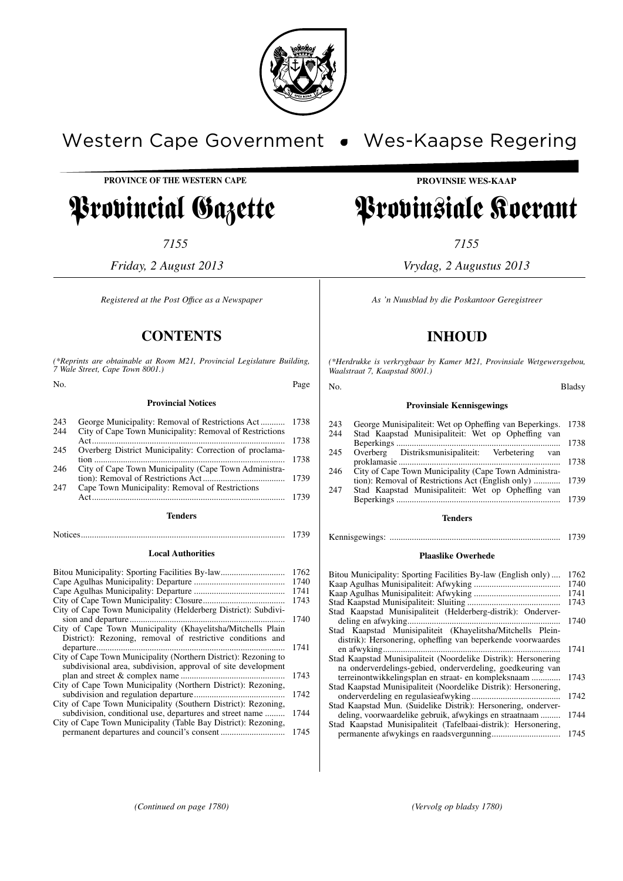

## Western Cape Government . Wes-Kaapse Regering

**PROVINCE OF THE WESTERN CAPE**

# Provincial Gazette

*7155*

*Friday, 2 August 2013*

*Registered at the Post Offıce as a Newspaper*

## **CONTENTS**

*(\*Reprints are obtainable at Room M21, Provincial Legislature Building, 7 Wale Street, Cape Town 8001.)*

| No.                                                            |                                                                | Page |  |
|----------------------------------------------------------------|----------------------------------------------------------------|------|--|
|                                                                | <b>Provincial Notices</b>                                      |      |  |
| 243                                                            | George Municipality: Removal of Restrictions Act               | 1738 |  |
| 244                                                            | City of Cape Town Municipality: Removal of Restrictions        |      |  |
| 245                                                            | Act<br>Overberg District Municipality: Correction of proclama- | 1738 |  |
|                                                                | tion                                                           | 1738 |  |
| 246                                                            | City of Cape Town Municipality (Cape Town Administra-          | 1739 |  |
| 247                                                            | Cape Town Municipality: Removal of Restrictions                |      |  |
|                                                                |                                                                | 1739 |  |
|                                                                | <b>Tenders</b>                                                 |      |  |
|                                                                |                                                                | 1739 |  |
|                                                                | <b>Local Authorities</b>                                       |      |  |
|                                                                |                                                                | 1762 |  |
|                                                                |                                                                | 1740 |  |
|                                                                |                                                                | 1741 |  |
|                                                                |                                                                |      |  |
| City of Cape Town Municipality (Helderberg District): Subdivi- |                                                                |      |  |

| City of Cape Town Municipality (Khayelitsha/Mitchells Plain     |      |
|-----------------------------------------------------------------|------|
| District): Rezoning, removal of restrictive conditions and      |      |
|                                                                 | 1741 |
| City of Cape Town Municipality (Northern District): Rezoning to |      |
| subdivisional area, subdivision, approval of site development   |      |
|                                                                 |      |
| City of Cape Town Municipality (Northern District): Rezoning,   |      |
|                                                                 |      |
| City of Cape Town Municipality (Southern District): Rezoning,   |      |

| City of Cape Town Municipality (Southern District). Rezoning,  |  |
|----------------------------------------------------------------|--|
| subdivision, conditional use, departures and street name  1744 |  |
| City of Cape Town Municipality (Table Bay District): Rezoning, |  |

permanent departures and council's consent ............................. 1745

### **PROVINSIE WES-KAAP**

# Provinsiale Koerant

*7155*

*Vrydag, 2 Augustus 2013*

*As 'n Nuusblad by die Poskantoor Geregistreer*

## **INHOUD**

*(\*Herdrukke is verkrygbaar by Kamer M21, Provinsiale Wetgewersgebou, Waalstraat 7, Kaapstad 8001.)* No. Bladsy

| <b>Provinsiale Kennisgewings</b> |                                                                                                         |      |  |
|----------------------------------|---------------------------------------------------------------------------------------------------------|------|--|
| 243                              | George Munisipaliteit: Wet op Opheffing van Beperkings.                                                 | 1738 |  |
| 244                              | Stad Kaapstad Munisipaliteit: Wet op Opheffing van                                                      | 1738 |  |
| 245                              | Overberg Distriksmunisipaliteit: Verbetering van                                                        | 1738 |  |
| 246                              | City of Cape Town Municipality (Cape Town Administra-                                                   |      |  |
| 247                              | tion): Removal of Restrictions Act (English only)<br>Stad Kaapstad Munisipaliteit: Wet op Opheffing van | 1739 |  |
|                                  |                                                                                                         | 1739 |  |

#### **Tenders**

Kennisgewings: ............................................................................. 1739

#### **Plaaslike Owerhede**

| Bitou Municipality: Sporting Facilities By-law (English only)                                                                                                                     | 1762 |
|-----------------------------------------------------------------------------------------------------------------------------------------------------------------------------------|------|
|                                                                                                                                                                                   | 1740 |
|                                                                                                                                                                                   | 1741 |
|                                                                                                                                                                                   | 1743 |
| Stad Kaapstad Munisipaliteit (Helderberg-distrik): Onderver-                                                                                                                      |      |
|                                                                                                                                                                                   | 1740 |
| Stad Kaapstad Munisipaliteit (Khayelitsha/Mitchells Plein-<br>distrik): Hersonering, opheffing van beperkende voorwaardes                                                         |      |
|                                                                                                                                                                                   | 1741 |
| Stad Kaapstad Munisipaliteit (Noordelike Distrik): Hersonering                                                                                                                    |      |
| na onderverdelings-gebied, onderverdeling, goedkeuring van<br>terreinontwikkelingsplan en straat- en kompleksnaam                                                                 | 1743 |
|                                                                                                                                                                                   |      |
| Stad Kaapstad Munisipaliteit (Noordelike Distrik): Hersonering,<br>onderverdeling en regulasie a fragmatismus materiale en regulasion en el mando de la contenta de la contenta d | 1742 |
| Stad Kaapstad Mun. (Suidelike Distrik): Hersonering, onderver-                                                                                                                    |      |
| deling, voorwaardelike gebruik, afwykings en straatnaam                                                                                                                           | 1744 |
| Stad Kaapstad Munisipaliteit (Tafelbaai-distrik): Hersonering,                                                                                                                    |      |
|                                                                                                                                                                                   | 1745 |
|                                                                                                                                                                                   |      |

*(Continued on page 1780) (Vervolg op bladsy 1780)*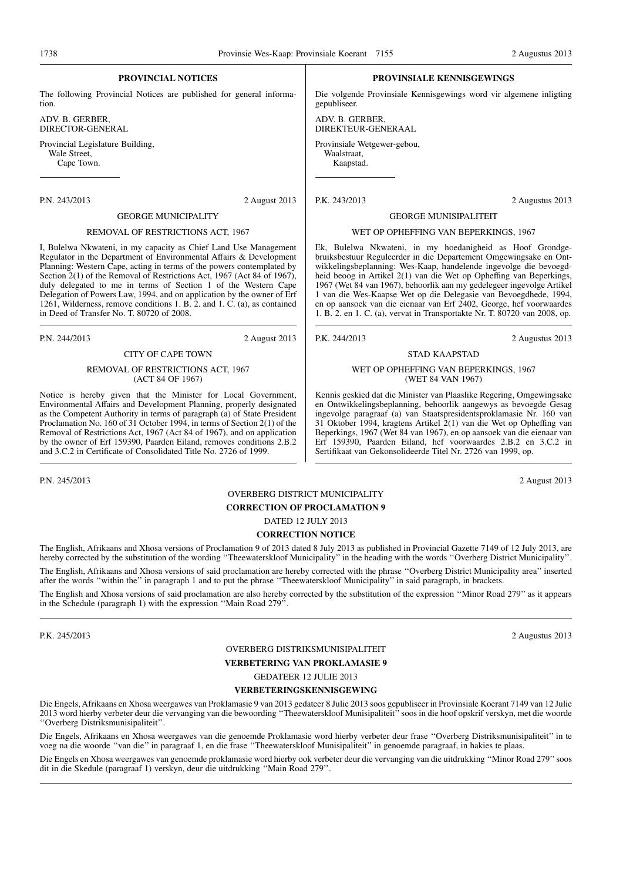#### **PROVINCIAL NOTICES**

The following Provincial Notices are published for general information.

ADV. B. GERBER, DIRECTOR-GENERAL

Provincial Legislature Building, Wale Street, Cape Town.

P.N. 243/2013 2 August 2013

## GEORGE MUNICIPALITY

#### REMOVAL OF RESTRICTIONS ACT, 1967

I, Bulelwa Nkwateni, in my capacity as Chief Land Use Management Regulator in the Department of Environmental Affairs & Development Planning: Western Cape, acting in terms of the powers contemplated by Section 2(1) of the Removal of Restrictions Act, 1967 (Act 84 of 1967), duly delegated to me in terms of Section 1 of the Western Cape Delegation of Powers Law, 1994, and on application by the owner of Erf 1261, Wilderness, remove conditions 1. B. 2. and 1. C. (a), as contained in Deed of Transfer No. T. 80720 of 2008.

P.N. 244/2013 2 August 2013

#### CITY OF CAPE TOWN

#### REMOVAL OF RESTRICTIONS ACT, 1967 (ACT 84 OF 1967)

Notice is hereby given that the Minister for Local Government, Environmental Affairs and Development Planning, properly designated as the Competent Authority in terms of paragraph (a) of State President Proclamation No. 160 of 31 October 1994, in terms of Section 2(1) of the Removal of Restrictions Act, 1967 (Act 84 of 1967), and on application by the owner of Erf 159390, Paarden Eiland, removes conditions 2.B.2 and 3.C.2 in Certificate of Consolidated Title No. 2726 of 1999.

P.N. 245/2013 2 August 2013

#### OVERBERG DISTRICT MUNICIPALITY

**CORRECTION OF PROCLAMATION 9**

### DATED 12 HH Y 2013

**CORRECTION NOTICE**

The English, Afrikaans and Xhosa versions of Proclamation 9 of 2013 dated 8 July 2013 as published in Provincial Gazette 7149 of 12 July 2013, are hereby corrected by the substitution of the wording ''Theewaterskloof Municipality'' in the heading with the words ''Overberg District Municipality''.

The English, Afrikaans and Xhosa versions of said proclamation are hereby corrected with the phrase ''Overberg District Municipality area'' inserted after the words ''within the'' in paragraph 1 and to put the phrase ''Theewaterskloof Municipality'' in said paragraph, in brackets.

The English and Xhosa versions of said proclamation are also hereby corrected by the substitution of the expression ''Minor Road 279'' as it appears in the Schedule (paragraph 1) with the expression ''Main Road 279''.

#### OVERBERG DISTRIKSMUNISIPALITEIT

**VERBETERING VAN PROKLAMASIE 9**

GEDATEER 12 JULIE 2013

#### **VERBETERINGSKENNISGEWING**

Die Engels, Afrikaans en Xhosa weergawes van Proklamasie 9 van 2013 gedateer 8 Julie 2013 soos gepubliseer in Provinsiale Koerant 7149 van 12 Julie 2013 word hierby verbeter deur die vervanging van die bewoording ''Theewaterskloof Munisipaliteit'' soos in die hoof opskrif verskyn, met die woorde ''Overberg Distriksmunisipaliteit''.

Die Engels, Afrikaans en Xhosa weergawes van die genoemde Proklamasie word hierby verbeter deur frase ''Overberg Distriksmunisipaliteit'' in te voeg na die woorde ''van die'' in paragraaf 1, en die frase ''Theewaterskloof Munisipaliteit'' in genoemde paragraaf, in hakies te plaas.

Die Engels en Xhosa weergawes van genoemde proklamasie word hierby ook verbeter deur die vervanging van die uitdrukking ''Minor Road 279'' soos dit in die Skedule (paragraaf 1) verskyn, deur die uitdrukking ''Main Road 279''.

#### **PROVINSIALE KENNISGEWINGS**

Die volgende Provinsiale Kennisgewings word vir algemene inligting gepubliseer.

ADV. B. GERBER, DIREKTEUR-GENERAAL

Provinsiale Wetgewer-gebou, Waalstraat,

Kaapstad.

P.K. 243/2013 2 Augustus 2013

#### GEORGE MUNISIPALITEIT

#### WET OP OPHEFFING VAN BEPERKINGS, 1967

Ek, Bulelwa Nkwateni, in my hoedanigheid as Hoof Grondgebruiksbestuur Reguleerder in die Departement Omgewingsake en Ontwikkelingsbeplanning: Wes-Kaap, handelende ingevolge die bevoegdheid beoog in Artikel 2(1) van die Wet op Opheffing van Beperkings, 1967 (Wet 84 van 1967), behoorlik aan my gedelegeer ingevolge Artikel 1 van die Wes-Kaapse Wet op die Delegasie van Bevoegdhede, 1994, en op aansoek van die eienaar van Erf 2402, George, hef voorwaardes 1. B. 2. en 1. C. (a), vervat in Transportakte Nr. T. 80720 van 2008, op.

#### P.K. 244/2013 2 Augustus 2013

### STAD KAAPSTAD

#### WET OP OPHEFFING VAN BEPERKINGS, 1967 (WET 84 VAN 1967)

Kennis geskied dat die Minister van Plaaslike Regering, Omgewingsake en Ontwikkelingsbeplanning, behoorlik aangewys as bevoegde Gesag ingevolge paragraaf (a) van Staatspresidentsproklamasie Nr. 160 van 31 Oktober 1994, kragtens Artikel 2(1) van die Wet op Opheffing van Beperkings, 1967 (Wet 84 van 1967), en op aansoek van die eienaar van Erf 159390, Paarden Eiland, hef voorwaardes 2.B.2 en 3.C.2 in Sertifikaat van Gekonsolideerde Titel Nr. 2726 van 1999, op.

#### P.K. 245/2013 2 Augustus 2013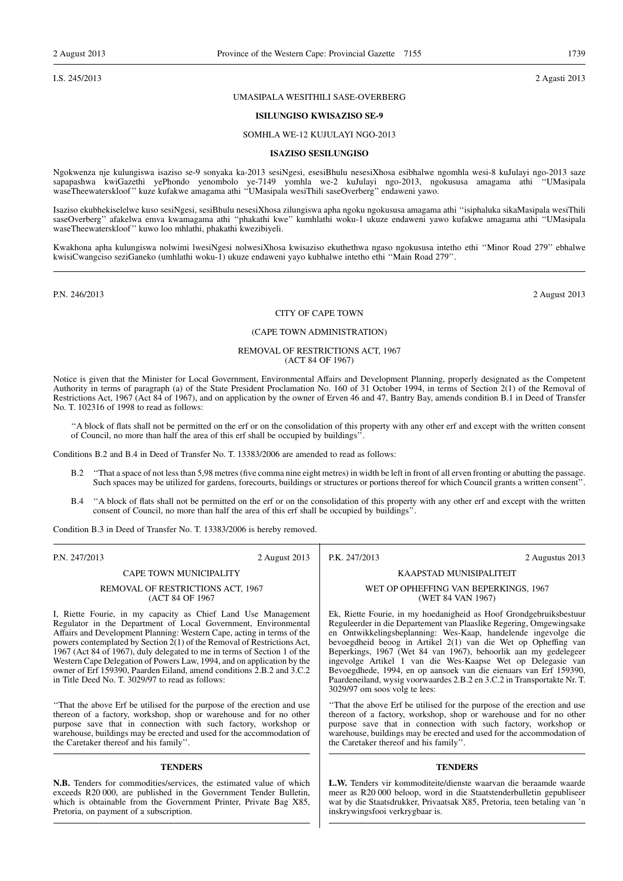I.S. 245/2013 2 Agasti 2013

#### UMASIPALA WESITHILI SASE-OVERBERG

#### **ISILUNGISO KWISAZISO SE-9**

#### SOMHLA WE-12 KUJULAYI NGO-2013

#### **ISAZISO SESILUNGISO**

Ngokwenza nje kulungiswa isaziso se-9 sonyaka ka-2013 sesiNgesi, esesiBhulu nesesiXhosa esibhalwe ngomhla wesi-8 kuJulayi ngo-2013 saze sapapashwa kwiGazethi yePhondo yenombolo ye-7149 yomhla we-2 kuJulayi ngo-2013, ngokususa amagama athi ''UMasipala waseTheewaterskloof '' kuze kufakwe amagama athi ''UMasipala wesiThili saseOverberg'' endaweni yawo.

Isaziso ekubhekiselelwe kuso sesiNgesi, sesiBhulu nesesiXhosa zilungiswa apha ngoku ngokususa amagama athi ''isiphaluka sikaMasipala wesiThili saseOverberg'' afakelwa emva kwamagama athi ''phakathi kwe'' kumhlathi woku-1 ukuze endaweni yawo kufakwe amagama athi ''UMasipala waseTheewaterskloof '' kuwo loo mhlathi, phakathi kwezibiyeli.

Kwakhona apha kulungiswa nolwimi lwesiNgesi nolwesiXhosa kwisaziso ekuthethwa ngaso ngokususa intetho ethi ''Minor Road 279'' ebhalwe kwisiCwangciso seziGaneko (umhlathi woku-1) ukuze endaweni yayo kubhalwe intetho ethi ''Main Road 279''.

P.N. 246/2013 2 August 2013

#### CITY OF CAPE TOWN

#### (CAPE TOWN ADMINISTRATION)

#### REMOVAL OF RESTRICTIONS ACT, 1967 (ACT 84 OF 1967)

Notice is given that the Minister for Local Government, Environmental Affairs and Development Planning, properly designated as the Competent Authority in terms of paragraph (a) of the State President Proclamation No. 160 of 31 October 1994, in terms of Section 2(1) of the Removal of Restrictions Act, 1967 (Act 84 of 1967), and on application by the owner of Erven 46 and 47, Bantry Bay, amends condition B.1 in Deed of Transfer No. T. 102316 of 1998 to read as follows:

''A block of flats shall not be permitted on the erf or on the consolidation of this property with any other erf and except with the written consent of Council, no more than half the area of this erf shall be occupied by buildings''.

Conditions B.2 and B.4 in Deed of Transfer No. T. 13383/2006 are amended to read as follows:

- B.2 ''That a space of not less than 5,98 metres (five comma nine eight metres) in width be left in front of all erven fronting or abutting the passage. Such spaces may be utilized for gardens, forecourts, buildings or structures or portions thereof for which Council grants a written consent''.
- B.4 ''A block of flats shall not be permitted on the erf or on the consolidation of this property with any other erf and except with the written consent of Council, no more than half the area of this erf shall be occupied by buildings''.

Condition B.3 in Deed of Transfer No. T. 13383/2006 is hereby removed.

| P.N. 247/2013                                                                                                                                                                                                                                                                                                                                                                                                                                                                                                                                                           | 2 August 2013 | P.K. 247/2013                                                                                                                                                                                                                                                                                                                                                                                                                                                                                                                                                                                    | 2 Augustus 2013                                                                                                                               |
|-------------------------------------------------------------------------------------------------------------------------------------------------------------------------------------------------------------------------------------------------------------------------------------------------------------------------------------------------------------------------------------------------------------------------------------------------------------------------------------------------------------------------------------------------------------------------|---------------|--------------------------------------------------------------------------------------------------------------------------------------------------------------------------------------------------------------------------------------------------------------------------------------------------------------------------------------------------------------------------------------------------------------------------------------------------------------------------------------------------------------------------------------------------------------------------------------------------|-----------------------------------------------------------------------------------------------------------------------------------------------|
| CAPE TOWN MUNICIPALITY                                                                                                                                                                                                                                                                                                                                                                                                                                                                                                                                                  |               | KAAPSTAD MUNISIPALITEIT                                                                                                                                                                                                                                                                                                                                                                                                                                                                                                                                                                          |                                                                                                                                               |
| REMOVAL OF RESTRICTIONS ACT, 1967<br>(ACT 84 OF 1967)                                                                                                                                                                                                                                                                                                                                                                                                                                                                                                                   |               | WET OP OPHEFFING VAN BEPERKINGS, 1967<br>(WET 84 VAN 1967)                                                                                                                                                                                                                                                                                                                                                                                                                                                                                                                                       |                                                                                                                                               |
| I, Riette Fourie, in my capacity as Chief Land Use Management<br>Regulator in the Department of Local Government, Environmental<br>Affairs and Development Planning: Western Cape, acting in terms of the<br>powers contemplated by Section 2(1) of the Removal of Restrictions Act,<br>1967 (Act 84 of 1967), duly delegated to me in terms of Section 1 of the<br>Western Cape Delegation of Powers Law, 1994, and on application by the<br>owner of Erf 159390, Paarden Eiland, amend conditions 2.B.2 and 3.C.2<br>in Title Deed No. T. 3029/97 to read as follows: |               | Ek, Riette Fourie, in my hoedanigheid as Hoof Grondgebruiksbestuur<br>Reguleerder in die Departement van Plaaslike Regering, Omgewingsake<br>en Ontwikkelingsbeplanning: Wes-Kaap, handelende ingevolge die<br>bevoegdheid beoog in Artikel 2(1) van die Wet op Opheffing van<br>Beperkings, 1967 (Wet 84 van 1967), behoorlik aan my gedelegeer<br>ingevolge Artikel 1 van die Wes-Kaapse Wet op Delegasie van<br>Bevoegdhede, 1994, en op aansoek van die eienaars van Erf 159390,<br>Paardeneiland, wysig voorwaardes 2.B.2 en 3.C.2 in Transportakte Nr. T.<br>3029/97 om soos volg te lees: |                                                                                                                                               |
| "That the above Erf be utilised for the purpose of the erection and use<br>thereon of a factory, workshop, shop or warehouse and for no other<br>purpose save that in connection with such factory, workshop or<br>warehouse, buildings may be erected and used for the accommodation of<br>the Caretaker thereof and his family".                                                                                                                                                                                                                                      |               | purpose save that in connection with such factory, workshop or<br>warehouse, buildings may be erected and used for the accommodation of<br>the Caretaker thereof and his family".                                                                                                                                                                                                                                                                                                                                                                                                                | "That the above Erf be utilised for the purpose of the erection and use<br>thereon of a factory, workshop, shop or warehouse and for no other |
| <b>TENDERS</b>                                                                                                                                                                                                                                                                                                                                                                                                                                                                                                                                                          |               | <b>TENDERS</b>                                                                                                                                                                                                                                                                                                                                                                                                                                                                                                                                                                                   |                                                                                                                                               |
| N.B. Tenders for commodities/services, the estimated value of which<br>exceeds R20 000, are published in the Government Tender Bulletin,<br>which is obtainable from the Government Printer, Private Bag X85,<br>Pretoria, on payment of a subscription.                                                                                                                                                                                                                                                                                                                |               | <b>L.W.</b> Tenders vir kommoditeite/dienste waarvan die beraamde waarde<br>meer as R20 000 beloop, word in die Staatstenderbulletin gepubliseer<br>wat by die Staatsdrukker, Privaatsak X85, Pretoria, teen betaling van 'n<br>inskrywingsfooi verkrygbaar is.                                                                                                                                                                                                                                                                                                                                  |                                                                                                                                               |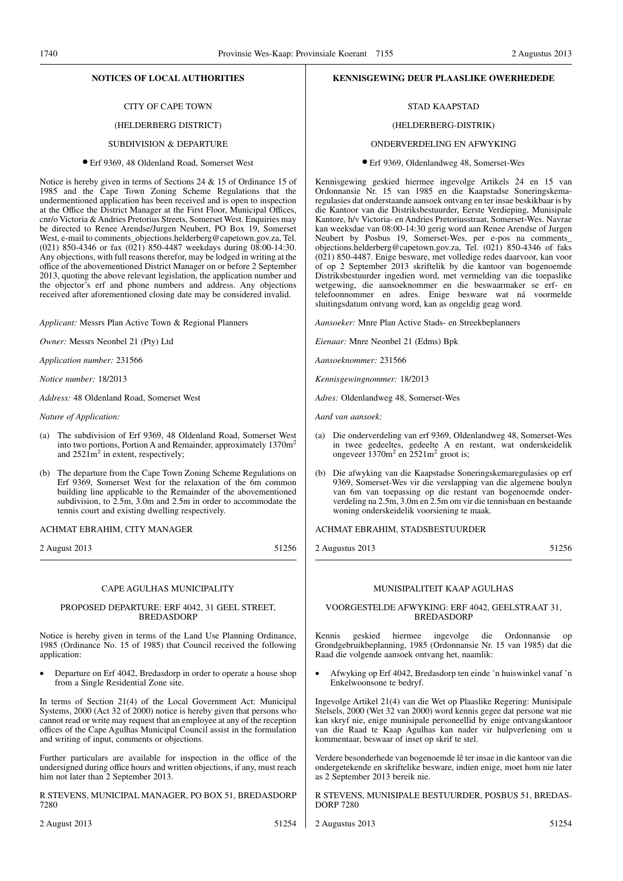#### CITY OF CAPE TOWN

#### (HELDERBERG DISTRICT)

#### SUBDIVISION & DEPARTURE

● Erf 9369, 48 Oldenland Road, Somerset West

Notice is hereby given in terms of Sections 24 & 15 of Ordinance 15 of 1985 and the Cape Town Zoning Scheme Regulations that the undermentioned application has been received and is open to inspection at the Office the District Manager at the First Floor, Municipal Offices, cnr/o Victoria & Andries Pretorius Streets, Somerset West. Enquiries may be directed to Renee Arendse/Jurgen Neubert, PO Box 19, Somerset West, e-mail to comments\_objections.helderberg@capetown.gov.za, Tel. (021) 850-4346 or fax (021) 850-4487 weekdays during 08:00-14:30. Any objections, with full reasons therefor, may be lodged in writing at the office of the abovementioned District Manager on or before 2 September 2013, quoting the above relevant legislation, the application number and the objector's erf and phone numbers and address. Any objections received after aforementioned closing date may be considered invalid.

*Applicant:* Messrs Plan Active Town & Regional Planners

*Owner:* Messrs Neonbel 21 (Pty) Ltd

*Application number:* 231566

*Notice number:* 18/2013

*Address:* 48 Oldenland Road, Somerset West

*Nature of Application:*

- (a) The subdivision of Erf 9369, 48 Oldenland Road, Somerset West into two portions, Portion A and Remainder, approximately 1370m<sup>2</sup> and  $2521m^2$  in extent, respectively;
- (b) The departure from the Cape Town Zoning Scheme Regulations on Erf 9369, Somerset West for the relaxation of the 6m common building line applicable to the Remainder of the abovementioned subdivision, to 2.5m, 3.0m and 2.5m in order to accommodate the tennis court and existing dwelling respectively.

#### ACHMAT EBRAHIM, CITY MANAGER

2 August 2013 51256

#### CAPE AGULHAS MUNICIPALITY

#### PROPOSED DEPARTURE: ERF 4042, 31 GEEL STREET, BREDASDORP

Notice is hereby given in terms of the Land Use Planning Ordinance, 1985 (Ordinance No. 15 of 1985) that Council received the following application:

• Departure on Erf 4042, Bredasdorp in order to operate a house shop from a Single Residential Zone site.

In terms of Section 21(4) of the Local Government Act: Municipal Systems, 2000 (Act 32 of 2000) notice is hereby given that persons who cannot read or write may request that an employee at any of the reception offices of the Cape Agulhas Municipal Council assist in the formulation and writing of input, comments or objections.

Further particulars are available for inspection in the office of the undersigned during office hours and written objections, if any, must reach him not later than 2 September 2013.

R STEVENS, MUNICIPAL MANAGER, PO BOX 51, BREDASDORP 7280

#### **NOTICES OF LOCAL AUTHORITIES KENNISGEWING DEUR PLAASLIKE OWERHEDEDE**

#### STAD KAAPSTAD

#### (HELDERBERG-DISTRIK)

ONDERVERDELING EN AFWYKING

#### ● Erf 9369, Oldenlandweg 48, Somerset-Wes

Kennisgewing geskied hiermee ingevolge Artikels 24 en 15 van Ordonnansie Nr. 15 van 1985 en die Kaapstadse Soneringskemaregulasies dat onderstaande aansoek ontvang en ter insae beskikbaar is by die Kantoor van die Distriksbestuurder, Eerste Verdieping, Munisipale Kantore, h/v Victoria- en Andries Pretoriusstraat, Somerset-Wes. Navrae kan weeksdae van 08:00-14:30 gerig word aan Renee Arendse of Jurgen Neubert by Posbus 19, Somerset-Wes, per e-pos na comments\_ objections.helderberg@capetown.gov.za, Tel. (021) 850-4346 of faks (021) 850-4487. Enige besware, met volledige redes daarvoor, kan voor of op 2 September 2013 skriftelik by die kantoor van bogenoemde Distriksbestuurder ingedien word, met vermelding van die toepaslike wetgewing, die aansoeknommer en die beswaarmaker se erf- en telefoonnommer en adres. Enige besware wat ná voormelde sluitingsdatum ontvang word, kan as ongeldig geag word.

*Aansoeker:* Mnre Plan Active Stads- en Streekbeplanners

*Eienaar:* Mnre Neonbel 21 (Edms) Bpk

*Aansoeknommer:* 231566

*Kennisgewingnommer:* 18/2013

*Adres:* Oldenlandweg 48, Somerset-Wes

*Aard van aansoek:*

- (a) Die onderverdeling van erf 9369, Oldenlandweg 48, Somerset-Wes in twee gedeeltes, gedeelte A en restant, wat onderskeidelik ongeveer 1370m<sup>2</sup> en 2521m<sup>2</sup> groot is;
- (b) Die afwyking van die Kaapstadse Soneringskemaregulasies op erf 9369, Somerset-Wes vir die verslapping van die algemene boulyn van 6m van toepassing op die restant van bogenoemde onderverdeling na 2.5m, 3.0m en 2.5m om vir die tennisbaan en bestaande woning onderskeidelik voorsiening te maak.

#### ACHMAT EBRAHIM, STADSBESTUURDER

2 Augustus 2013 51256

#### MUNISIPALITEIT KAAP AGULHAS

#### VOORGESTELDE AFWYKING: ERF 4042, GEELSTRAAT 31, BREDASDORP

Kennis geskied hiermee ingevolge die Ordonnansie op Grondgebruikbeplanning, 1985 (Ordonnansie Nr. 15 van 1985) dat die Raad die volgende aansoek ontvang het, naamlik:

• Afwyking op Erf 4042, Bredasdorp ten einde 'n huiswinkel vanaf 'n Enkelwoonsone te bedryf.

Ingevolge Artikel 21(4) van die Wet op Plaaslike Regering: Munisipale Stelsels, 2000 (Wet 32 van 2000) word kennis gegee dat persone wat nie kan skryf nie, enige munisipale personeellid by enige ontvangskantoor van die Raad te Kaap Agulhas kan nader vir hulpverlening om u kommentaar, beswaar of inset op skrif te stel.

Verdere besonderhede van bogenoemde lê ter insae in die kantoor van die ondergetekende en skriftelike besware, indien enige, moet hom nie later as 2 September 2013 bereik nie.

R STEVENS, MUNISIPALE BESTUURDER, POSBUS 51, BREDAS-DORP 7280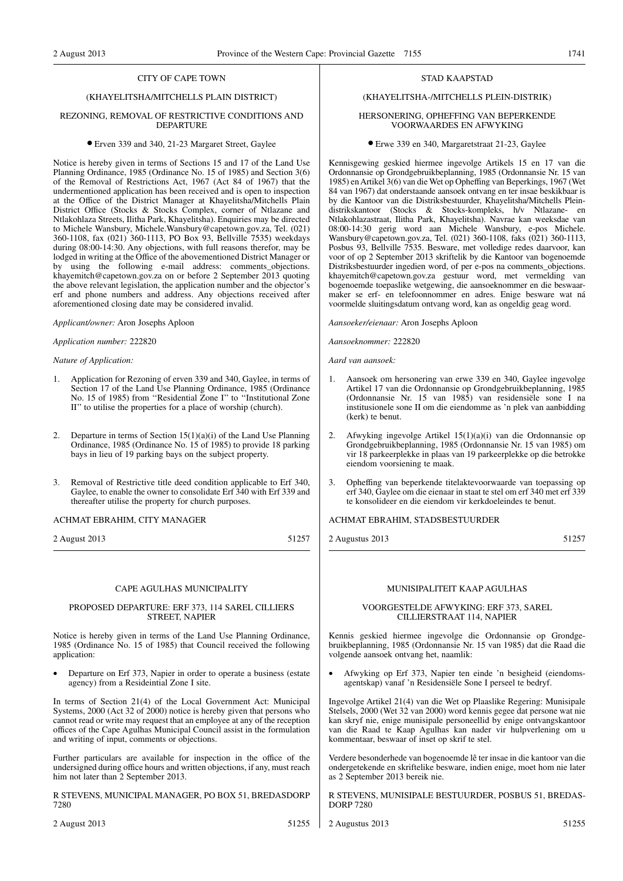#### CITY OF CAPE TOWN

#### (KHAYELITSHA/MITCHELLS PLAIN DISTRICT)

#### REZONING, REMOVAL OF RESTRICTIVE CONDITIONS AND DEPARTURE

#### ● Erven 339 and 340, 21-23 Margaret Street, Gaylee

Notice is hereby given in terms of Sections 15 and 17 of the Land Use Planning Ordinance, 1985 (Ordinance No. 15 of 1985) and Section 3(6) of the Removal of Restrictions Act, 1967 (Act 84 of 1967) that the undermentioned application has been received and is open to inspection at the Office of the District Manager at Khayelitsha/Mitchells Plain District Office (Stocks & Stocks Complex, corner of Ntlazane and Ntlakohlaza Streets, Ilitha Park, Khayelitsha). Enquiries may be directed to Michele Wansbury, Michele.Wansbury@capetown.gov.za, Tel. (021) 360-1108, fax (021) 360-1113, PO Box 93, Bellville 7535) weekdays during 08:00-14:30. Any objections, with full reasons therefor, may be lodged in writing at the Office of the abovementioned District Manager or by using the following e-mail address: comments\_objections. khayemitch@capetown.gov.za on or before 2 September 2013 quoting the above relevant legislation, the application number and the objector's erf and phone numbers and address. Any objections received after aforementioned closing date may be considered invalid.

#### *Applicant/owner:* Aron Josephs Aploon

*Application number:* 222820

#### *Nature of Application:*

- 1. Application for Rezoning of erven 339 and 340, Gaylee, in terms of Section 17 of the Land Use Planning Ordinance, 1985 (Ordinance No. 15 of 1985) from ''Residential Zone I'' to ''Institutional Zone II'' to utilise the properties for a place of worship (church).
- 2. Departure in terms of Section  $15(1)(a)(i)$  of the Land Use Planning Ordinance, 1985 (Ordinance No. 15 of 1985) to provide 18 parking bays in lieu of 19 parking bays on the subject property.
- 3. Removal of Restrictive title deed condition applicable to Erf 340, Gaylee, to enable the owner to consolidate Erf 340 with Erf 339 and thereafter utilise the property for church purposes.

#### ACHMAT EBRAHIM, CITY MANAGER

2 August 2013 51257

#### CAPE AGULHAS MUNICIPALITY

#### PROPOSED DEPARTURE: ERF 373, 114 SAREL CILLIERS STREET, NAPIER

Notice is hereby given in terms of the Land Use Planning Ordinance, 1985 (Ordinance No. 15 of 1985) that Council received the following application:

• Departure on Erf 373, Napier in order to operate a business (estate agency) from a Resideintial Zone I site.

In terms of Section 21(4) of the Local Government Act: Municipal Systems, 2000 (Act 32 of 2000) notice is hereby given that persons who cannot read or write may request that an employee at any of the reception offices of the Cape Agulhas Municipal Council assist in the formulation and writing of input, comments or objections.

Further particulars are available for inspection in the office of the undersigned during office hours and written objections, if any, must reach him not later than 2 September 2013.

R STEVENS, MUNICIPAL MANAGER, PO BOX 51, BREDASDORP 7280

#### STAD KAAPSTAD

#### (KHAYELITSHA-/MITCHELLS PLEIN-DISTRIK)

#### HERSONERING, OPHEFFING VAN BEPERKENDE VOORWAARDES EN AFWYKING

#### ● Erwe 339 en 340, Margaretstraat 21-23, Gaylee

Kennisgewing geskied hiermee ingevolge Artikels 15 en 17 van die Ordonnansie op Grondgebruikbeplanning, 1985 (Ordonnansie Nr. 15 van 1985) en Artikel 3(6) van die Wet op Opheffing van Beperkings, 1967 (Wet 84 van 1967) dat onderstaande aansoek ontvang en ter insae beskikbaar is by die Kantoor van die Distriksbestuurder, Khayelitsha/Mitchells Pleindistrikskantoor (Stocks & Stocks-kompleks, h/v Ntlazane- en Ntlakohlazastraat, Ilitha Park, Khayelitsha). Navrae kan weeksdae van 08:00-14:30 gerig word aan Michele Wansbury, e-pos Michele. Wansbury@capetown.gov.za, Tel. (021) 360-1108, faks (021) 360-1113, Posbus 93, Bellville 7535. Besware, met volledige redes daarvoor, kan voor of op 2 September 2013 skriftelik by die Kantoor van bogenoemde Distriksbestuurder ingedien word, of per e-pos na comments\_objections. khayemitch@capetown.gov.za gestuur word, met vermelding van bogenoemde toepaslike wetgewing, die aansoeknommer en die beswaarmaker se erf- en telefoonnommer en adres. Enige besware wat ná voormelde sluitingsdatum ontvang word, kan as ongeldig geag word.

*Aansoeker/eienaar:* Aron Josephs Aploon

*Aansoeknommer:* 222820

*Aard van aansoek:*

- 1. Aansoek om hersonering van erwe 339 en 340, Gaylee ingevolge Artikel 17 van die Ordonnansie op Grondgebruikbeplanning, 1985 (Ordonnansie Nr. 15 van 1985) van residensiële sone I na institusionele sone II om die eiendomme as 'n plek van aanbidding (kerk) te benut.
- 2. Afwyking ingevolge Artikel 15(1)(a)(i) van die Ordonnansie op Grondgebruikbeplanning, 1985 (Ordonnansie Nr. 15 van 1985) om vir 18 parkeerplekke in plaas van 19 parkeerplekke op die betrokke eiendom voorsiening te maak.
- 3. Opheffing van beperkende titelaktevoorwaarde van toepassing op erf 340, Gaylee om die eienaar in staat te stel om erf 340 met erf 339 te konsolideer en die eiendom vir kerkdoeleindes te benut.

#### ACHMAT EBRAHIM, STADSBESTUURDER

2 Augustus 2013 51257

#### MUNISIPALITEIT KAAP AGULHAS

#### VOORGESTELDE AFWYKING: ERF 373, SAREL CILLIERSTRAAT 114, NAPIER

Kennis geskied hiermee ingevolge die Ordonnansie op Grondgebruikbeplanning, 1985 (Ordonnansie Nr. 15 van 1985) dat die Raad die volgende aansoek ontvang het, naamlik:

• Afwyking op Erf 373, Napier ten einde 'n besigheid (eiendomsagentskap) vanaf 'n Residensiële Sone I perseel te bedryf.

Ingevolge Artikel 21(4) van die Wet op Plaaslike Regering: Munisipale Stelsels, 2000 (Wet 32 van 2000) word kennis gegee dat persone wat nie kan skryf nie, enige munisipale personeellid by enige ontvangskantoor van die Raad te Kaap Agulhas kan nader vir hulpverlening om u kommentaar, beswaar of inset op skrif te stel.

Verdere besonderhede van bogenoemde lê ter insae in die kantoor van die ondergetekende en skriftelike besware, indien enige, moet hom nie later as 2 September 2013 bereik nie.

R STEVENS, MUNISIPALE BESTUURDER, POSBUS 51, BREDAS-DORP 7280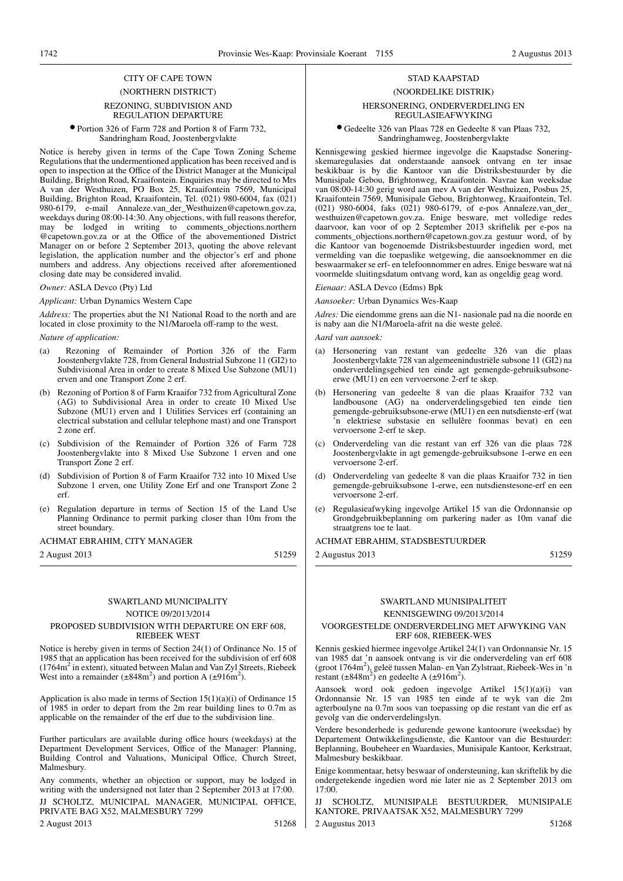#### CITY OF CAPE TOWN (NORTHERN DISTRICT) REZONING, SUBDIVISION AND REGULATION DEPARTURE

#### ● Portion 326 of Farm 728 and Portion 8 of Farm 732, Sandringham Road, Joostenbergvlakte

Notice is hereby given in terms of the Cape Town Zoning Scheme Regulations that the undermentioned application has been received and is open to inspection at the Office of the District Manager at the Municipal Building, Brighton Road, Kraaifontein. Enquiries may be directed to Mrs A van der Westhuizen, PO Box 25, Kraaifontein 7569, Municipal Building, Brighton Road, Kraaifontein, Tel. (021) 980-6004, fax (021) 980-6179, e-mail Annaleze.van\_der\_Westhuizen@capetown.gov.za, weekdays during 08:00-14:30. Any objections, with full reasons therefor, may be lodged in writing to comments objections.northern @capetown.gov.za or at the Office of the abovementioned District Manager on or before 2 September 2013, quoting the above relevant legislation, the application number and the objector's erf and phone numbers and address. Any objections received after aforementioned closing date may be considered invalid.

#### *Owner:* ASLA Devco (Pty) Ltd

#### *Applicant:* Urban Dynamics Western Cape

*Address:* The properties abut the N1 National Road to the north and are located in close proximity to the N1/Maroela off-ramp to the west.

#### *Nature of application:*

- (a) Rezoning of Remainder of Portion 326 of the Farm Joostenbergvlakte 728, from General Industrial Subzone 11 (GI2) to Subdivisional Area in order to create 8 Mixed Use Subzone (MU1) erven and one Transport Zone 2 erf.
- (b) Rezoning of Portion 8 of Farm Kraaifor 732 from Agricultural Zone (AG) to Subdivisional Area in order to create 10 Mixed Use Subzone (MU1) erven and 1 Utilities Services erf (containing an electrical substation and cellular telephone mast) and one Transport 2 zone erf.
- (c) Subdivision of the Remainder of Portion 326 of Farm 728 Joostenbergvlakte into 8 Mixed Use Subzone 1 erven and one Transport Zone 2 erf.
- Subdivision of Portion 8 of Farm Kraaifor 732 into 10 Mixed Use Subzone 1 erven, one Utility Zone Erf and one Transport Zone 2 erf.
- (e) Regulation departure in terms of Section 15 of the Land Use Planning Ordinance to permit parking closer than 10m from the street boundary.

#### ACHMAT EBRAHIM, CITY MANAGER

2 August 2013 51259

#### SWARTLAND MUNICIPALITY

#### NOTICE 09/2013/2014

#### PROPOSED SUBDIVISION WITH DEPARTURE ON ERF 608, RIEBEEK WEST

Notice is hereby given in terms of Section 24(1) of Ordinance No. 15 of 1985 that an application has been received for the subdivision of erf 608  $(1764m<sup>2</sup>$  in extent), situated between Malan and Van Zyl Streets, Riebeek West into a remainder  $(\pm 848 \text{m}^2)$  and portion A  $(\pm 916 \text{m}^2)$ .

Application is also made in terms of Section 15(1)(a)(i) of Ordinance 15 of 1985 in order to depart from the 2m rear building lines to 0.7m as applicable on the remainder of the erf due to the subdivision line.

Further particulars are available during office hours (weekdays) at the Department Development Services, Office of the Manager: Planning, Building Control and Valuations, Municipal Office, Church Street, Malmesbury.

Any comments, whether an objection or support, may be lodged in writing with the undersigned not later than 2 September 2013 at 17:00. JJ SCHOLTZ, MUNICIPAL MANAGER, MUNICIPAL OFFICE, PRIVATE BAG X52, MALMESBURY 7299

2 August 2013 51268

#### STAD KAAPSTAD

### (NOORDELIKE DISTRIK)

#### HERSONERING, ONDERVERDELING EN REGULASIEAFWYKING

#### ● Gedeelte 326 van Plaas 728 en Gedeelte 8 van Plaas 732, Sandringhamweg, Joostenbergvlakte

Kennisgewing geskied hiermee ingevolge die Kaapstadse Soneringskemaregulasies dat onderstaande aansoek ontvang en ter insae beskikbaar is by die Kantoor van die Distriksbestuurder by die Munisipale Gebou, Brightonweg, Kraaifontein. Navrae kan weeksdae van 08:00-14:30 gerig word aan mev A van der Westhuizen, Posbus 25, Kraaifontein 7569, Munisipale Gebou, Brightonweg, Kraaifontein, Tel. (021) 980-6004, faks (021) 980-6179, of e-pos Annaleze.van\_der\_ westhuizen@capetown.gov.za. Enige besware, met volledige redes daarvoor, kan voor of op 2 September 2013 skriftelik per e-pos na comments\_objections.northern@capetown.gov.za gestuur word, of by die Kantoor van bogenoemde Distriksbestuurder ingedien word, met vermelding van die toepaslike wetgewing, die aansoeknommer en die beswaarmaker se erf- en telefoonnommer en adres. Enige besware wat ná voormelde sluitingsdatum ontvang word, kan as ongeldig geag word.

#### *Eienaar:* ASLA Devco (Edms) Bpk

#### *Aansoeker:* Urban Dynamics Wes-Kaap

*Adres:* Die eiendomme grens aan die N1- nasionale pad na die noorde en is naby aan die N1/Maroela-afrit na die weste geleë.

#### *Aard van aansoek:*

- (a) Hersonering van restant van gedeelte 326 van die plaas Joostenbergvlakte 728 van algemeenindustriële subsone 11 (GI2) na onderverdelingsgebied ten einde agt gemengde-gebruiksubsoneerwe (MU1) en een vervoersone 2-erf te skep.
- (b) Hersonering van gedeelte 8 van die plaas Kraaifor 732 van landbousone (AG) na onderverdelingsgebied ten einde tien gemengde-gebruiksubsone-erwe (MU1) en een nutsdienste-erf (wat 'n elektriese substasie en sellulêre foonmas bevat) en een vervoersone 2-erf te skep.
- (c) Onderverdeling van die restant van erf 326 van die plaas 728 Joostenbergvlakte in agt gemengde-gebruiksubsone 1-erwe en een vervoersone 2-erf.
- (d) Onderverdeling van gedeelte 8 van die plaas Kraaifor 732 in tien gemengde-gebruiksubsone 1-erwe, een nutsdienstesone-erf en een vervoersone 2-erf.
- (e) Regulasieafwyking ingevolge Artikel 15 van die Ordonnansie op Grondgebruikbeplanning om parkering nader as 10m vanaf die straatgrens toe te laat.

#### ACHMAT EBRAHIM, STADSBESTUURDER

2 Augustus 2013 51259

#### SWARTLAND MUNISIPALITEIT KENNISGEWING 09/2013/2014

#### VOORGESTELDE ONDERVERDELING MET AFWYKING VAN ERF 608, RIEBEEK-WES

Kennis geskied hiermee ingevolge Artikel 24(1) van Ordonnansie Nr. 15 van 1985 dat 'n aansoek ontvang is vir die onderverdeling van erf 608 (groot 1764m<sup>2</sup>), geleë tussen Malan- en Van Zylstraat, Riebeek-Wes in 'n restant  $(\pm 848 \text{m}^2)$  en gedeelte A ( $\pm 916 \text{m}^2$ ).

Aansoek word ook gedoen ingevolge Artikel 15(1)(a)(i) van Ordonnansie Nr. 15 van 1985 ten einde af te wyk van die 2m agterboulyne na 0.7m soos van toepassing op die restant van die erf as gevolg van die onderverdelingslyn.

Verdere besonderhede is gedurende gewone kantoorure (weeksdae) by Departement Ontwikkelingsdienste, die Kantoor van die Bestuurder: Beplanning, Boubeheer en Waardasies, Munisipale Kantoor, Kerkstraat, Malmesbury beskikbaar.

Enige kommentaar, hetsy beswaar of ondersteuning, kan skriftelik by die ondergetekende ingedien word nie later nie as 2 September 2013 om  $17:00$ 

SCHOLTZ, MUNISIPALE BESTUURDER, MUNISIPALE KANTORE, PRIVAATSAK X52, MALMESBURY 7299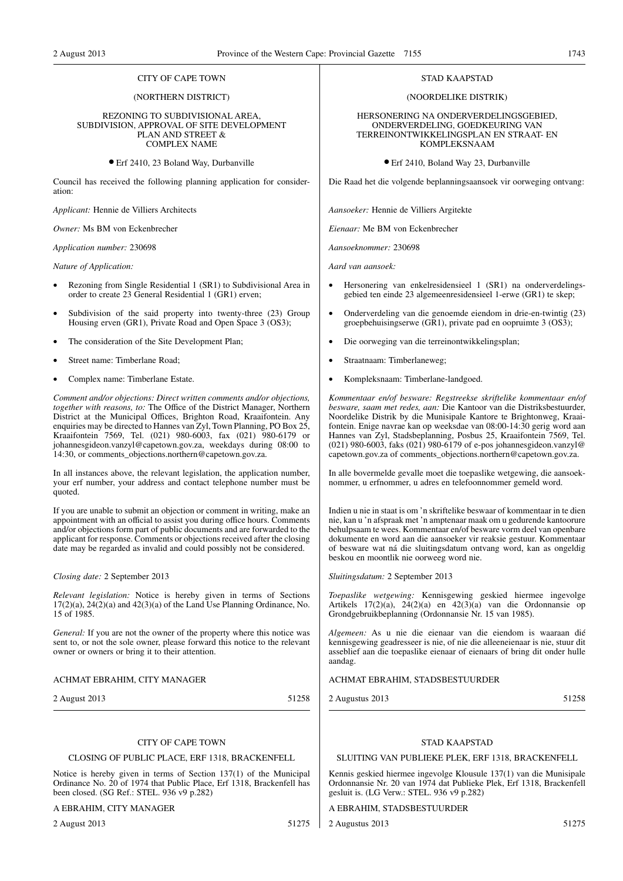#### CITY OF CAPE TOWN

#### (NORTHERN DISTRICT)

#### REZONING TO SUBDIVISIONAL AREA, SUBDIVISION, APPROVAL OF SITE DEVELOPMENT PLAN AND STREET & COMPLEX NAME

● Erf 2410, 23 Boland Way, Durbanville

Council has received the following planning application for consideration:

*Applicant:* Hennie de Villiers Architects

*Owner:* Ms BM von Eckenbrecher

*Application number:* 230698

*Nature of Application:*

- Rezoning from Single Residential 1 (SR1) to Subdivisional Area in order to create 23 General Residential 1 (GR1) erven;
- Subdivision of the said property into twenty-three (23) Group Housing erven (GR1), Private Road and Open Space 3 (OS3);
- The consideration of the Site Development Plan;
- Street name: Timberlane Road;
- Complex name: Timberlane Estate.

*Comment and/or objections: Direct written comments and/or objections, together with reasons, to:* The Office of the District Manager, Northern District at the Municipal Offices, Brighton Road, Kraaifontein. Any enquiries may be directed to Hannes van Zyl, Town Planning, PO Box 25, Kraaifontein 7569, Tel. (021) 980-6003, fax (021) 980-6179 or johannesgideon.vanzyl@capetown.gov.za, weekdays during 08:00 to 14:30, or comments\_objections.northern@capetown.gov.za.

In all instances above, the relevant legislation, the application number, your erf number, your address and contact telephone number must be quoted.

If you are unable to submit an objection or comment in writing, make an appointment with an official to assist you during office hours. Comments and/or objections form part of public documents and are forwarded to the applicant for response. Comments or objections received after the closing date may be regarded as invalid and could possibly not be considered.

*Closing date:* 2 September 2013

*Relevant legislation:* Notice is hereby given in terms of Sections  $17(2)(a)$ ,  $24(2)(a)$  and  $42(3)(a)$  of the Land Use Planning Ordinance, No. 15 of 1985.

*General:* If you are not the owner of the property where this notice was sent to, or not the sole owner, please forward this notice to the relevant owner or owners or bring it to their attention.

#### ACHMAT EBRAHIM, CITY MANAGER

2 August 2013 51258

#### CITY OF CAPE TOWN

#### CLOSING OF PUBLIC PLACE, ERF 1318, BRACKENFELL

Notice is hereby given in terms of Section 137(1) of the Municipal Ordinance No. 20 of 1974 that Public Place, Erf 1318, Brackenfell has been closed. (SG Ref.: STEL. 936 v9 p.282)

#### A EBRAHIM, CITY MANAGER

2 August 2013 51275

#### STAD KAAPSTAD

#### (NOORDELIKE DISTRIK)

HERSONERING NA ONDERVERDELINGSGEBIED, ONDERVERDELING, GOEDKEURING VAN TERREINONTWIKKELINGSPLAN EN STRAAT- EN KOMPLEKSNAAM

● Erf 2410, Boland Way 23, Durbanville

Die Raad het die volgende beplanningsaansoek vir oorweging ontvang:

*Aansoeker:* Hennie de Villiers Argitekte

*Eienaar:* Me BM von Eckenbrecher

*Aansoeknommer:* 230698

*Aard van aansoek:*

- Hersonering van enkelresidensieel 1 (SR1) na onderverdelingsgebied ten einde 23 algemeenresidensieel 1-erwe (GR1) te skep;
- Onderverdeling van die genoemde eiendom in drie-en-twintig (23) groepbehuisingserwe ( $G\overline{R}1$ ), private pad en oopruimte 3 ( $OS3$ );
- Die oorweging van die terreinontwikkelingsplan;
- Straatnaam: Timberlaneweg;
- Kompleksnaam: Timberlane-landgoed.

*Kommentaar en/of besware: Regstreekse skriftelike kommentaar en/of besware, saam met redes, aan:* Die Kantoor van die Distriksbestuurder, Noordelike Distrik by die Munisipale Kantore te Brightonweg, Kraaifontein. Enige navrae kan op weeksdae van 08:00-14:30 gerig word aan Hannes van Zyl, Stadsbeplanning, Posbus 25, Kraaifontein 7569, Tel. (021) 980-6003, faks (021) 980-6179 of e-pos johannesgideon.vanzyl@ capetown.gov.za of comments\_objections.northern@capetown.gov.za.

In alle bovermelde gevalle moet die toepaslike wetgewing, die aansoeknommer, u erfnommer, u adres en telefoonnommer gemeld word.

Indien u nie in staat is om 'n skriftelike beswaar of kommentaar in te dien nie, kan u 'n afspraak met 'n amptenaar maak om u gedurende kantoorure behulpsaam te wees. Kommentaar en/of besware vorm deel van openbare dokumente en word aan die aansoeker vir reaksie gestuur. Kommentaar of besware wat ná die sluitingsdatum ontvang word, kan as ongeldig beskou en moontlik nie oorweeg word nie.

*Sluitingsdatum:* 2 September 2013

*Toepaslike wetgewing:* Kennisgewing geskied hiermee ingevolge Artikels  $17(2)(a)$ ,  $24(2)(a)$  en  $42(3)(a)$  van die Ordonnansie op Grondgebruikbeplanning (Ordonnansie Nr. 15 van 1985).

*Algemeen:* As u nie die eienaar van die eiendom is waaraan dié kennisgewing geadresseer is nie, of nie die alleeneienaar is nie, stuur dit asseblief aan die toepaslike eienaar of eienaars of bring dit onder hulle aandag.

#### ACHMAT EBRAHIM, STADSBESTUURDER

2 Augustus 2013 51258

#### STAD KAAPSTAD

#### SLUITING VAN PUBLIEKE PLEK, ERF 1318, BRACKENFELL

Kennis geskied hiermee ingevolge Klousule 137(1) van die Munisipale Ordonnansie Nr. 20 van 1974 dat Publieke Plek, Erf 1318, Brackenfell gesluit is. (LG Verw.: STEL. 936 v9 p.282)

#### A EBRAHIM, STADSBESTUURDER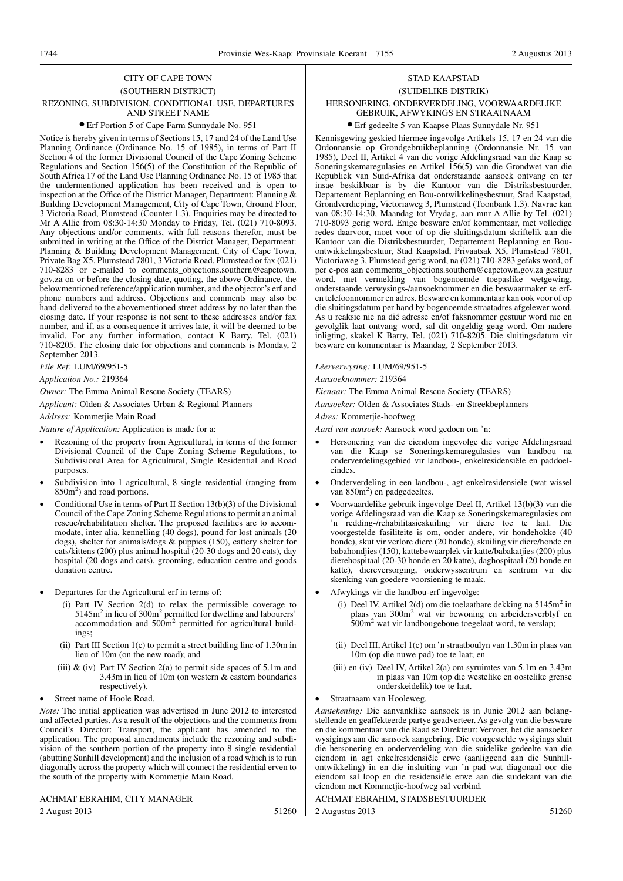#### CITY OF CAPE TOWN (SOUTHERN DISTRICT) REZONING, SUBDIVISION, CONDITIONAL USE, DEPARTURES AND STREET NAME

#### ● Erf Portion 5 of Cape Farm Sunnydale No. 951

Notice is hereby given in terms of Sections 15, 17 and 24 of the Land Use Planning Ordinance (Ordinance No. 15 of 1985), in terms of Part II Section 4 of the former Divisional Council of the Cape Zoning Scheme Regulations and Section 156(5) of the Constitution of the Republic of South Africa 17 of the Land Use Planning Ordinance No. 15 of 1985 that the undermentioned application has been received and is open to inspection at the Office of the District Manager, Department: Planning & Building Development Management, City of Cape Town, Ground Floor, 3 Victoria Road, Plumstead (Counter 1.3). Enquiries may be directed to Mr A Allie from 08:30-14:30 Monday to Friday, Tel. (021) 710-8093. Any objections and/or comments, with full reasons therefor, must be submitted in writing at the Office of the District Manager, Department: Planning & Building Development Management, City of Cape Town, Private Bag X5, Plumstead 7801, 3 Victoria Road, Plumstead or fax (021) 710-8283 or e-mailed to comments\_objections.southern@capetown. gov.za on or before the closing date, quoting, the above Ordinance, the belowmentioned reference/application number, and the objector's erf and phone numbers and address. Objections and comments may also be hand-delivered to the abovementioned street address by no later than the closing date. If your response is not sent to these addresses and/or fax number, and if, as a consequence it arrives late, it will be deemed to be invalid. For any further information, contact K Barry, Tel. (021) 710-8205. The closing date for objections and comments is Monday, 2 September 2013.

*File Ref:* LUM/69/951-5

*Application No.:* 219364

*Owner:* The Emma Animal Rescue Society (TEARS)

*Applicant:* Olden & Associates Urban & Regional Planners

*Address:* Kommetjie Main Road

*Nature of Application:* Application is made for a:

- Rezoning of the property from Agricultural, in terms of the former Divisional Council of the Cape Zoning Scheme Regulations, to Subdivisional Area for Agricultural, Single Residential and Road purposes.
- Subdivision into 1 agricultural, 8 single residential (ranging from 850m<sup>2</sup>) and road portions.
- Conditional Use in terms of Part II Section  $13(b)(3)$  of the Divisional Council of the Cape Zoning Scheme Regulations to permit an animal rescue/rehabilitation shelter. The proposed facilities are to accommodate, inter alia, kennelling (40 dogs), pound for lost animals (20 dogs), shelter for animals/dogs & puppies (150), cattery shelter for cats/kittens (200) plus animal hospital (20-30 dogs and 20 cats), day hospital (20 dogs and cats), grooming, education centre and goods donation centre.
- Departures for the Agricultural erf in terms of:
	- (i) Part IV Section 2(d) to relax the permissible coverage to  $5145m<sup>2</sup>$  in lieu of  $300m<sup>2</sup>$  permitted for dwelling and labourers' accommodation and  $500\text{m}^2$  permitted for agricultural buildings;
	- (ii) Part III Section 1(c) to permit a street building line of 1.30m in lieu of 10m (on the new road); and
	- (iii)  $\&$  (iv) Part IV Section 2(a) to permit side spaces of 5.1m and 3.43m in lieu of 10m (on western & eastern boundaries respectively).
- Street name of Hoole Road.

*Note:* The initial application was advertised in June 2012 to interested and affected parties. As a result of the objections and the comments from Council's Director: Transport, the applicant has amended to the application. The proposal amendments include the rezoning and subdivision of the southern portion of the property into 8 single residential (abutting Sunhill development) and the inclusion of a road which is to run diagonally across the property which will connect the residential erven to the south of the property with Kommetjie Main Road.

#### ACHMAT EBRAHIM, CITY MANAGER

2 August 2013 51260

#### STAD KAAPSTAD (SUIDELIKE DISTRIK) HERSONERING, ONDERVERDELING, VOORWAARDELIKE GEBRUIK, AFWYKINGS EN STRAATNAAM

#### ● Erf gedeelte 5 van Kaapse Plaas Sunnydale Nr. 951

Kennisgewing geskied hiermee ingevolge Artikels 15, 17 en 24 van die Ordonnansie op Grondgebruikbeplanning (Ordonnansie Nr. 15 van 1985), Deel II, Artikel 4 van die vorige Afdelingsraad van die Kaap se Soneringskemaregulasies en Artikel 156(5) van die Grondwet van die Republiek van Suid-Afrika dat onderstaande aansoek ontvang en ter insae beskikbaar is by die Kantoor van die Distriksbestuurder, Departement Beplanning en Bou-ontwikkelingsbestuur, Stad Kaapstad, Grondverdieping, Victoriaweg 3, Plumstead (Toonbank 1.3). Navrae kan van 08:30-14:30, Maandag tot Vrydag, aan mnr A Allie by Tel. (021) 710-8093 gerig word. Enige besware en/of kommentaar, met volledige redes daarvoor, moet voor of op die sluitingsdatum skriftelik aan die Kantoor van die Distriksbestuurder, Departement Beplanning en Bouontwikkelingsbestuur, Stad Kaapstad, Privaatsak X5, Plumstead 7801, Victoriaweg 3, Plumstead gerig word, na (021) 710-8283 gefaks word, of per e-pos aan comments\_objections.southern@capetown.gov.za gestuur word, met vermelding van bogenoemde toepaslike wetgewing, onderstaande verwysings-/aansoeknommer en die beswaarmaker se erfen telefoonnommer en adres. Besware en kommentaar kan ook voor of op die sluitingsdatum per hand by bogenoemde straatadres afgelewer word. As u reaksie nie na dié adresse en/of faksnommer gestuur word nie en gevolglik laat ontvang word, sal dit ongeldig geag word. Om nadere inligting, skakel K Barry, Tel. (021) 710-8205. Die sluitingsdatum vir besware en kommentaar is Maandag, 2 September 2013.

*Lêerverwysing:* LUM/69/951-5

*Aansoeknommer:* 219364

*Eienaar:* The Emma Animal Rescue Society (TEARS)

*Aansoeker:* Olden & Associates Stads- en Streekbeplanners

*Adres:* Kommetjie-hoofweg

*Aard van aansoek:* Aansoek word gedoen om 'n:

- Hersonering van die eiendom ingevolge die vorige Afdelingsraad van die Kaap se Soneringskemaregulasies van landbou na onderverdelingsgebied vir landbou-, enkelresidensiële en paddoeleindes.
- Onderverdeling in een landbou-, agt enkelresidensiële (wat wissel van 850m<sup>2</sup>) en padgedeeltes.
- Voorwaardelike gebruik ingevolge Deel II, Artikel 13(b)(3) van die vorige Afdelingsraad van die Kaap se Soneringskemaregulasies om 'n redding-/rehabilitasieskuiling vir diere toe te laat. Die voorgestelde fasiliteite is om, onder andere, vir hondehokke (40 honde), skut vir verlore diere (20 honde), skuiling vir diere/honde en babahondjies (150), kattebewaarplek vir katte/babakatjies (200) plus dierehospitaal (20-30 honde en 20 katte), daghospitaal (20 honde en katte), diereversorging, onderwyssentrum en sentrum vir die skenking van goedere voorsiening te maak.
- Afwykings vir die landbou-erf ingevolge:
	- (i) Deel IV, Artikel  $2(d)$  om die toelaatbare dekking na 5145m<sup>2</sup> in plaas van 300m<sup>2</sup> wat vir bewoning en arbeidersverblyf en  $500m<sup>2</sup>$  wat vir landbougeboue toegelaat word, te verslap;
	- (ii) Deel III, Artikel 1(c) om 'n straatboulyn van 1.30m in plaas van 10m (op die nuwe pad) toe te laat; en
	- (iii) en (iv) Deel IV, Artikel 2(a) om syruimtes van 5.1m en 3.43m in plaas van 10m (op die westelike en oostelike grense onderskeidelik) toe te laat.
- Straatnaam van Hooleweg.

*Aantekening:* Die aanvanklike aansoek is in Junie 2012 aan belangstellende en geaffekteerde partye geadverteer. As gevolg van die besware en die kommentaar van die Raad se Direkteur: Vervoer, het die aansoeker wysigings aan die aansoek aangebring. Die voorgestelde wysigings sluit die hersonering en onderverdeling van die suidelike gedeelte van die eiendom in agt enkelresidensiële erwe (aanliggend aan die Sunhillontwikkeling) in en die insluiting van 'n pad wat diagonaal oor die eiendom sal loop en die residensiële erwe aan die suidekant van die eiendom met Kommetjie-hoofweg sal verbind.

ACHMAT EBRAHIM, STADSBESTUURDER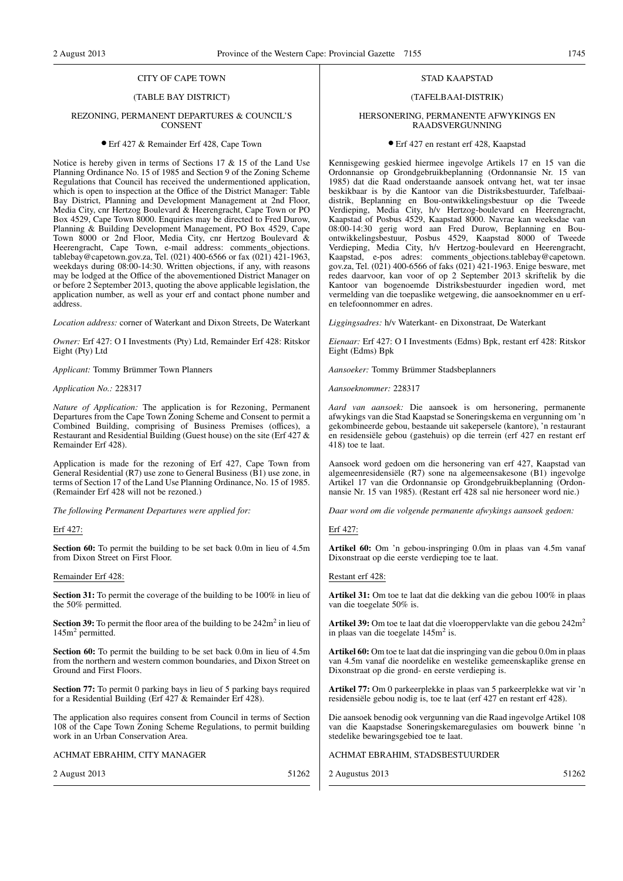#### CITY OF CAPE TOWN

#### (TABLE BAY DISTRICT)

#### REZONING, PERMANENT DEPARTURES & COUNCIL'S CONSENT

#### ● Erf 427 & Remainder Erf 428, Cape Town

Notice is hereby given in terms of Sections 17 & 15 of the Land Use Planning Ordinance No. 15 of 1985 and Section 9 of the Zoning Scheme Regulations that Council has received the undermentioned application, which is open to inspection at the Office of the District Manager: Table Bay District, Planning and Development Management at 2nd Floor, Media City, cnr Hertzog Boulevard & Heerengracht, Cape Town or PO Box 4529, Cape Town 8000. Enquiries may be directed to Fred Durow, Planning & Building Development Management, PO Box 4529, Cape Town 8000 or 2nd Floor, Media City, cnr Hertzog Boulevard & Heerengracht, Cape Town, e-mail address: comments\_objections. tablebay@capetown.gov.za, Tel. (021) 400-6566 or fax (021) 421-1963, weekdays during 08:00-14:30. Written objections, if any, with reasons may be lodged at the Office of the abovementioned District Manager on or before 2 September 2013, quoting the above applicable legislation, the application number, as well as your erf and contact phone number and address.

*Location address:* corner of Waterkant and Dixon Streets, De Waterkant

*Owner:* Erf 427: O I Investments (Pty) Ltd, Remainder Erf 428: Ritskor Eight (Pty) Ltd

*Applicant:* Tommy Brümmer Town Planners

*Application No.:* 228317

*Nature of Application:* The application is for Rezoning, Permanent Departures from the Cape Town Zoning Scheme and Consent to permit a Combined Building, comprising of Business Premises (offices), a Restaurant and Residential Building (Guest house) on the site (Erf 427 & Remainder Erf 428).

Application is made for the rezoning of Erf 427, Cape Town from General Residential (R7) use zone to General Business  $(B1)$  use zone, in terms of Section 17 of the Land Use Planning Ordinance, No. 15 of 1985. (Remainder Erf 428 will not be rezoned.)

*The following Permanent Departures were applied for:*

#### Erf 427:

**Section 60:** To permit the building to be set back 0.0m in lieu of 4.5m from Dixon Street on First Floor.

#### Remainder Erf 428:

**Section 31:** To permit the coverage of the building to be 100% in lieu of the 50% permitted.

**Section 39:** To permit the floor area of the building to be  $242m^2$  in lieu of  $145m<sup>2</sup>$  permitted.

**Section 60:** To permit the building to be set back 0.0m in lieu of 4.5m from the northern and western common boundaries, and Dixon Street on Ground and First Floors.

**Section 77:** To permit 0 parking bays in lieu of 5 parking bays required for a Residential Building (Erf 427 & Remainder Erf 428).

The application also requires consent from Council in terms of Section 108 of the Cape Town Zoning Scheme Regulations, to permit building work in an Urban Conservation Area.

#### ACHMAT EBRAHIM, CITY MANAGER

2 August 2013 51262

#### STAD KAAPSTAD

#### (TAFELBAAI-DISTRIK)

#### HERSONERING, PERMANENTE AFWYKINGS EN RAADSVERGUNNING

#### ● Erf 427 en restant erf 428, Kaapstad

Kennisgewing geskied hiermee ingevolge Artikels 17 en 15 van die Ordonnansie op Grondgebruikbeplanning (Ordonnansie Nr. 15 van 1985) dat die Raad onderstaande aansoek ontvang het, wat ter insae beskikbaar is by die Kantoor van die Distriksbestuurder, Tafelbaaidistrik, Beplanning en Bou-ontwikkelingsbestuur op die Tweede Verdieping, Media City, h/v Hertzog-boulevard en Heerengracht, Kaapstad of Posbus 4529, Kaapstad 8000. Navrae kan weeksdae van 08:00-14:30 gerig word aan Fred Durow, Beplanning en Bouontwikkelingsbestuur, Posbus 4529, Kaapstad 8000 of Tweede Verdieping, Media City, h/v Hertzog-boulevard en Heerengracht, Kaapstad, e-pos adres: comments\_objections.tablebay@capetown. gov.za, Tel. (021) 400-6566 of faks (021) 421-1963. Enige besware, met redes daarvoor, kan voor of op 2 September 2013 skriftelik by die Kantoor van bogenoemde Distriksbestuurder ingedien word, met vermelding van die toepaslike wetgewing, die aansoeknommer en u erfen telefoonnommer en adres.

*Liggingsadres:* h/v Waterkant- en Dixonstraat, De Waterkant

*Eienaar:* Erf 427: O I Investments (Edms) Bpk, restant erf 428: Ritskor Eight (Edms) Bpk

*Aansoeker:* Tommy Brümmer Stadsbeplanners

*Aansoeknommer:* 228317

*Aard van aansoek:* Die aansoek is om hersonering, permanente afwykings van die Stad Kaapstad se Soneringskema en vergunning om 'n gekombineerde gebou, bestaande uit sakepersele (kantore), 'n restaurant en residensiële gebou (gastehuis) op die terrein (erf 427 en restant erf 418) toe te laat.

Aansoek word gedoen om die hersonering van erf 427, Kaapstad van algemeenresidensiële (R7) sone na algemeensakesone (B1) ingevolge Artikel 17 van die Ordonnansie op Grondgebruikbeplanning (Ordonnansie Nr. 15 van 1985). (Restant erf 428 sal nie hersoneer word nie.)

*Daar word om die volgende permanente afwykings aansoek gedoen:*

Erf 427:

**Artikel 60:** Om 'n gebou-inspringing 0.0m in plaas van 4.5m vanaf Dixonstraat op die eerste verdieping toe te laat.

Restant erf 428:

**Artikel 31:** Om toe te laat dat die dekking van die gebou 100% in plaas van die toegelate 50% is.

**Artikel 39:** Om toe te laat dat die vloeroppervlakte van die gebou 242m<sup>2</sup> in plaas van die toegelate 145m<sup>2</sup> is.

**Artikel 60:** Om toe te laat dat die inspringing van die gebou 0.0m in plaas van 4.5m vanaf die noordelike en westelike gemeenskaplike grense en Dixonstraat op die grond- en eerste verdieping is.

**Artikel 77:** Om 0 parkeerplekke in plaas van 5 parkeerplekke wat vir 'n residensiële gebou nodig is, toe te laat (erf 427 en restant erf 428).

Die aansoek benodig ook vergunning van die Raad ingevolge Artikel 108 van die Kaapstadse Soneringskemaregulasies om bouwerk binne 'n stedelike bewaringsgebied toe te laat.

#### ACHMAT EBRAHIM, STADSBESTUURDER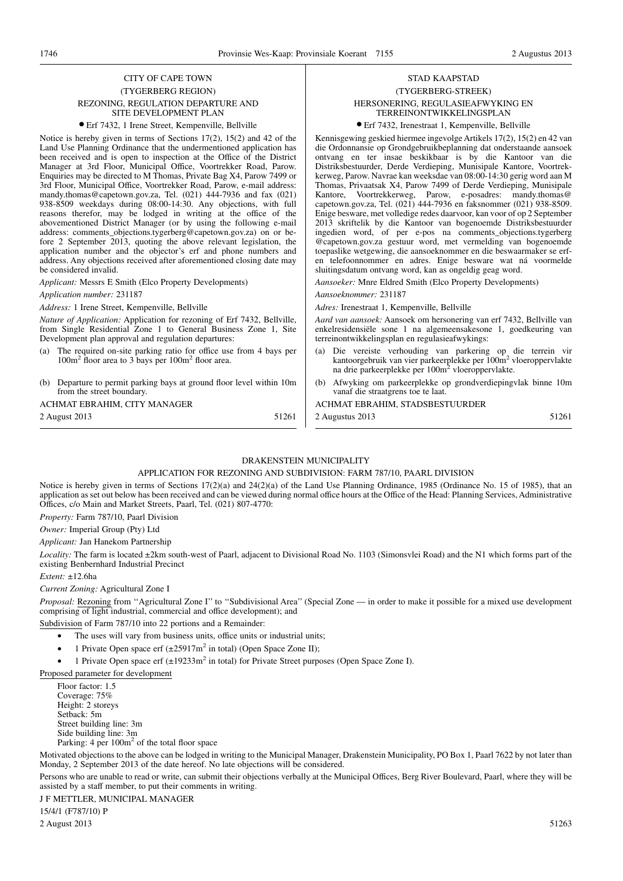#### CITY OF CAPE TOWN (TYGERBERG REGION) REZONING, REGULATION DEPARTURE AND SITE DEVELOPMENT PLAN

#### ● Erf 7432, 1 Irene Street, Kempenville, Bellville

Notice is hereby given in terms of Sections 17(2), 15(2) and 42 of the Land Use Planning Ordinance that the undermentioned application has been received and is open to inspection at the Office of the District Manager at 3rd Floor, Municipal Office, Voortrekker Road, Parow. Enquiries may be directed to M Thomas, Private Bag X4, Parow 7499 or 3rd Floor, Municipal Office, Voortrekker Road, Parow, e-mail address: mandy.thomas@capetown.gov.za, Tel. (021) 444-7936 and fax (021) 938-8509 weekdays during 08:00-14:30. Any objections, with full reasons therefor, may be lodged in writing at the office of the abovementioned District Manager (or by using the following e-mail address: comments\_objections.tygerberg@capetown.gov.za) on or before 2 September 2013, quoting the above relevant legislation, the application number and the objector's erf and phone numbers and address. Any objections received after aforementioned closing date may be considered invalid.

*Applicant:* Messrs E Smith (Elco Property Developments)

*Application number:* 231187

#### *Address:* 1 Irene Street, Kempenville, Bellville

*Nature of Application:* Application for rezoning of Erf 7432, Bellville, from Single Residential Zone 1 to General Business Zone 1, Site Development plan approval and regulation departures:

- (a) The required on-site parking ratio for office use from 4 bays per 100m<sup>2</sup> floor area to 3 bays per 100m2 floor area.
- (b) Departure to permit parking bays at ground floor level within 10m from the street boundary.

ACHMAT EBRAHIM, CITY MANAGER

2 August 2013 51261

#### STAD KAAPSTAD (TYGERBERG-STREEK) HERSONERING, REGULASIEAFWYKING EN TERREINONTWIKKELINGSPLAN

#### ● Erf 7432, Irenestraat 1, Kempenville, Bellville

Kennisgewing geskied hiermee ingevolge Artikels 17(2), 15(2) en 42 van die Ordonnansie op Grondgebruikbeplanning dat onderstaande aansoek ontvang en ter insae beskikbaar is by die Kantoor van die Distriksbestuurder, Derde Verdieping, Munisipale Kantore, Voortrekkerweg, Parow. Navrae kan weeksdae van 08:00-14:30 gerig word aan M Thomas, Privaatsak X4, Parow 7499 of Derde Verdieping, Munisipale Kantore, Voortrekkerweg, Parow, e-posadres: mandy.thomas@ capetown.gov.za, Tel. (021) 444-7936 en faksnommer (021) 938-8509. Enige besware, met volledige redes daarvoor, kan voor of op 2 September 2013 skriftelik by die Kantoor van bogenoemde Distriksbestuurder ingedien word, of per e-pos na comments\_objections.tygerberg @capetown.gov.za gestuur word, met vermelding van bogenoemde toepaslike wetgewing, die aansoeknommer en die beswaarmaker se erfen telefoonnommer en adres. Enige besware wat ná voormelde sluitingsdatum ontvang word, kan as ongeldig geag word.

*Aansoeker:* Mnre Eldred Smith (Elco Property Developments)

*Aansoeknommer:* 231187

*Adres:* Irenestraat 1, Kempenville, Bellville

*Aard van aansoek:* Aansoek om hersonering van erf 7432, Bellville van enkelresidensiële sone 1 na algemeensakesone 1, goedkeuring van terreinontwikkelingsplan en regulasieafwykings:

- (a) Die vereiste verhouding van parkering op die terrein vir kantoorgebruik van vier parkeerplekke per 100m<sup>2</sup> vloeroppervlakte na drie parkeerplekke per 100m<sup>2</sup> vloeroppervlakte.
- (b) Afwyking om parkeerplekke op grondverdiepingvlak binne 10m vanaf die straatgrens toe te laat.

ACHMAT EBRAHIM, STADSBESTUURDER

2 Augustus 2013 51261

#### DRAKENSTEIN MUNICIPALITY

#### APPLICATION FOR REZONING AND SUBDIVISION: FARM 787/10, PAARL DIVISION

Notice is hereby given in terms of Sections 17(2)(a) and 24(2)(a) of the Land Use Planning Ordinance, 1985 (Ordinance No. 15 of 1985), that an application as set out below has been received and can be viewed during normal office hours at the Office of the Head: Planning Services, Administrative Offices, c/o Main and Market Streets, Paarl, Tel. (021) 807-4770:

*Property:* Farm 787/10, Paarl Division

*Owner:* Imperial Group (Pty) Ltd

*Applicant:* Jan Hanekom Partnership

*Locality:* The farm is located ±2km south-west of Paarl, adjacent to Divisional Road No. 1103 (Simonsvlei Road) and the N1 which forms part of the existing Benbernhard Industrial Precinct

*Extent:* ±12.6ha

#### *Current Zoning:* Agricultural Zone I

*Proposal:* Rezoning from "Agricultural Zone I" to "Subdivisional Area" (Special Zone — in order to make it possible for a mixed use development comprising of light industrial, commercial and office development); and

Subdivision of Farm 787/10 into 22 portions and a Remainder:

- The uses will vary from business units, office units or industrial units;
- 1 Private Open space erf  $(\pm 25917 \text{m}^2 \text{ in total})$  (Open Space Zone II);
- 1 Private Open space erf  $(\pm 19233 \text{m}^2 \text{ in total})$  for Private Street purposes (Open Space Zone I).

#### Proposed parameter for development

Floor factor: 1.5 Coverage: 75% Height: 2 storeys Setback: 5m Street building line: 3m Side building line: 3m Parking: 4 per  $100m<sup>2</sup>$  of the total floor space

Motivated objections to the above can be lodged in writing to the Municipal Manager, Drakenstein Municipality, PO Box 1, Paarl 7622 by not later than Monday, 2 September 2013 of the date hereof. No late objections will be considered.

Persons who are unable to read or write, can submit their objections verbally at the Municipal Offices, Berg River Boulevard, Paarl, where they will be assisted by a staff member, to put their comments in writing.

J F METTLER, MUNICIPAL MANAGER

15/4/1 (F787/10) P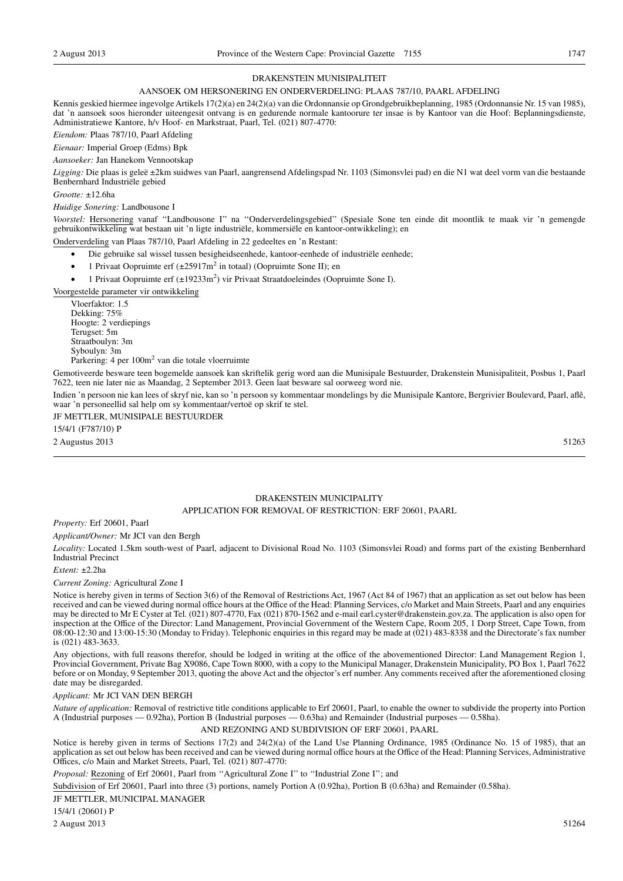#### DRAKENSTEIN MUNISIPALITEIT

#### AANSOEK OM HERSONERING EN ONDERVERDELING: PLAAS 787/10, PAARL AFDELING

Kennis geskied hiermee ingevolge Artikels 17(2)(a) en 24(2)(a) van die Ordonnansie op Grondgebruikbeplanning, 1985 (Ordonnansie Nr. 15 van 1985), dat 'n aansoek soos hieronder uiteengesit ontvang is en gedurende normale kantoorure ter insae is by Kantoor van die Hoof: Beplanningsdienste, Administratiewe Kantore, h/v Hoof- en Markstraat, Paarl, Tel. (021) 807-4770:

*Eiendom:* Plaas 787/10, Paarl Afdeling

*Eienaar:* Imperial Groep (Edms) Bpk

*Aansoeker:* Jan Hanekom Vennootskap

*Ligging:* Die plaas is geleë ±2km suidwes van Paarl, aangrensend Afdelingspad Nr. 1103 (Simonsvlei pad) en die N1 wat deel vorm van die bestaande Benbernhard Industriële gebied

*Grootte:* ±12.6ha

*Huidige Sonering:* Landbousone I

*Voorstel:* Hersonering vanaf ''Landbousone I'' na ''Onderverdelingsgebied'' (Spesiale Sone ten einde dit moontlik te maak vir 'n gemengde gebruikontwikkeling wat bestaan uit 'n ligte industriële, kommersiële en kantoor-ontwikkeling); en

Onderverdeling van Plaas 787/10, Paarl Afdeling in 22 gedeeltes en 'n Restant:

- Die gebruike sal wissel tussen besigheidseenhede, kantoor-eenhede of industriële eenhede;
- 1 Privaat Oopruimte erf  $(\pm 25917 \text{m}^2$  in totaal) (Oopruimte Sone II); en
- 1 Privaat Oopruimte erf  $(\pm 19233 \text{m}^2)$  vir Privaat Straatdoeleindes (Oopruimte Sone I).

Voorgestelde parameter vir ontwikkeling

Vloerfaktor: 1.5 Dekking: 75% Hoogte: 2 verdiepings Terugset: 5m Straatboulyn: 3m Syboulyn: 3m

Parkering: 4 per 100m<sup>2</sup> van die totale vloerruimte

Gemotiveerde besware teen bogemelde aansoek kan skriftelik gerig word aan die Munisipale Bestuurder, Drakenstein Munisipaliteit, Posbus 1, Paarl 7622, teen nie later nie as Maandag, 2 September 2013. Geen laat besware sal oorweeg word nie.

Indien 'n persoon nie kan lees of skryf nie, kan so 'n persoon sy kommentaar mondelings by die Munisipale Kantore, Bergrivier Boulevard, Paarl, aflê, waar 'n personeellid sal help om sy kommentaar/vertoë op skrif te stel.

#### JF METTLER, MUNISIPALE BESTUURDER

15/4/1 (F787/10) P

2 Augustus 2013 51263

#### DRAKENSTEIN MUNICIPALITY

#### APPLICATION FOR REMOVAL OF RESTRICTION: ERF 20601, PAARL

#### *Property:* Erf 20601, Paarl

#### *Applicant/Owner:* Mr JCI van den Bergh

*Locality:* Located 1.5km south-west of Paarl, adjacent to Divisional Road No. 1103 (Simonsvlei Road) and forms part of the existing Benbernhard Industrial Precinct

#### *Extent:* ±2.2ha

#### *Current Zoning:* Agricultural Zone I

Notice is hereby given in terms of Section 3(6) of the Removal of Restrictions Act, 1967 (Act 84 of 1967) that an application as set out below has been received and can be viewed during normal office hours at the Office of the Head: Planning Services, c/o Market and Main Streets, Paarl and any enquiries may be directed to Mr E Cyster at Tel. (021) 807-4770, Fax (021) 870-1562 and e-mail earl.cyster@drakenstein.gov.za. The application is also open for inspection at the Office of the Director: Land Management, Provincial Government of the Western Cape, Room 205, 1 Dorp Street, Cape Town, from 08:00-12:30 and 13:00-15:30 (Monday to Friday). Telephonic enquiries in this regard may be made at (021) 483-8338 and the Directorate's fax number is (021) 483-3633.

Any objections, with full reasons therefor, should be lodged in writing at the office of the abovementioned Director: Land Management Region 1, Provincial Government, Private Bag X9086, Cape Town 8000, with a copy to the Municipal Manager, Drakenstein Municipality, PO Box 1, Paarl 7622 before or on Monday, 9 September 2013, quoting the above Act and the objector's erf number. Any comments received after the aforementioned closing date may be disregarded.

#### *Applicant:* Mr JCI VAN DEN BERGH

*Nature of application:* Removal of restrictive title conditions applicable to Erf 20601, Paarl, to enable the owner to subdivide the property into Portion A (Industrial purposes — 0.92ha), Portion B (Industrial purposes — 0.63ha) and Remainder (Industrial purposes — 0.58ha).

#### AND REZONING AND SUBDIVISION OF ERF 20601, PAARL

Notice is hereby given in terms of Sections 17(2) and 24(2)(a) of the Land Use Planning Ordinance, 1985 (Ordinance No. 15 of 1985), that an application as set out below has been received and can be viewed during normal office hours at the Office of the Head: Planning Services, Administrative Offices, c/o Main and Market Streets, Paarl, Tel. (021) 807-4770:

*Proposal:* Rezoning of Erf 20601, Paarl from ''Agricultural Zone I'' to ''Industrial Zone I''; and

Subdivision of Erf 20601, Paarl into three (3) portions, namely Portion A (0.92ha), Portion B (0.63ha) and Remainder (0.58ha).

JF METTLER, MUNICIPAL MANAGER

15/4/1 (20601) P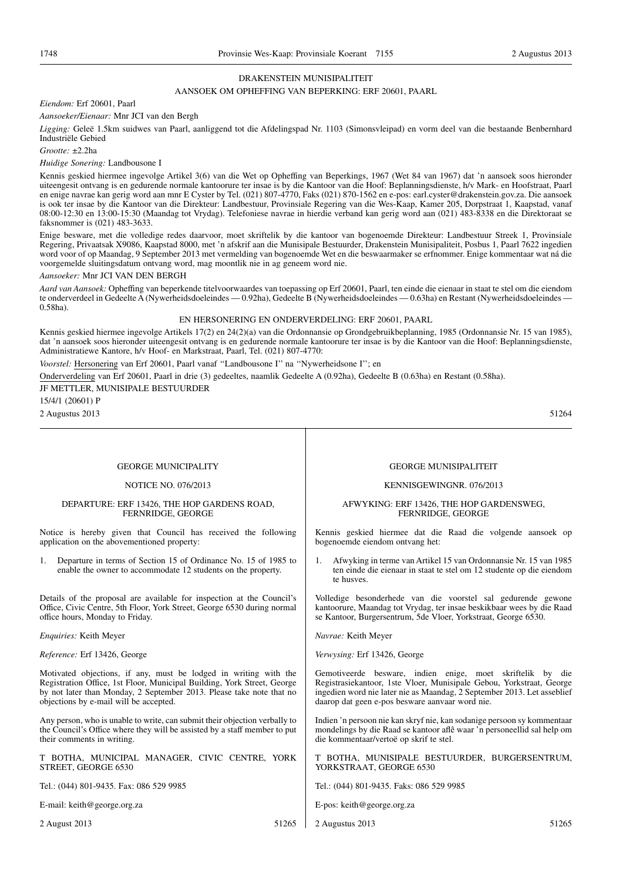#### DRAKENSTEIN MUNISIPALITEIT

#### AANSOEK OM OPHEFFING VAN BEPERKING: ERF 20601, PAARL

*Eiendom:* Erf 20601, Paarl

*Aansoeker/Eienaar:* Mnr JCI van den Bergh

*Ligging:* Geleë 1.5km suidwes van Paarl, aanliggend tot die Afdelingspad Nr. 1103 (Simonsvleipad) en vorm deel van die bestaande Benbernhard Industriële Gebied

*Grootte:* ±2.2ha

*Huidige Sonering:* Landbousone I

Kennis geskied hiermee ingevolge Artikel 3(6) van die Wet op Opheffing van Beperkings, 1967 (Wet 84 van 1967) dat 'n aansoek soos hieronder uiteengesit ontvang is en gedurende normale kantoorure ter insae is by die Kantoor van die Hoof: Beplanningsdienste, h/v Mark- en Hoofstraat, Paarl en enige navrae kan gerig word aan mnr E Cyster by Tel. (021) 807-4770, Faks (021) 870-1562 en e-pos: earl.cyster@drakenstein.gov.za. Die aansoek is ook ter insae by die Kantoor van die Direkteur: Landbestuur, Provinsiale Regering van die Wes-Kaap, Kamer 205, Dorpstraat 1, Kaapstad, vanaf 08:00-12:30 en 13:00-15:30 (Maandag tot Vrydag). Telefoniese navrae in hierdie verband kan gerig word aan (021) 483-8338 en die Direktoraat se faksnommer is (021) 483-3633.

Enige besware, met die volledige redes daarvoor, moet skriftelik by die kantoor van bogenoemde Direkteur: Landbestuur Streek 1, Provinsiale Regering, Privaatsak X9086, Kaapstad 8000, met 'n afskrif aan die Munisipale Bestuurder, Drakenstein Munisipaliteit, Posbus 1, Paarl 7622 ingedien word voor of op Maandag, 9 September 2013 met vermelding van bogenoemde Wet en die beswaarmaker se erfnommer. Enige kommentaar wat ná die voorgemelde sluitingsdatum ontvang word, mag moontlik nie in ag geneem word nie.

#### *Aansoeker:* Mnr JCI VAN DEN BERGH

*Aard van Aansoek:* Opheffing van beperkende titelvoorwaardes van toepassing op Erf 20601, Paarl, ten einde die eienaar in staat te stel om die eiendom te onderverdeel in Gedeelte A (Nywerheidsdoeleindes — 0.92ha), Gedeelte B (Nywerheidsdoeleindes — 0.63ha) en Restant (Nywerheidsdoeleindes — 0.58ha).

#### EN HERSONERING EN ONDERVERDELING: ERF 20601, PAARL

Kennis geskied hiermee ingevolge Artikels 17(2) en 24(2)(a) van die Ordonnansie op Grondgebruikbeplanning, 1985 (Ordonnansie Nr. 15 van 1985), dat 'n aansoek soos hieronder uiteengesit ontvang is en gedurende normale kantoorure ter insae is by die Kantoor van die Hoof: Beplanningsdienste, Administratiewe Kantore, h/v Hoof- en Markstraat, Paarl, Tel. (021) 807-4770:

*Voorstel:* Hersonering van Erf 20601, Paarl vanaf ''Landbousone I'' na ''Nywerheidsone I''; en

Onderverdeling van Erf 20601, Paarl in drie (3) gedeeltes, naamlik Gedeelte A (0.92ha), Gedeelte B (0.63ha) en Restant (0.58ha).

JF METTLER, MUNISIPALE BESTUURDER

15/4/1 (20601) P

2 Augustus 2013 51264

#### GEORGE MUNICIPALITY

#### NOTICE NO. 076/2013

#### DEPARTURE: ERF 13426, THE HOP GARDENS ROAD, FERNRIDGE, GEORGE

Notice is hereby given that Council has received the following application on the abovementioned property:

1. Departure in terms of Section 15 of Ordinance No. 15 of 1985 to enable the owner to accommodate 12 students on the property.

Details of the proposal are available for inspection at the Council's Office, Civic Centre, 5th Floor, York Street, George 6530 during normal office hours, Monday to Friday.

*Enquiries:* Keith Meyer

*Reference:* Erf 13426, George

Motivated objections, if any, must be lodged in writing with the Registration Office, 1st Floor, Municipal Building, York Street, George by not later than Monday, 2 September 2013. Please take note that no objections by e-mail will be accepted.

Any person, who is unable to write, can submit their objection verbally to the Council's Office where they will be assisted by a staff member to put their comments in writing.

T BOTHA, MUNICIPAL MANAGER, CIVIC CENTRE, YORK STREET, GEORGE 6530

Tel.: (044) 801-9435. Fax: 086 529 9985

E-mail: keith@george.org.za

2 August 2013 51265

#### GEORGE MUNISIPALITEIT

#### KENNISGEWINGNR. 076/2013

#### AFWYKING: ERF 13426, THE HOP GARDENSWEG, FERNRIDGE, GEORGE

Kennis geskied hiermee dat die Raad die volgende aansoek op bogenoemde eiendom ontvang het:

1. Afwyking in terme van Artikel 15 van Ordonnansie Nr. 15 van 1985 ten einde die eienaar in staat te stel om 12 studente op die eiendom te husves.

Volledige besonderhede van die voorstel sal gedurende gewone kantoorure, Maandag tot Vrydag, ter insae beskikbaar wees by die Raad se Kantoor, Burgersentrum, 5de Vloer, Yorkstraat, George 6530.

*Navrae:* Keith Meyer

*Verwysing:* Erf 13426, George

Gemotiveerde besware, indien enige, moet skriftelik by die Registrasiekantoor, 1ste Vloer, Munisipale Gebou, Yorkstraat, George ingedien word nie later nie as Maandag, 2 September 2013. Let asseblief daarop dat geen e-pos besware aanvaar word nie.

Indien 'n persoon nie kan skryf nie, kan sodanige persoon sy kommentaar mondelings by die Raad se kantoor aflê waar 'n personeellid sal help om die kommentaar/vertoë op skrif te stel.

T BOTHA, MUNISIPALE BESTUURDER, BURGERSENTRUM, YORKSTRAAT, GEORGE 6530

Tel.: (044) 801-9435. Faks: 086 529 9985

E-pos: keith@george.org.za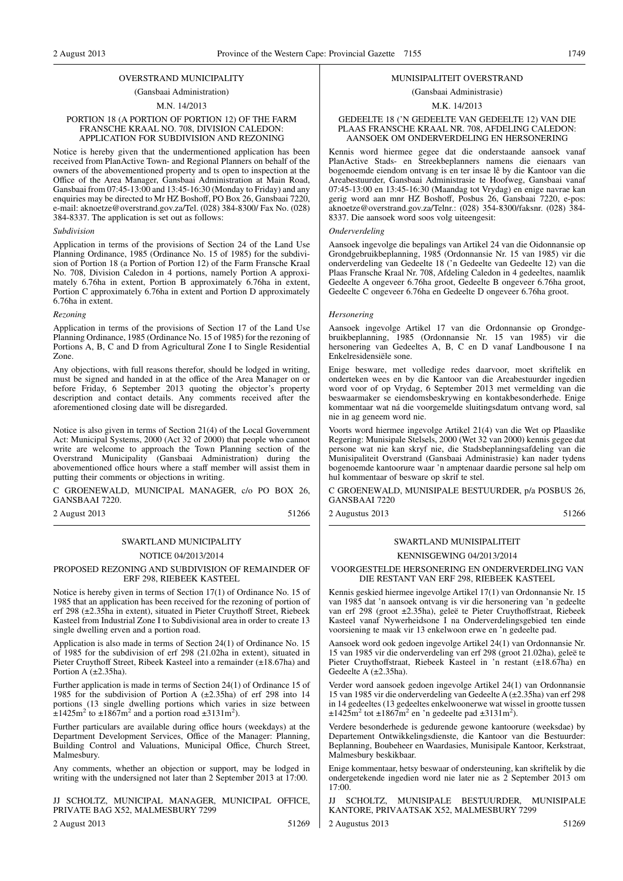#### OVERSTRAND MUNICIPALITY

#### (Gansbaai Administration)

#### M.N. 14/2013

#### PORTION 18 (A PORTION OF PORTION 12) OF THE FARM FRANSCHE KRAAL NO. 708, DIVISION CALEDON: APPLICATION FOR SUBDIVISION AND REZONING

Notice is hereby given that the undermentioned application has been received from PlanActive Town- and Regional Planners on behalf of the owners of the abovementioned property and ts open to inspection at the Office of the Area Manager, Gansbaai Administration at Main Road, Gansbaai from 07:45-13:00 and 13:45-16:30 (Monday to Friday) and any enquiries may be directed to Mr HZ Boshoff, PO Box 26, Gansbaai 7220, e-mail: aknoetze@overstrand.gov.za/Tel. (028) 384-8300/ Fax No. (028) 384-8337. The application is set out as follows:

#### *Subdivision*

Application in terms of the provisions of Section 24 of the Land Use Planning Ordinance, 1985 (Ordinance No. 15 of 1985) for the subdivision of Portion 18 (a Portion of Portion 12) of the Farm Fransche Kraal No. 708, Division Caledon in 4 portions, namely Portion A approximately 6.76ha in extent. Portion B approximately 6.76ha in extent, Portion C approximately 6.76ha in extent and Portion D approximately 6.76ha in extent.

#### *Rezoning*

Application in terms of the provisions of Section 17 of the Land Use Planning Ordinance, 1985 (Ordinance No. 15 of 1985) for the rezoning of Portions A, B, C and D from Agricultural Zone I to Single Residential Zone.

Any objections, with full reasons therefor, should be lodged in writing, must be signed and handed in at the office of the Area Manager on or before Friday, 6 September 2013 quoting the objector's property description and contact details. Any comments received after the aforementioned closing date will be disregarded.

Notice is also given in terms of Section 21(4) of the Local Government Act: Municipal Systems, 2000 (Act 32 of 2000) that people who cannot write are welcome to approach the Town Planning section of the Overstrand Municipality (Gansbaai Administration) during the abovementioned office hours where a staff member will assist them in putting their comments or objections in writing.

C GROENEWALD, MUNICIPAL MANAGER, c/o PO BOX 26, GANSBAAI 7220.

2 August 2013 51266

#### SWARTLAND MUNICIPALITY

#### NOTICE 04/2013/2014

#### PROPOSED REZONING AND SUBDIVISION OF REMAINDER OF ERF 298, RIEBEEK KASTEEL

Notice is hereby given in terms of Section 17(1) of Ordinance No. 15 of 1985 that an application has been received for the rezoning of portion of erf 298 (±2.35ha in extent), situated in Pieter Cruythoff Street, Riebeek Kasteel from Industrial Zone I to Subdivisional area in order to create 13 single dwelling erven and a portion road.

Application is also made in terms of Section 24(1) of Ordinance No. 15 of 1985 for the subdivision of erf 298 (21.02ha in extent), situated in Pieter Cruythoff Street, Ribeek Kasteel into a remainder (±18.67ha) and Portion A (±2.35ha).

Further application is made in terms of Section 24(1) of Ordinance 15 of 1985 for the subdivision of Portion A (±2.35ha) of erf 298 into 14 portions (13 single dwelling portions which varies in size between  $\pm 1425$ m<sup>2</sup> to  $\pm 1867$ m<sup>2</sup> and a portion road  $\pm 3131$ m<sup>2</sup>).

Further particulars are available during office hours (weekdays) at the Department Development Services, Office of the Manager: Planning, Building Control and Valuations, Municipal Office, Church Street, Malmesbury.

Any comments, whether an objection or support, may be lodged in writing with the undersigned not later than 2 September 2013 at 17:00.

JJ SCHOLTZ, MUNICIPAL MANAGER, MUNICIPAL OFFICE, PRIVATE BAG X52, MALMESBURY 7299

2 August 2013 51269

#### MUNISIPALITEIT OVERSTRAND

#### (Gansbaai Administrasie)

#### M.K. 14/2013

#### GEDEELTE 18 ('N GEDEELTE VAN GEDEELTE 12) VAN DIE PLAAS FRANSCHE KRAAL NR. 708, AFDELING CALEDON: AANSOEK OM ONDERVERDELING EN HERSONERING

Kennis word hiermee gegee dat die onderstaande aansoek vanaf PlanActive Stads- en Streekbeplanners namens die eienaars van bogenoemde eiendom ontvang is en ter insae lê by die Kantoor van die Areabestuurder, Gansbaai Administrasie te Hoofweg, Gansbaai vanaf 07:45-13:00 en 13:45-16:30 (Maandag tot Vrydag) en enige navrae kan gerig word aan mnr HZ Boshoff, Posbus 26, Gansbaai 7220, e-pos: aknoetze@overstrand.gov.za/Telnr.: (028) 354-8300/faksnr. (028) 384- 8337. Die aansoek word soos volg uiteengesit:

#### *Onderverdeling*

Aansoek ingevolge die bepalings van Artikel 24 van die Oidonnansie op Grondgebruikbeplanning, 1985 (Ordonnansie Nr. 15 van 1985) vir die onderverdeling van Gedeelte 18 ('n Gedeelte van Gedeelte 12) van die Plaas Fransche Kraal Nr. 708, Afdeling Caledon in 4 gedeeltes, naamlik Gedeelte A ongeveer 6.76ha groot, Gedeelte B ongeveer 6.76ha groot, Gedeelte C ongeveer 6.76ha en Gedeelte D ongeveer 6.76ha groot.

#### *Hersonering*

Aansoek ingevolge Artikel 17 van die Ordonnansie op Grondgebruikbeplanning, 1985 (Ordonnansie Nr. 15 van 1985) vir die hersonering van Gedeeltes A, B, C en D vanaf Landbousone I na Enkelresidensiële sone.

Enige besware, met volledige redes daarvoor, moet skriftelik en onderteken wees en by die Kantoor van die Areabestuurder ingedien word voor of op Vrydag, 6 September 2013 met vermelding van die beswaarmaker se eiendomsbeskrywing en kontakbesonderhede. Enige kommentaar wat ná die voorgemelde sluitingsdatum ontvang word, sal nie in ag geneem word nie.

Voorts word hiermee ingevolge Artikel 21(4) van die Wet op Plaaslike Regering: Munisipale Stelsels, 2000 (Wet 32 van 2000) kennis gegee dat persone wat nie kan skryf nie, die Stadsbeplanningsafdeling van die Munisipaliteit Overstrand (Gansbaai Administrasie) kan nader tydens bogenoemde kantoorure waar 'n amptenaar daardie persone sal help om hul kommentaar of besware op skrif te stel.

C GROENEWALD, MUNISIPALE BESTUURDER, p/a POSBUS 26, GANSBAAI 7220

2 Augustus 2013 51266

#### SWARTLAND MUNISIPALITEIT KENNISGEWING 04/2013/2014

#### VOORGESTELDE HERSONERING EN ONDERVERDELING VAN DIE RESTANT VAN ERF 298, RIEBEEK KASTEEL

Kennis geskied hiermee ingevolge Artikel 17(1) van Ordonnansie Nr. 15 van 1985 dat 'n aansoek ontvang is vir die hersonering van 'n gedeelte van erf 298 (groot ±2.35ha), geleë te Pieter Cruythoffstraat, Riebeek Kasteel vanaf Nywerheidsone I na Onderverdelingsgebied ten einde voorsiening te maak vir 13 enkelwoon erwe en 'n gedeelte pad.

Aansoek word ook gedoen ingevolge Artikel 24(1) van Ordonnansie Nr. 15 van 1985 vir die onderverdeling van erf 298 (groot 21.02ha), geleë te Pieter Cruythoffstraat, Riebeek Kasteel in 'n restant (±18.67ha) en Gedeelte A (±2.35ha).

Verder word aansoek gedoen ingevolge Artikel 24(1) van Ordonnansie 15 van 1985 vir die onderverdeling van Gedeelte A (±2.35ha) van erf 298 in 14 gedeeltes (13 gedeeltes enkelwoonerwe wat wissel in grootte tussen  $\pm 1425$ m<sup>2</sup> tot  $\pm 1867$ m<sup>2</sup> en 'n gedeelte pad  $\pm 3131$ m<sup>2</sup>).

Verdere besonderhede is gedurende gewone kantoorure (weeksdae) by Departement Ontwikkelingsdienste, die Kantoor van die Bestuurder: Beplanning, Boubeheer en Waardasies, Munisipale Kantoor, Kerkstraat, Malmesbury beskikbaar.

Enige kommentaar, hetsy beswaar of ondersteuning, kan skriftelik by die ondergetekende ingedien word nie later nie as 2 September 2013 om  $17.00$ 

SCHOLTZ, MUNISIPALE BESTUURDER, MUNISIPALE KANTORE, PRIVAATSAK X52, MALMESBURY 7299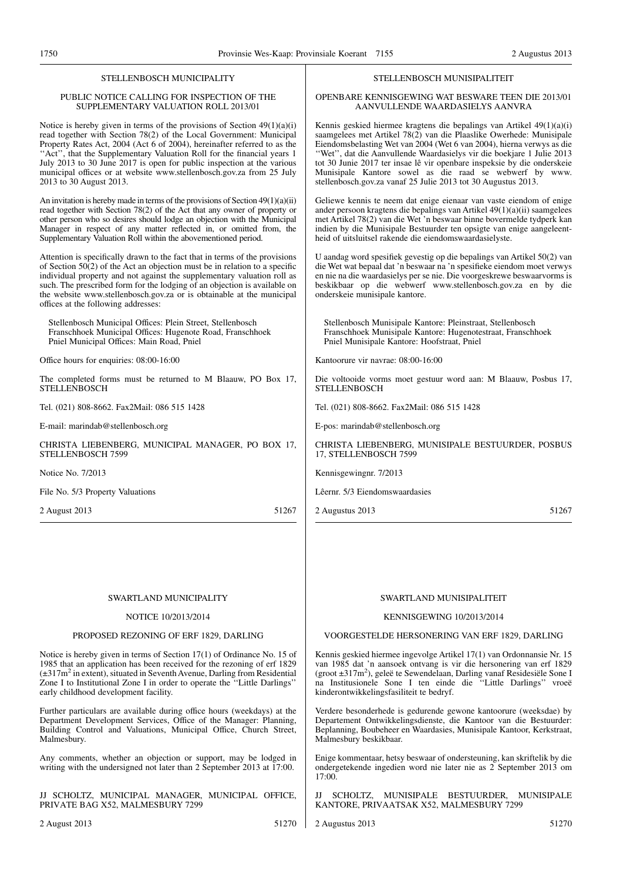#### STELLENBOSCH MUNICIPALITY

#### PUBLIC NOTICE CALLING FOR INSPECTION OF THE SUPPLEMENTARY VALUATION ROLL 2013/01

Notice is hereby given in terms of the provisions of Section  $49(1)(a)(i)$ read together with Section 78(2) of the Local Government: Municipal Property Rates Act, 2004 (Act 6 of 2004), hereinafter referred to as the "Act", that the Supplementary Valuation Roll for the financial years 1 July 2013 to 30 June 2017 is open for public inspection at the various municipal offices or at website www.stellenbosch.gov.za from 25 July 2013 to 30 August 2013.

An invitation is hereby made in terms of the provisions of Section 49(1)(a)(ii) read together with Section 78(2) of the Act that any owner of property or other person who so desires should lodge an objection with the Municipal Manager in respect of any matter reflected in, or omitted from, the Supplementary Valuation Roll within the abovementioned period.

Attention is specifically drawn to the fact that in terms of the provisions of Section 50(2) of the Act an objection must be in relation to a specific individual property and not against the supplementary valuation roll as such. The prescribed form for the lodging of an objection is available on the website www.stellenbosch.gov.za or is obtainable at the municipal offices at the following addresses:

Stellenbosch Municipal Offices: Plein Street, Stellenbosch Franschhoek Municipal Offices: Hugenote Road, Franschhoek Pniel Municipal Offices: Main Road, Pniel

Office hours for enquiries: 08:00-16:00

The completed forms must be returned to M Blaauw, PO Box 17, **STELLENBOSCH** 

Tel. (021) 808-8662. Fax2Mail: 086 515 1428

E-mail: marindab@stellenbosch.org

CHRISTA LIEBENBERG, MUNICIPAL MANAGER, PO BOX 17, STELLENBOSCH 7599

Notice No. 7/2013

File No. 5/3 Property Valuations

2 August 2013 51267

#### STELLENBOSCH MUNISIPALITEIT

#### OPENBARE KENNISGEWING WAT BESWARE TEEN DIE 2013/01 AANVULLENDE WAARDASIELYS AANVRA

Kennis geskied hiermee kragtens die bepalings van Artikel 49(1)(a)(i) saamgelees met Artikel 78(2) van die Plaaslike Owerhede: Munisipale Eiendomsbelasting Wet van 2004 (Wet 6 van 2004), hierna verwys as die ''Wet'', dat die Aanvullende Waardasielys vir die boekjare 1 Julie 2013 tot 30 Junie 2017 ter insae lê vir openbare inspeksie by die onderskeie Munisipale Kantore sowel as die raad se webwerf by www. stellenbosch.gov.za vanaf 25 Julie 2013 tot 30 Augustus 2013.

Geliewe kennis te neem dat enige eienaar van vaste eiendom of enige ander persoon kragtens die bepalings van Artikel 49(1)(a)(ii) saamgelees met Artikel 78(2) van die Wet 'n beswaar binne bovermelde tydperk kan indien by die Munisipale Bestuurder ten opsigte van enige aangeleentheid of uitsluitsel rakende die eiendomswaardasielyste.

U aandag word spesifiek gevestig op die bepalings van Artikel 50(2) van die Wet wat bepaal dat 'n beswaar na 'n spesifieke eiendom moet verwys en nie na die waardasielys per se nie. Die voorgeskrewe beswaarvorms is beskikbaar op die webwerf www.stellenbosch.gov.za en by die onderskeie munisipale kantore.

Stellenbosch Munisipale Kantore: Pleinstraat, Stellenbosch Franschhoek Munisipale Kantore: Hugenotestraat, Franschhoek Pniel Munisipale Kantore: Hoofstraat, Pniel

Kantoorure vir navrae: 08:00-16:00

Die voltooide vorms moet gestuur word aan: M Blaauw, Posbus 17, **STELLENBOSCH** 

Tel. (021) 808-8662. Fax2Mail: 086 515 1428

E-pos: marindab@stellenbosch.org

CHRISTA LIEBENBERG, MUNISIPALE BESTUURDER, POSBUS 17, STELLENBOSCH 7599

Kennisgewingnr. 7/2013

Lêernr. 5/3 Eiendomswaardasies

2 Augustus 2013 51267

#### SWARTLAND MUNICIPALITY

#### NOTICE 10/2013/2014

#### PROPOSED REZONING OF ERF 1829, DARLING

Notice is hereby given in terms of Section 17(1) of Ordinance No. 15 of 1985 that an application has been received for the rezoning of erf 1829  $(\pm 317m^2$  in extent), situated in Seventh Avenue, Darling from Residential Zone I to Institutional Zone I in order to operate the ''Little Darlings'' early childhood development facility.

Further particulars are available during office hours (weekdays) at the Department Development Services, Office of the Manager: Planning, Building Control and Valuations, Municipal Office, Church Street, Malmesbury.

Any comments, whether an objection or support, may be lodged in writing with the undersigned not later than 2 September 2013 at 17:00.

JJ SCHOLTZ, MUNICIPAL MANAGER, MUNICIPAL OFFICE, PRIVATE BAG X52, MALMESBURY 7299

#### SWARTLAND MUNISIPALITEIT

#### KENNISGEWING 10/2013/2014

VOORGESTELDE HERSONERING VAN ERF 1829, DARLING

Kennis geskied hiermee ingevolge Artikel 17(1) van Ordonnansie Nr. 15 van 1985 dat 'n aansoek ontvang is vir die hersonering van erf 1829 (groot ±317m<sup>2</sup>), geleë te Sewendelaan, Darling vanaf Residesiële Sone l na Institusionele Sone I ten einde die ''Little Darlings'' vroeë kinderontwikkelingsfasiliteit te bedryf.

Verdere besonderhede is gedurende gewone kantoorure (weeksdae) by Departement Ontwikkelingsdienste, die Kantoor van die Bestuurder: Beplanning, Boubeheer en Waardasies, Munisipale Kantoor, Kerkstraat, Malmesbury beskikbaar.

Enige kommentaar, hetsy beswaar of ondersteuning, kan skriftelik by die ondergetekende ingedien word nie later nie as 2 September 2013 om 17:00.

JJ SCHOLTZ, MUNISIPALE BESTUURDER, MUNISIPALE KANTORE, PRIVAATSAK X52, MALMESBURY 7299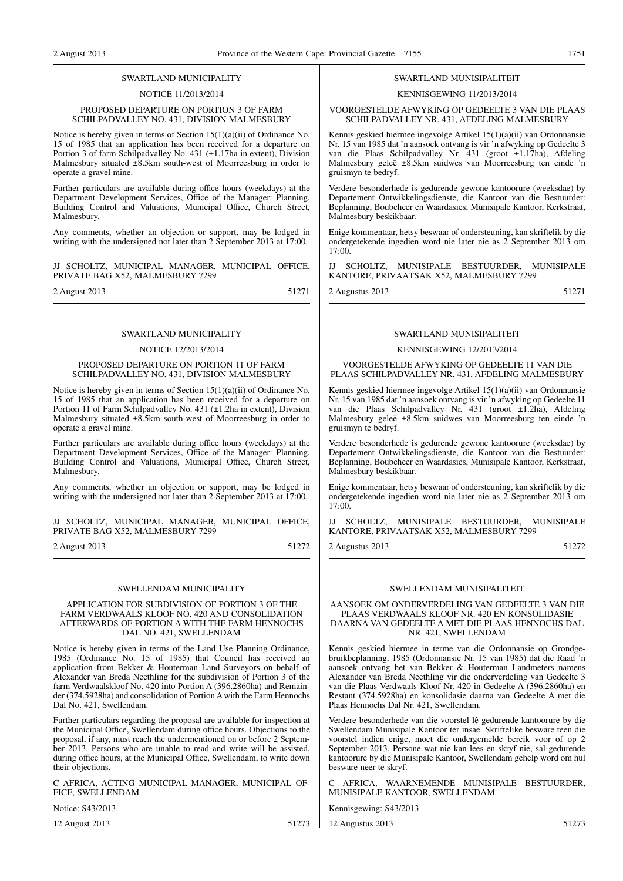#### SWARTLAND MUNICIPALITY

#### NOTICE 11/2013/2014

#### PROPOSED DEPARTURE ON PORTION 3 OF FARM SCHILPADVALLEY NO. 431, DIVISION MALMESBURY

Notice is hereby given in terms of Section 15(1)(a)(ii) of Ordinance No. 15 of 1985 that an application has been received for a departure on Portion 3 of farm Schilpadvalley No. 431 (±1.17ha in extent), Division Malmesbury situated ±8.5km south-west of Moorreesburg in order to operate a gravel mine.

Further particulars are available during office hours (weekdays) at the Department Development Services, Office of the Manager: Planning, Building Control and Valuations, Municipal Office, Church Street, Malmesbury.

Any comments, whether an objection or support, may be lodged in writing with the undersigned not later than 2 September 2013 at 17:00.

JJ SCHOLTZ, MUNICIPAL MANAGER, MUNICIPAL OFFICE, PRIVATE BAG X52, MALMESBURY 7299

2 August 2013 51271

#### SWARTL AND MUNICIPALITY

#### NOTICE 12/2013/2014

#### PROPOSED DEPARTURE ON PORTION 11 OF FARM SCHILPADVALLEY NO. 431, DIVISION MALMESBURY

Notice is hereby given in terms of Section 15(1)(a)(ii) of Ordinance No. 15 of 1985 that an application has been received for a departure on Portion 11 of Farm Schilpadvalley No. 431 (±1.2ha in extent), Division Malmesbury situated  $\pm$ 8.5km south-west of Moorreesburg in order to operate a gravel mine.

Further particulars are available during office hours (weekdays) at the Department Development Services, Office of the Manager: Planning, Building Control and Valuations, Municipal Office, Church Street, Malmesbury.

Any comments, whether an objection or support, may be lodged in writing with the undersigned not later than 2 September 2013 at 17:00.

JJ SCHOLTZ, MUNICIPAL MANAGER, MUNICIPAL OFFICE, PRIVATE BAG X52, MALMESBURY 7299

2 August 2013 51272

#### SWELLENDAM MUNICIPALITY

#### APPLICATION FOR SUBDIVISION OF PORTION 3 OF THE FARM VERDWAALS KLOOF NO. 420 AND CONSOLIDATION AFTERWARDS OF PORTION A WITH THE FARM HENNOCHS DAL NO. 421, SWELLENDAM

Notice is hereby given in terms of the Land Use Planning Ordinance, 1985 (Ordinance No. 15 of 1985) that Council has received an application from Bekker & Houterman Land Surveyors on behalf of Alexander van Breda Neethling for the subdivision of Portion 3 of the farm Verdwaalskloof No. 420 into Portion A (396.2860ha) and Remainder (374.5928ha) and consolidation of Portion A with the Farm Hennochs Dal No. 421, Swellendam.

Further particulars regarding the proposal are available for inspection at the Municipal Office, Swellendam during office hours. Objections to the proposal, if any, must reach the undermentioned on or before 2 September 2013. Persons who are unable to read and write will be assisted, during office hours, at the Municipal Office, Swellendam, to write down their objections.

C AFRICA, ACTING MUNICIPAL MANAGER, MUNICIPAL OF-FICE, SWELLENDAM

Notice: S43/2013

12 August 2013 51273

#### SWARTLAND MUNISIPALITEIT

#### KENNISGEWING 11/2013/2014

VOORGESTELDE AFWYKING OP GEDEELTE 3 VAN DIE PLAAS SCHILPADVALLEY NR. 431, AFDELING MALMESBURY

Kennis geskied hiermee ingevolge Artikel 15(1)(a)(ii) van Ordonnansie Nr. 15 van 1985 dat 'n aansoek ontvang is vir 'n afwyking op Gedeelte 3 van die Plaas Schilpadvalley Nr. 431 (groot ±1.17ha), Afdeling Malmesbury geleë ±8.5km suidwes van Moorreesburg ten einde 'n gruismyn te bedryf.

Verdere besonderhede is gedurende gewone kantoorure (weeksdae) by Departement Ontwikkelingsdienste, die Kantoor van die Bestuurder: Beplanning, Boubeheer en Waardasies, Munisipale Kantoor, Kerkstraat, Malmesbury beskikbaar.

Enige kommentaar, hetsy beswaar of ondersteuning, kan skriftelik by die ondergetekende ingedien word nie later nie as 2 September 2013 om  $17:00$ .

JJ SCHOLTZ, MUNISIPALE BESTUURDER, MUNISIPALE KANTORE, PRIVAATSAK X52, MALMESBURY 7299

2 Augustus 2013 51271

### SWARTLAND MUNISIPALITEIT

#### KENNISGEWING 12/2013/2014

VOORGESTELDE AFWYKING OP GEDEELTE 11 VAN DIE PLAAS SCHILPADVALLEY NR. 431, AFDELING MALMESBURY

Kennis geskied hiermee ingevolge Artikel 15(1)(a)(ii) van Ordonnansie Nr. 15 van 1985 dat 'n aansoek ontvang is vir 'n afwyking op Gedeelte 11 van die Plaas Schilpadvalley Nr. 431 (groot ±1.2ha), Afdeling Malmesbury geleë ±8.5km suidwes van Moorreesburg ten einde 'n gruismyn te bedryf.

Verdere besonderhede is gedurende gewone kantoorure (weeksdae) by Departement Ontwikkelingsdienste, die Kantoor van die Bestuurder: Beplanning, Boubeheer en Waardasies, Munisipale Kantoor, Kerkstraat, Malmesbury beskikbaar.

Enige kommentaar, hetsy beswaar of ondersteuning, kan skriftelik by die ondergetekende ingedien word nie later nie as 2 September 2013 om  $17:00$ 

SCHOLTZ, MUNISIPALE BESTUURDER, MUNISIPALE KANTORE, PRIVAATSAK X52, MALMESBURY 7299

2 Augustus 2013 51272

#### SWELLENDAM MUNISIPALITEIT

AANSOEK OM ONDERVERDELING VAN GEDEELTE 3 VAN DIE PLAAS VERDWAALS KLOOF NR. 420 EN KONSOLIDASIE DAARNA VAN GEDEELTE A MET DIE PLAAS HENNOCHS DAL NR. 421, SWELLENDAM

Kennis geskied hiermee in terme van die Ordonnansie op Grondgebruikbeplanning, 1985 (Ordonnansie Nr. 15 van 1985) dat die Raad 'n aansoek ontvang het van Bekker & Houterman Landmeters namens Alexander van Breda Neethling vir die onderverdeling van Gedeelte 3 van die Plaas Verdwaals Kloof Nr. 420 in Gedeelte A (396.2860ha) en Restant (374.5928ha) en konsolidasie daarna van Gedeelte A met die Plaas Hennochs Dal Nr. 421, Swellendam.

Verdere besonderhede van die voorstel lê gedurende kantoorure by die Swellendam Munisipale Kantoor ter insae. Skriftelike besware teen die voorstel indien enige, moet die ondergemelde bereik voor of op 2 September 2013. Persone wat nie kan lees en skryf nie, sal gedurende kantoorure by die Munisipale Kantoor, Swellendam gehelp word om hul besware neer te skryf.

AFRICA, WAARNEMENDE MUNISIPALE BESTUURDER, MUNISIPALE KANTOOR, SWELLENDAM

Kennisgewing: S43/2013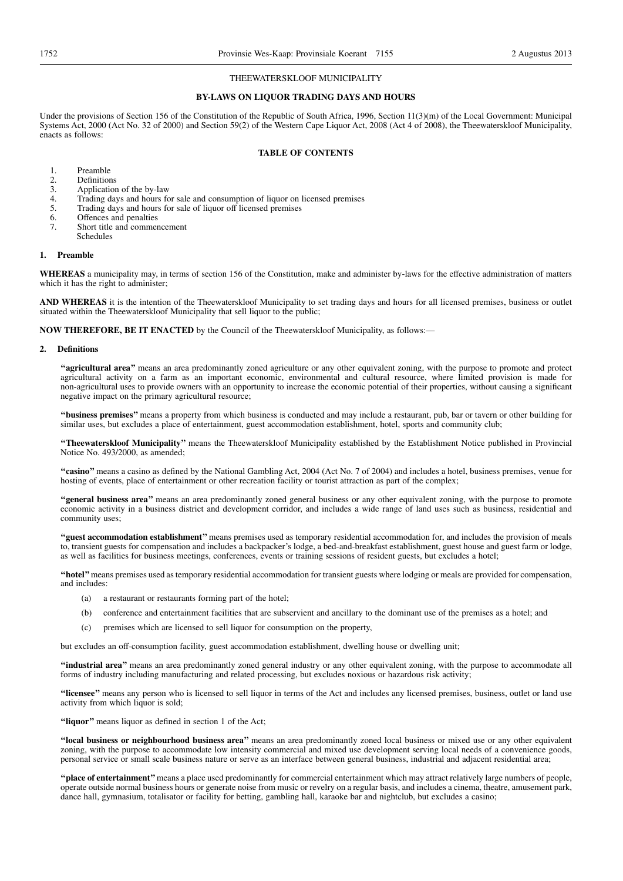#### THEEWATERSKLOOF MUNICIPALITY

#### **BY-LAWS ON LIQUOR TRADING DAYS AND HOURS**

Under the provisions of Section 156 of the Constitution of the Republic of South Africa, 1996, Section 11(3)(m) of the Local Government: Municipal Systems Act, 2000 (Act No. 32 of 2000) and Section 59(2) of the Western Cape Liquor Act, 2008 (Act 4 of 2008), the Theewaterskloof Municipality, enacts as follows:

#### **TABLE OF CONTENTS**

- 1. Preamble<br>2. Definition
- 2. Definitions<br>3. Application
- 3. Application of the by-law<br>4. Trading days and hours for
- 4. Trading days and hours for sale and consumption of liquor on licensed premises<br>5. Trading days and hours for sale of liquor off licensed premises
- 5. Trading days and hours for sale of liquor off licensed premises 6. Offences and penalties
- 6. Offences and penalties
- Short title and commencement Schedules

#### **1. Preamble**

**WHEREAS** a municipality may, in terms of section 156 of the Constitution, make and administer by-laws for the effective administration of matters which it has the right to administer;

**AND WHEREAS** it is the intention of the Theewaterskloof Municipality to set trading days and hours for all licensed premises, business or outlet situated within the Theewaterskloof Municipality that sell liquor to the public;

**NOW THEREFORE, BE IT ENACTED** by the Council of the Theewaterskloof Municipality, as follows:—

#### **2. Definitions**

**''agricultural area''** means an area predominantly zoned agriculture or any other equivalent zoning, with the purpose to promote and protect agricultural activity on a farm as an important economic, environmental and cultural resource, where limited provision is made for non-agricultural uses to provide owners with an opportunity to increase the economic potential of their properties, without causing a significant negative impact on the primary agricultural resource;

**''business premises''** means a property from which business is conducted and may include a restaurant, pub, bar or tavern or other building for similar uses, but excludes a place of entertainment, guest accommodation establishment, hotel, sports and community club;

**''Theewaterskloof Municipality''** means the Theewaterskloof Municipality established by the Establishment Notice published in Provincial Notice No. 493/2000, as amended;

**''casino''** means a casino as defined by the National Gambling Act, 2004 (Act No. 7 of 2004) and includes a hotel, business premises, venue for hosting of events, place of entertainment or other recreation facility or tourist attraction as part of the complex;

**''general business area''** means an area predominantly zoned general business or any other equivalent zoning, with the purpose to promote economic activity in a business district and development corridor, and includes a wide range of land uses such as business, residential and community uses;

**''guest accommodation establishment''** means premises used as temporary residential accommodation for, and includes the provision of meals to, transient guests for compensation and includes a backpacker's lodge, a bed-and-breakfast establishment, guest house and guest farm or lodge, as well as facilities for business meetings, conferences, events or training sessions of resident guests, but excludes a hotel;

**''hotel''**means premises used as temporary residential accommodation for transient guests where lodging or meals are provided for compensation, and includes:

- (a) a restaurant or restaurants forming part of the hotel;
- (b) conference and entertainment facilities that are subservient and ancillary to the dominant use of the premises as a hotel; and
- (c) premises which are licensed to sell liquor for consumption on the property,

but excludes an off-consumption facility, guest accommodation establishment, dwelling house or dwelling unit;

**''industrial area''** means an area predominantly zoned general industry or any other equivalent zoning, with the purpose to accommodate all forms of industry including manufacturing and related processing, but excludes noxious or hazardous risk activity;

**''licensee''** means any person who is licensed to sell liquor in terms of the Act and includes any licensed premises, business, outlet or land use activity from which liquor is sold;

**''liquor''** means liquor as defined in section 1 of the Act;

**''local business or neighbourhood business area''** means an area predominantly zoned local business or mixed use or any other equivalent zoning, with the purpose to accommodate low intensity commercial and mixed use development serving local needs of a convenience goods, personal service or small scale business nature or serve as an interface between general business, industrial and adjacent residential area;

**''place of entertainment''**means a place used predominantly for commercial entertainment which may attract relatively large numbers of people, operate outside normal business hours or generate noise from music or revelry on a regular basis, and includes a cinema, theatre, amusement park, dance hall, gymnasium, totalisator or facility for betting, gambling hall, karaoke bar and nightclub, but excludes a casino;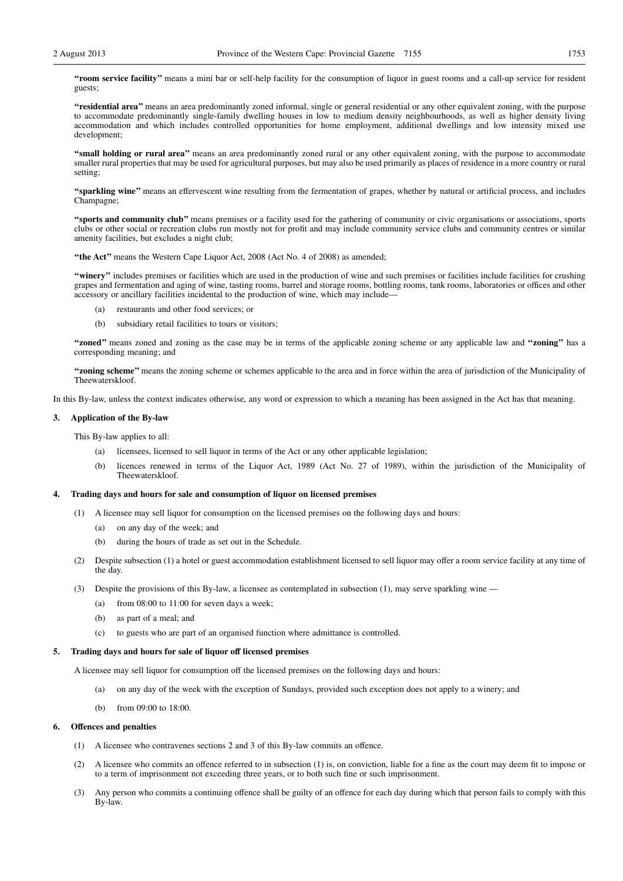**''room service facility''** means a mini bar or self-help facility for the consumption of liquor in guest rooms and a call-up service for resident guests;

**''residential area''** means an area predominantly zoned informal, single or general residential or any other equivalent zoning, with the purpose to accommodate predominantly single-family dwelling houses in low to medium density neighbourhoods, as well as higher density living accommodation and which includes controlled opportunities for home employment, additional dwellings and low intensity mixed use development;

**''small holding or rural area''** means an area predominantly zoned rural or any other equivalent zoning, with the purpose to accommodate smaller rural properties that may be used for agricultural purposes, but may also be used primarily as places of residence in a more country or rural setting;

**''sparkling wine''** means an effervescent wine resulting from the fermentation of grapes, whether by natural or artificial process, and includes Champagne;

**''sports and community club''** means premises or a facility used for the gathering of community or civic organisations or associations, sports clubs or other social or recreation clubs run mostly not for profit and may include community service clubs and community centres or similar amenity facilities, but excludes a night club;

"the Act" means the Western Cape Liquor Act, 2008 (Act No. 4 of 2008) as amended;

**''winery''** includes premises or facilities which are used in the production of wine and such premises or facilities include facilities for crushing grapes and fermentation and aging of wine, tasting rooms, barrel and storage rooms, bottling rooms, tank rooms, laboratories or offices and other accessory or ancillary facilities incidental to the production of wine, which may include—

- (a) restaurants and other food services; or
- (b) subsidiary retail facilities to tours or visitors;

**''zoned''** means zoned and zoning as the case may be in terms of the applicable zoning scheme or any applicable law and **''zoning''** has a corresponding meaning; and

**''zoning scheme''** means the zoning scheme or schemes applicable to the area and in force within the area of jurisdiction of the Municipality of Theewaterskloof.

In this By-law, unless the context indicates otherwise, any word or expression to which a meaning has been assigned in the Act has that meaning.

#### **3. Application of the By-law**

This By-law applies to all:

- (a) licensees, licensed to sell liquor in terms of the Act or any other applicable legislation;
- (b) licences renewed in terms of the Liquor Act, 1989 (Act No. 27 of 1989), within the jurisdiction of the Municipality of Theewaterskloof.

#### **4. Trading days and hours for sale and consumption of liquor on licensed premises**

- (1) A licensee may sell liquor for consumption on the licensed premises on the following days and hours:
	- (a) on any day of the week; and
	- (b) during the hours of trade as set out in the Schedule.
- (2) Despite subsection (1) a hotel or guest accommodation establishment licensed to sell liquor may offer a room service facility at any time of the day.
- (3) Despite the provisions of this By-law, a licensee as contemplated in subsection (1), may serve sparkling wine
	- (a) from 08:00 to 11:00 for seven days a week;
	- (b) as part of a meal; and
	- (c) to guests who are part of an organised function where admittance is controlled.

#### **5. Trading days and hours for sale of liquor off licensed premises**

A licensee may sell liquor for consumption off the licensed premises on the following days and hours:

- (a) on any day of the week with the exception of Sundays, provided such exception does not apply to a winery; and
- (b) from 09:00 to 18:00.

#### **6. Offences and penalties**

- (1) A licensee who contravenes sections 2 and 3 of this By-law commits an offence.
- (2) A licensee who commits an offence referred to in subsection (1) is, on conviction, liable for a fine as the court may deem fit to impose or to a term of imprisonment not exceeding three years, or to both such fine or such imprisonment.
- (3) Any person who commits a continuing offence shall be guilty of an offence for each day during which that person fails to comply with this By-law.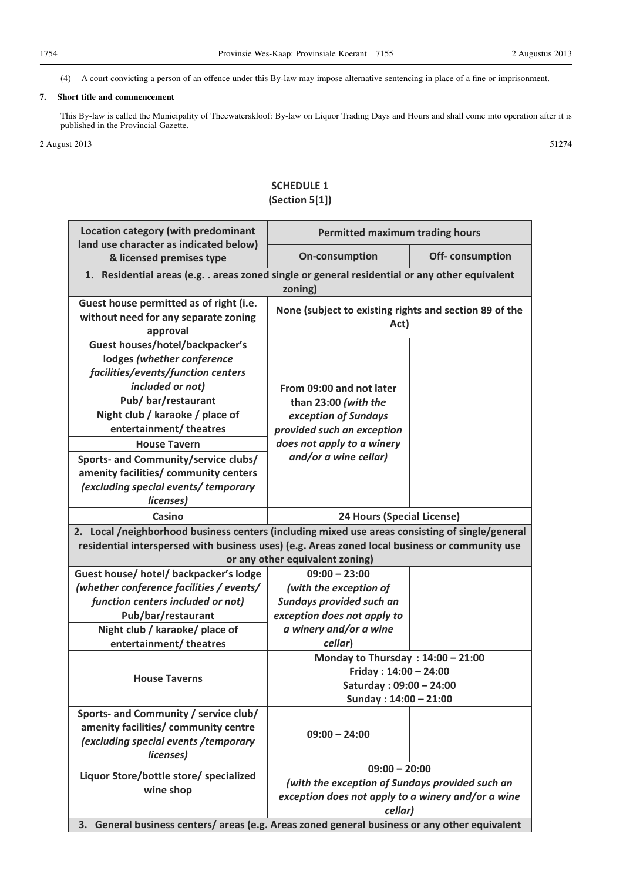(4) A court convicting a person of an offence under this By-law may impose alternative sentencing in place of a fine or imprisonment.

#### **7. Short title and commencement**

This By-law is called the Municipality of Theewaterskloof: By-law on Liquor Trading Days and Hours and shall come into operation after it is published in the Provincial Gazette.

2 August 2013 51274

#### **SCHEDULE 1 (Section 5[1])**

| Location category (with predominant                                                                                                                                                                                                                                                                                                                                      | <b>Permitted maximum trading hours</b>                                                                                                                        |                 |  |  |
|--------------------------------------------------------------------------------------------------------------------------------------------------------------------------------------------------------------------------------------------------------------------------------------------------------------------------------------------------------------------------|---------------------------------------------------------------------------------------------------------------------------------------------------------------|-----------------|--|--|
| land use character as indicated below)<br>& licensed premises type                                                                                                                                                                                                                                                                                                       | <b>On-consumption</b>                                                                                                                                         | Off-consumption |  |  |
| 1. Residential areas (e.g. . areas zoned single or general residential or any other equivalent<br>zoning)                                                                                                                                                                                                                                                                |                                                                                                                                                               |                 |  |  |
| Guest house permitted as of right (i.e.<br>without need for any separate zoning<br>approval                                                                                                                                                                                                                                                                              | None (subject to existing rights and section 89 of the<br>Act)                                                                                                |                 |  |  |
| Guest houses/hotel/backpacker's<br>lodges (whether conference<br>facilities/events/function centers<br>included or not)<br>Pub/bar/restaurant<br>Night club / karaoke / place of<br>entertainment/ theatres<br><b>House Tavern</b><br>Sports- and Community/service clubs/<br>amenity facilities/ community centers<br>(excluding special events/ temporary<br>licenses) | From 09:00 and not later<br>than 23:00 (with the<br>exception of Sundays<br>provided such an exception<br>does not apply to a winery<br>and/or a wine cellar) |                 |  |  |
| Casino                                                                                                                                                                                                                                                                                                                                                                   |                                                                                                                                                               |                 |  |  |
| 24 Hours (Special License)<br>2. Local /neighborhood business centers (including mixed use areas consisting of single/general                                                                                                                                                                                                                                            |                                                                                                                                                               |                 |  |  |
| residential interspersed with business uses) (e.g. Areas zoned local business or community use                                                                                                                                                                                                                                                                           |                                                                                                                                                               |                 |  |  |
|                                                                                                                                                                                                                                                                                                                                                                          | or any other equivalent zoning)                                                                                                                               |                 |  |  |
| Guest house/ hotel/ backpacker's lodge                                                                                                                                                                                                                                                                                                                                   | $09:00 - 23:00$                                                                                                                                               |                 |  |  |
| (whether conference facilities / events/                                                                                                                                                                                                                                                                                                                                 | (with the exception of                                                                                                                                        |                 |  |  |
| function centers included or not)                                                                                                                                                                                                                                                                                                                                        | Sundays provided such an                                                                                                                                      |                 |  |  |
| Pub/bar/restaurant                                                                                                                                                                                                                                                                                                                                                       | exception does not apply to                                                                                                                                   |                 |  |  |
| Night club / karaoke/ place of                                                                                                                                                                                                                                                                                                                                           | a winery and/or a wine                                                                                                                                        |                 |  |  |
| entertainment/ theatres                                                                                                                                                                                                                                                                                                                                                  | cellar)                                                                                                                                                       |                 |  |  |
|                                                                                                                                                                                                                                                                                                                                                                          | Monday to Thursday: $14:00 - 21:00$                                                                                                                           |                 |  |  |
|                                                                                                                                                                                                                                                                                                                                                                          | Friday: $14:00 - 24:00$                                                                                                                                       |                 |  |  |
| <b>House Taverns</b>                                                                                                                                                                                                                                                                                                                                                     | Saturday: 09:00 - 24:00                                                                                                                                       |                 |  |  |
|                                                                                                                                                                                                                                                                                                                                                                          | Sunday: 14:00 - 21:00                                                                                                                                         |                 |  |  |
| Sports- and Community / service club/<br>amenity facilities/ community centre<br>(excluding special events / temporary<br>licenses)                                                                                                                                                                                                                                      | $09:00 - 24:00$                                                                                                                                               |                 |  |  |
| Liquor Store/bottle store/ specialized                                                                                                                                                                                                                                                                                                                                   | $09:00 - 20:00$                                                                                                                                               |                 |  |  |
| wine shop                                                                                                                                                                                                                                                                                                                                                                | (with the exception of Sundays provided such an                                                                                                               |                 |  |  |
|                                                                                                                                                                                                                                                                                                                                                                          | exception does not apply to a winery and/or a wine                                                                                                            |                 |  |  |
| cellar)                                                                                                                                                                                                                                                                                                                                                                  |                                                                                                                                                               |                 |  |  |
|                                                                                                                                                                                                                                                                                                                                                                          | 3. General business centers/ areas (e.g. Areas zoned general business or any other equivalent                                                                 |                 |  |  |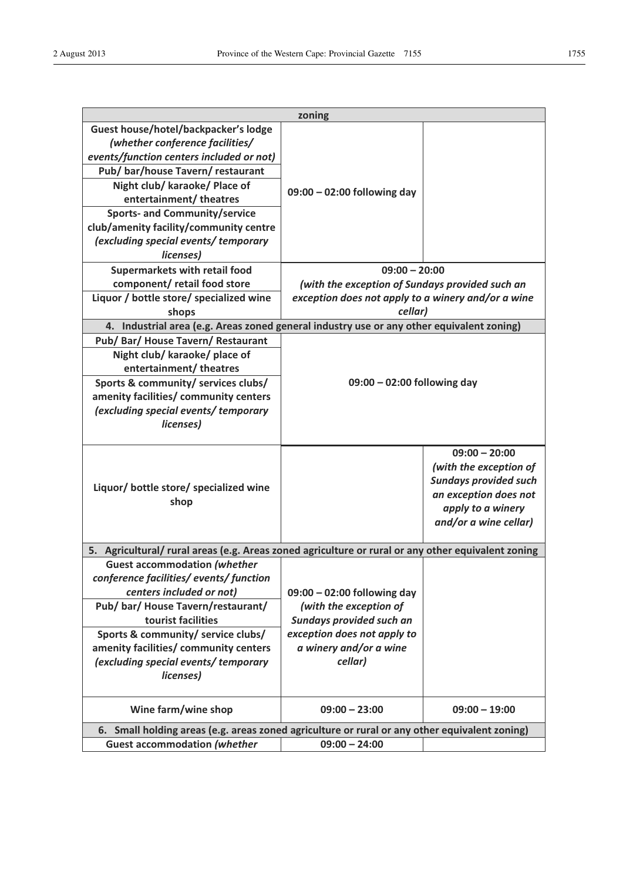| zoning                                                                                             |                                                    |                              |  |
|----------------------------------------------------------------------------------------------------|----------------------------------------------------|------------------------------|--|
| Guest house/hotel/backpacker's lodge                                                               |                                                    |                              |  |
| (whether conference facilities/                                                                    |                                                    |                              |  |
| events/function centers included or not)                                                           |                                                    |                              |  |
| Pub/ bar/house Tavern/ restaurant                                                                  |                                                    |                              |  |
| Night club/ karaoke/ Place of                                                                      |                                                    |                              |  |
| entertainment/ theatres                                                                            | 09:00 - 02:00 following day                        |                              |  |
| <b>Sports- and Community/service</b>                                                               |                                                    |                              |  |
| club/amenity facility/community centre                                                             |                                                    |                              |  |
| (excluding special events/ temporary                                                               |                                                    |                              |  |
| licenses)                                                                                          |                                                    |                              |  |
| Supermarkets with retail food                                                                      | $09:00 - 20:00$                                    |                              |  |
| component/retail food store                                                                        | (with the exception of Sundays provided such an    |                              |  |
| Liquor / bottle store/ specialized wine                                                            | exception does not apply to a winery and/or a wine |                              |  |
| shops                                                                                              | cellar)                                            |                              |  |
| 4. Industrial area (e.g. Areas zoned general industry use or any other equivalent zoning)          |                                                    |                              |  |
| Pub/ Bar/ House Tavern/ Restaurant                                                                 |                                                    |                              |  |
| Night club/ karaoke/ place of                                                                      |                                                    |                              |  |
| entertainment/ theatres                                                                            |                                                    |                              |  |
| Sports & community/ services clubs/                                                                | $09:00 - 02:00$ following day                      |                              |  |
| amenity facilities/ community centers                                                              |                                                    |                              |  |
| (excluding special events/ temporary                                                               |                                                    |                              |  |
| licenses)                                                                                          |                                                    |                              |  |
|                                                                                                    |                                                    |                              |  |
|                                                                                                    |                                                    | $09:00 - 20:00$              |  |
|                                                                                                    |                                                    | (with the exception of       |  |
| Liquor/ bottle store/ specialized wine                                                             |                                                    | <b>Sundays provided such</b> |  |
| shop                                                                                               |                                                    | an exception does not        |  |
|                                                                                                    |                                                    | apply to a winery            |  |
|                                                                                                    |                                                    | and/or a wine cellar)        |  |
|                                                                                                    |                                                    |                              |  |
| 5. Agricultural/ rural areas (e.g. Areas zoned agriculture or rural or any other equivalent zoning |                                                    |                              |  |
| <b>Guest accommodation (whether</b>                                                                |                                                    |                              |  |
| conference facilities/events/function                                                              |                                                    |                              |  |
| centers included or not)                                                                           | 09:00 - 02:00 following day                        |                              |  |
| Pub/ bar/ House Tavern/restaurant/                                                                 | (with the exception of                             |                              |  |
| tourist facilities                                                                                 | Sundays provided such an                           |                              |  |
| Sports & community/ service clubs/                                                                 | exception does not apply to                        |                              |  |
| amenity facilities/ community centers                                                              | a winery and/or a wine                             |                              |  |
| (excluding special events/ temporary                                                               | cellar)                                            |                              |  |
| licenses)                                                                                          |                                                    |                              |  |
|                                                                                                    |                                                    |                              |  |
| Wine farm/wine shop                                                                                | $09:00 - 23:00$                                    | $09:00 - 19:00$              |  |
| 6. Small holding areas (e.g. areas zoned agriculture or rural or any other equivalent zoning)      |                                                    |                              |  |
| <b>Guest accommodation (whether</b>                                                                | $09:00 - 24:00$                                    |                              |  |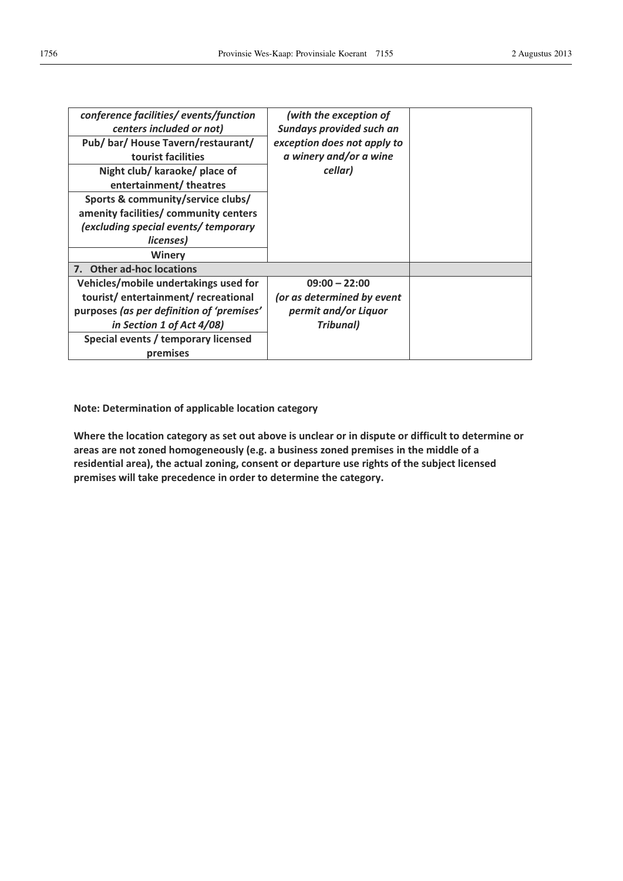| conference facilities/events/function     | (with the exception of      |  |
|-------------------------------------------|-----------------------------|--|
| centers included or not)                  | Sundays provided such an    |  |
| Pub/bar/House Tavern/restaurant/          | exception does not apply to |  |
| tourist facilities                        | a winery and/or a wine      |  |
| Night club/ karaoke/ place of             | cellar)                     |  |
| entertainment/theatres                    |                             |  |
| Sports & community/service clubs/         |                             |  |
| amenity facilities/ community centers     |                             |  |
| (excluding special events/ temporary      |                             |  |
| licenses)                                 |                             |  |
| Winery                                    |                             |  |
| 7. Other ad-hoc locations                 |                             |  |
| Vehicles/mobile undertakings used for     | $09:00 - 22:00$             |  |
| tourist/entertainment/recreational        | (or as determined by event  |  |
| purposes (as per definition of 'premises' | permit and/or Liquor        |  |
| in Section 1 of Act 4/08)                 | Tribunal)                   |  |
| Special events / temporary licensed       |                             |  |
| premises                                  |                             |  |

### **Note: Determination of applicable location category**

**Where the location category as set out above is unclear or in dispute or difficult to determine or areas are not zoned homogeneously (e.g. a business zoned premises in the middle of a residential area), the actual zoning, consent or departure use rights of the subject licensed premises will take precedence in order to determine the category.**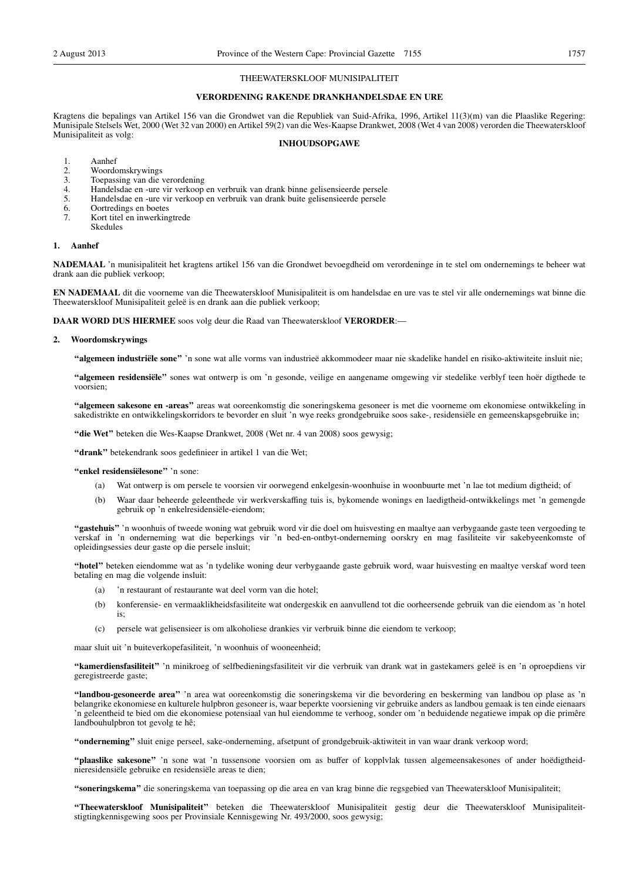#### THEEWATERSKLOOF MUNISIPALITEIT

#### **VERORDENING RAKENDE DRANKHANDELSDAE EN URE**

Kragtens die bepalings van Artikel 156 van die Grondwet van die Republiek van Suid-Afrika, 1996, Artikel 11(3)(m) van die Plaaslike Regering: Munisipale Stelsels Wet, 2000 (Wet 32 van 2000) en Artikel 59(2) van die Wes-Kaapse Drankwet, 2008 (Wet 4 van 2008) verorden die Theewaterskloof Munisipaliteit as volg:

#### **INHOUDSOPGAWE**

- 1. Aanhef<br>2. Woord<br>3. Toepass
- Woordomskrywings
- 
- 3. Toepassing van die verordening<br>4. Handelsdae en -ure vir verkoop<br>5. Handelsdae en -ure vir verkoop Handelsdae en -ure vir verkoop en verbruik van drank binne gelisensieerde persele
- 5. Handelsdae en -ure vir verkoop en verbruik van drank buite gelisensieerde persele
- 6. Oortredings en boetes<br>7. Kort titel en inwerking
- Kort titel en inwerkingtrede Skedules

#### **1. Aanhef**

**NADEMAAL** 'n munisipaliteit het kragtens artikel 156 van die Grondwet bevoegdheid om verordeninge in te stel om ondernemings te beheer wat drank aan die publiek verkoop;

**EN NADEMAAL** dit die voorneme van die Theewaterskloof Munisipaliteit is om handelsdae en ure vas te stel vir alle ondernemings wat binne die Theewaterskloof Munisipaliteit geleë is en drank aan die publiek verkoop;

**DAAR WORD DUS HIERMEE** soos volg deur die Raad van Theewaterskloof **VERORDER**:—

#### **2. Woordomskrywings**

**''algemeen industriële sone''** 'n sone wat alle vorms van industrieë akkommodeer maar nie skadelike handel en risiko-aktiwiteite insluit nie;

**''algemeen residensiële''** sones wat ontwerp is om 'n gesonde, veilige en aangename omgewing vir stedelike verblyf teen hoër digthede te voorsien;

**''algemeen sakesone en -areas''** areas wat ooreenkomstig die soneringskema gesoneer is met die voorneme om ekonomiese ontwikkeling in sakedistrikte en ontwikkelingskorridors te bevorder en sluit 'n wye reeks grondgebruike soos sake-, residensiële en gemeenskapsgebruike in;

**''die Wet''** beteken die Wes-Kaapse Drankwet, 2008 (Wet nr. 4 van 2008) soos gewysig;

**''drank''** betekendrank soos gedefinieer in artikel 1 van die Wet;

**''enkel residensiëlesone''** 'n sone:

- (a) Wat ontwerp is om persele te voorsien vir oorwegend enkelgesin-woonhuise in woonbuurte met 'n lae tot medium digtheid; of
- (b) Waar daar beheerde geleenthede vir werkverskaffing tuis is, bykomende wonings en laedigtheid-ontwikkelings met 'n gemengde gebruik op 'n enkelresidensiële-eiendom;

**''gastehuis''** 'n woonhuis of tweede woning wat gebruik word vir die doel om huisvesting en maaltye aan verbygaande gaste teen vergoeding te verskaf in 'n onderneming wat die beperkings vir 'n bed-en-ontbyt-onderneming oorskry en mag fasiliteite vir sakebyeenkomste of opleidingsessies deur gaste op die persele insluit;

**''hotel''** beteken eiendomme wat as 'n tydelike woning deur verbygaande gaste gebruik word, waar huisvesting en maaltye verskaf word teen betaling en mag die volgende insluit:

- (a) 'n restaurant of restaurante wat deel vorm van die hotel;
- (b) konferensie- en vermaaklikheidsfasiliteite wat ondergeskik en aanvullend tot die oorheersende gebruik van die eiendom as 'n hotel is;
- (c) persele wat gelisensieer is om alkoholiese drankies vir verbruik binne die eiendom te verkoop;

maar sluit uit 'n buiteverkopefasiliteit, 'n woonhuis of wooneenheid;

**''kamerdiensfasiliteit''** 'n minikroeg of selfbedieningsfasiliteit vir die verbruik van drank wat in gastekamers geleë is en 'n oproepdiens vir geregistreerde gaste;

**''landbou-gesoneerde area''** 'n area wat ooreenkomstig die soneringskema vir die bevordering en beskerming van landbou op plase as 'n belangrike ekonomiese en kulturele hulpbron gesoneer is, waar beperkte voorsiening vir gebruike anders as landbou gemaak is ten einde eienaars 'n geleentheid te bied om die ekonomiese potensiaal van hul eiendomme te verhoog, sonder om 'n beduidende negatiewe impak op die primêre landbouhulpbron tot gevolg te hê;

**''onderneming''** sluit enige perseel, sake-onderneming, afsetpunt of grondgebruik-aktiwiteit in van waar drank verkoop word;

**''plaaslike sakesone''** 'n sone wat 'n tussensone voorsien om as buffer of kopplvlak tussen algemeensakesones of ander hoëdigtheidnieresidensiële gebruike en residensiële areas te dien;

**''soneringskema''** die soneringskema van toepassing op die area en van krag binne die regsgebied van Theewaterskloof Munisipaliteit;

**''Theewaterskloof Munisipaliteit''** beteken die Theewaterskloof Munisipaliteit gestig deur die Theewaterskloof Munisipaliteitstigtingkennisgewing soos per Provinsiale Kennisgewing Nr. 493/2000, soos gewysig;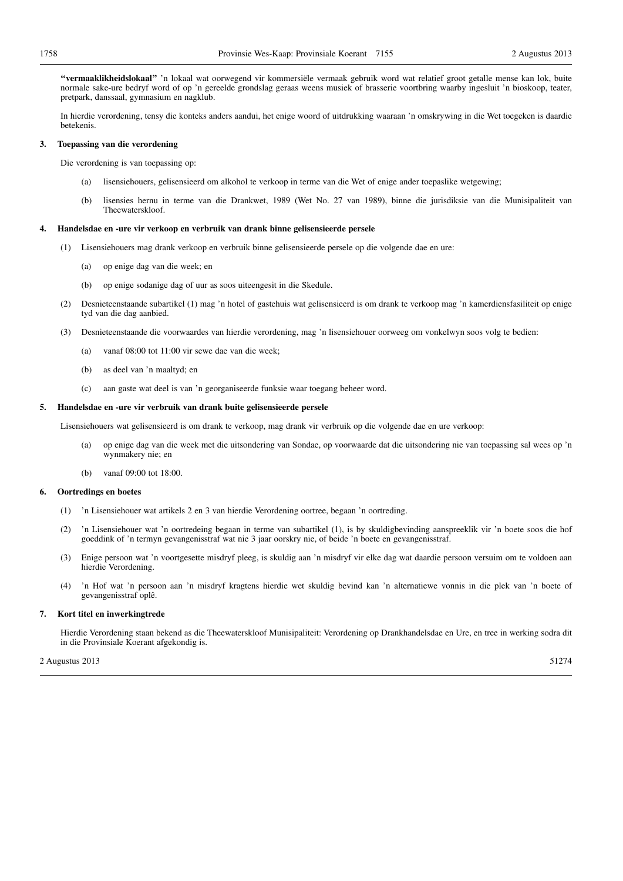**''vermaaklikheidslokaal''** 'n lokaal wat oorwegend vir kommersiële vermaak gebruik word wat relatief groot getalle mense kan lok, buite normale sake-ure bedryf word of op 'n gereelde grondslag geraas weens musiek of brasserie voortbring waarby ingesluit 'n bioskoop, teater, pretpark, danssaal, gymnasium en nagklub.

In hierdie verordening, tensy die konteks anders aandui, het enige woord of uitdrukking waaraan 'n omskrywing in die Wet toegeken is daardie betekenis.

#### **3. Toepassing van die verordening**

Die verordening is van toepassing op:

- (a) lisensiehouers, gelisensieerd om alkohol te verkoop in terme van die Wet of enige ander toepaslike wetgewing;
- (b) lisensies hernu in terme van die Drankwet, 1989 (Wet No. 27 van 1989), binne die jurisdiksie van die Munisipaliteit van Theewaterskloof.

#### **4. Handelsdae en -ure vir verkoop en verbruik van drank binne gelisensieerde persele**

- (1) Lisensiehouers mag drank verkoop en verbruik binne gelisensieerde persele op die volgende dae en ure:
	- (a) op enige dag van die week; en
	- (b) op enige sodanige dag of uur as soos uiteengesit in die Skedule.
- (2) Desnieteenstaande subartikel (1) mag 'n hotel of gastehuis wat gelisensieerd is om drank te verkoop mag 'n kamerdiensfasiliteit op enige tyd van die dag aanbied.
- (3) Desnieteenstaande die voorwaardes van hierdie verordening, mag 'n lisensiehouer oorweeg om vonkelwyn soos volg te bedien:
	- (a) vanaf 08:00 tot 11:00 vir sewe dae van die week;
	- (b) as deel van 'n maaltyd; en
	- (c) aan gaste wat deel is van 'n georganiseerde funksie waar toegang beheer word.

#### **5. Handelsdae en -ure vir verbruik van drank buite gelisensieerde persele**

Lisensiehouers wat gelisensieerd is om drank te verkoop, mag drank vir verbruik op die volgende dae en ure verkoop:

- (a) op enige dag van die week met die uitsondering van Sondae, op voorwaarde dat die uitsondering nie van toepassing sal wees op 'n wynmakery nie; en
- (b) vanaf 09:00 tot 18:00.

#### **6. Oortredings en boetes**

- (1) 'n Lisensiehouer wat artikels 2 en 3 van hierdie Verordening oortree, begaan 'n oortreding.
- (2) 'n Lisensiehouer wat 'n oortredeing begaan in terme van subartikel (1), is by skuldigbevinding aanspreeklik vir 'n boete soos die hof goeddink of 'n termyn gevangenisstraf wat nie 3 jaar oorskry nie, of beide 'n boete en gevangenisstraf.
- (3) Enige persoon wat 'n voortgesette misdryf pleeg, is skuldig aan 'n misdryf vir elke dag wat daardie persoon versuim om te voldoen aan hierdie Verordening.
- (4) 'n Hof wat 'n persoon aan 'n misdryf kragtens hierdie wet skuldig bevind kan 'n alternatiewe vonnis in die plek van 'n boete of gevangenisstraf oplê.

#### **7. Kort titel en inwerkingtrede**

Hierdie Verordening staan bekend as die Theewaterskloof Munisipaliteit: Verordening op Drankhandelsdae en Ure, en tree in werking sodra dit in die Provinsiale Koerant afgekondig is.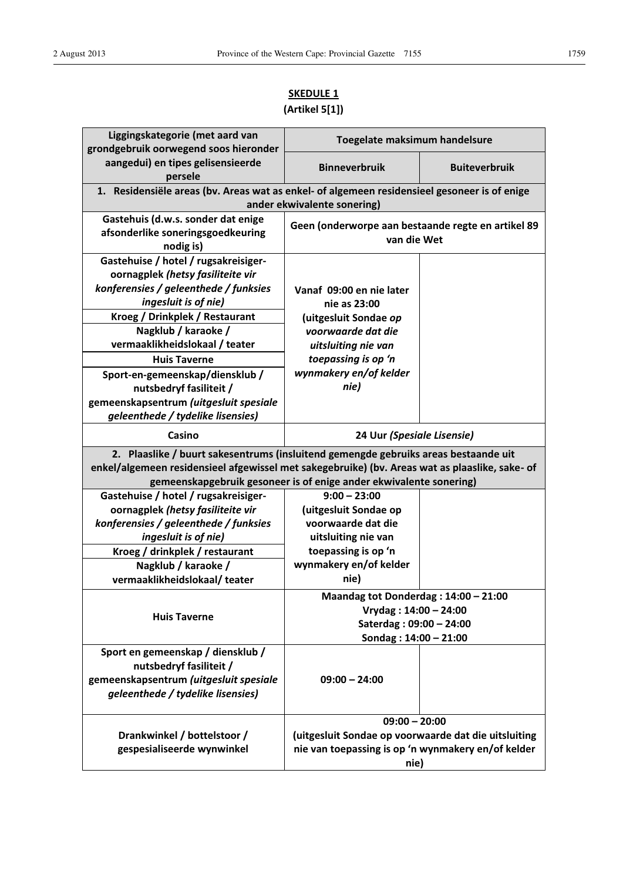## **SKEDULE 1 (Artikel 5[1])**

| Liggingskategorie (met aard van                                                                | Toegelate maksimum handelsure                                      |                      |  |  |
|------------------------------------------------------------------------------------------------|--------------------------------------------------------------------|----------------------|--|--|
| grondgebruik oorwegend soos hieronder                                                          |                                                                    |                      |  |  |
| aangedui) en tipes gelisensieerde<br>persele                                                   | <b>Binneverbruik</b>                                               | <b>Buiteverbruik</b> |  |  |
| 1. Residensiële areas (bv. Areas wat as enkel- of algemeen residensieel gesoneer is of enige   |                                                                    |                      |  |  |
|                                                                                                | ander ekwivalente sonering)                                        |                      |  |  |
| Gastehuis (d.w.s. sonder dat enige<br>Geen (onderworpe aan bestaande regte en artikel 89       |                                                                    |                      |  |  |
| afsonderlike soneringsgoedkeuring                                                              | van die Wet                                                        |                      |  |  |
| nodig is)                                                                                      |                                                                    |                      |  |  |
| Gastehuise / hotel / rugsakreisiger-                                                           |                                                                    |                      |  |  |
| oornagplek (hetsy fasiliteite vir<br>konferensies / geleenthede / funksies                     |                                                                    |                      |  |  |
| ingesluit is of nie)                                                                           | Vanaf 09:00 en nie later                                           |                      |  |  |
| Kroeg / Drinkplek / Restaurant                                                                 | nie as 23:00<br>(uitgesluit Sondae op                              |                      |  |  |
| Nagklub / karaoke /                                                                            | voorwaarde dat die                                                 |                      |  |  |
| vermaaklikheidslokaal / teater                                                                 | uitsluiting nie van                                                |                      |  |  |
| <b>Huis Taverne</b>                                                                            | toepassing is op 'n                                                |                      |  |  |
| Sport-en-gemeenskap/diensklub /                                                                | wynmakery en/of kelder                                             |                      |  |  |
| nutsbedryf fasiliteit /                                                                        | nie)                                                               |                      |  |  |
| gemeenskapsentrum (uitgesluit spesiale                                                         |                                                                    |                      |  |  |
| geleenthede / tydelike lisensies)                                                              |                                                                    |                      |  |  |
| Casino<br>24 Uur (Spesiale Lisensie)                                                           |                                                                    |                      |  |  |
| 2. Plaaslike / buurt sakesentrums (insluitend gemengde gebruiks areas bestaande uit            |                                                                    |                      |  |  |
| enkel/algemeen residensieel afgewissel met sakegebruike) (bv. Areas wat as plaaslike, sake- of |                                                                    |                      |  |  |
|                                                                                                | gemeenskapgebruik gesoneer is of enige ander ekwivalente sonering) |                      |  |  |
| Gastehuise / hotel / rugsakreisiger-                                                           | $9:00 - 23:00$                                                     |                      |  |  |
| oornagplek (hetsy fasiliteite vir                                                              | (uitgesluit Sondae op                                              |                      |  |  |
| konferensies / geleenthede / funksies                                                          | voorwaarde dat die                                                 |                      |  |  |
| ingesluit is of nie)                                                                           | uitsluiting nie van                                                |                      |  |  |
| Kroeg / drinkplek / restaurant                                                                 | toepassing is op 'n<br>wynmakery en/of kelder                      |                      |  |  |
| Nagklub / karaoke /<br>vermaaklikheidslokaal/teater                                            | nie)                                                               |                      |  |  |
|                                                                                                |                                                                    |                      |  |  |
|                                                                                                | Maandag tot Donderdag: 14:00 - 21:00                               |                      |  |  |
| <b>Huis Taverne</b>                                                                            | Vrydag: $14:00 - 24:00$<br>Saterdag: 09:00 - 24:00                 |                      |  |  |
|                                                                                                | Sondag: $14:00 - 21:00$                                            |                      |  |  |
| Sport en gemeenskap / diensklub /                                                              |                                                                    |                      |  |  |
| nutsbedryf fasiliteit /                                                                        |                                                                    |                      |  |  |
| gemeenskapsentrum (uitgesluit spesiale                                                         | $09:00 - 24:00$                                                    |                      |  |  |
| geleenthede / tydelike lisensies)                                                              |                                                                    |                      |  |  |
|                                                                                                |                                                                    |                      |  |  |
|                                                                                                | $09:00 - 20:00$                                                    |                      |  |  |
| Drankwinkel / bottelstoor /<br>gespesialiseerde wynwinkel                                      | (uitgesluit Sondae op voorwaarde dat die uitsluiting               |                      |  |  |
|                                                                                                | nie van toepassing is op 'n wynmakery en/of kelder<br>nie)         |                      |  |  |
|                                                                                                |                                                                    |                      |  |  |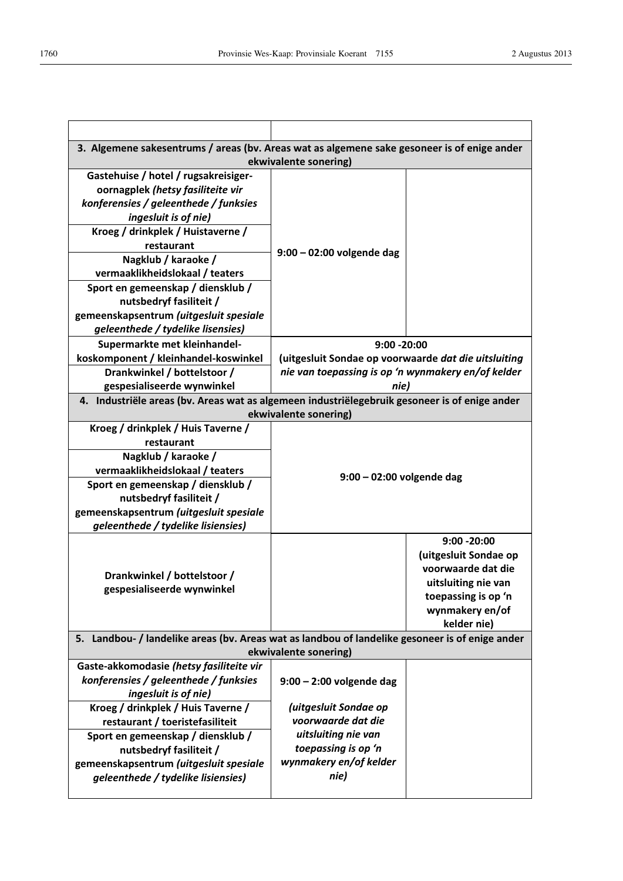| 3. Algemene sakesentrums / areas (bv. Areas wat as algemene sake gesoneer is of enige ander<br>ekwivalente sonering) |                                                                                                            |                                             |  |
|----------------------------------------------------------------------------------------------------------------------|------------------------------------------------------------------------------------------------------------|---------------------------------------------|--|
| Gastehuise / hotel / rugsakreisiger-                                                                                 |                                                                                                            |                                             |  |
| oornagplek (hetsy fasiliteite vir                                                                                    |                                                                                                            |                                             |  |
| konferensies / geleenthede / funksies                                                                                |                                                                                                            |                                             |  |
| ingesluit is of nie)                                                                                                 |                                                                                                            |                                             |  |
| Kroeg / drinkplek / Huistaverne /                                                                                    |                                                                                                            |                                             |  |
| restaurant                                                                                                           | $9:00 - 02:00$ volgende dag                                                                                |                                             |  |
| Nagklub / karaoke /                                                                                                  |                                                                                                            |                                             |  |
| vermaaklikheidslokaal / teaters                                                                                      |                                                                                                            |                                             |  |
| Sport en gemeenskap / diensklub /                                                                                    |                                                                                                            |                                             |  |
| nutsbedryf fasiliteit /                                                                                              |                                                                                                            |                                             |  |
| gemeenskapsentrum (uitgesluit spesiale                                                                               |                                                                                                            |                                             |  |
| geleenthede / tydelike lisensies)                                                                                    |                                                                                                            |                                             |  |
| Supermarkte met kleinhandel-<br>koskomponent / kleinhandel-koswinkel                                                 | $9:00 - 20:00$                                                                                             |                                             |  |
| Drankwinkel / bottelstoor /                                                                                          | (uitgesluit Sondae op voorwaarde dat die uitsluiting<br>nie van toepassing is op 'n wynmakery en/of kelder |                                             |  |
| gespesialiseerde wynwinkel                                                                                           | nie)                                                                                                       |                                             |  |
| 4. Industriële areas (bv. Areas wat as algemeen industriëlegebruik gesoneer is of enige ander                        |                                                                                                            |                                             |  |
|                                                                                                                      | ekwivalente sonering)                                                                                      |                                             |  |
| Kroeg / drinkplek / Huis Taverne /                                                                                   |                                                                                                            |                                             |  |
| restaurant                                                                                                           |                                                                                                            |                                             |  |
| Nagklub / karaoke /                                                                                                  |                                                                                                            |                                             |  |
| vermaaklikheidslokaal / teaters                                                                                      | $9:00 - 02:00$ volgende dag                                                                                |                                             |  |
| Sport en gemeenskap / diensklub /                                                                                    |                                                                                                            |                                             |  |
| nutsbedryf fasiliteit /                                                                                              |                                                                                                            |                                             |  |
| gemeenskapsentrum (uitgesluit spesiale                                                                               |                                                                                                            |                                             |  |
| geleenthede / tydelike lisiensies)                                                                                   |                                                                                                            |                                             |  |
|                                                                                                                      |                                                                                                            | $9:00 - 20:00$                              |  |
|                                                                                                                      |                                                                                                            | (uitgesluit Sondae op<br>voorwaarde dat die |  |
| Drankwinkel / bottelstoor /                                                                                          |                                                                                                            | uitsluiting nie van                         |  |
| gespesialiseerde wynwinkel                                                                                           |                                                                                                            | toepassing is op 'n                         |  |
|                                                                                                                      |                                                                                                            | wynmakery en/of                             |  |
|                                                                                                                      |                                                                                                            | kelder nie)                                 |  |
| 5. Landbou- / landelike areas (bv. Areas wat as landbou of landelike gesoneer is of enige ander                      |                                                                                                            |                                             |  |
| ekwivalente sonering)                                                                                                |                                                                                                            |                                             |  |
| Gaste-akkomodasie (hetsy fasiliteite vir                                                                             |                                                                                                            |                                             |  |
| konferensies / geleenthede / funksies                                                                                | $9:00 - 2:00$ volgende dag                                                                                 |                                             |  |
| ingesluit is of nie)                                                                                                 |                                                                                                            |                                             |  |
| Kroeg / drinkplek / Huis Taverne /                                                                                   | (uitgesluit Sondae op                                                                                      |                                             |  |
| restaurant / toeristefasiliteit                                                                                      | voorwaarde dat die                                                                                         |                                             |  |
| Sport en gemeenskap / diensklub /                                                                                    | uitsluiting nie van<br>toepassing is op 'n                                                                 |                                             |  |
| nutsbedryf fasiliteit /<br>gemeenskapsentrum (uitgesluit spesiale                                                    | wynmakery en/of kelder                                                                                     |                                             |  |
| geleenthede / tydelike lisiensies)                                                                                   | nie)                                                                                                       |                                             |  |
|                                                                                                                      |                                                                                                            |                                             |  |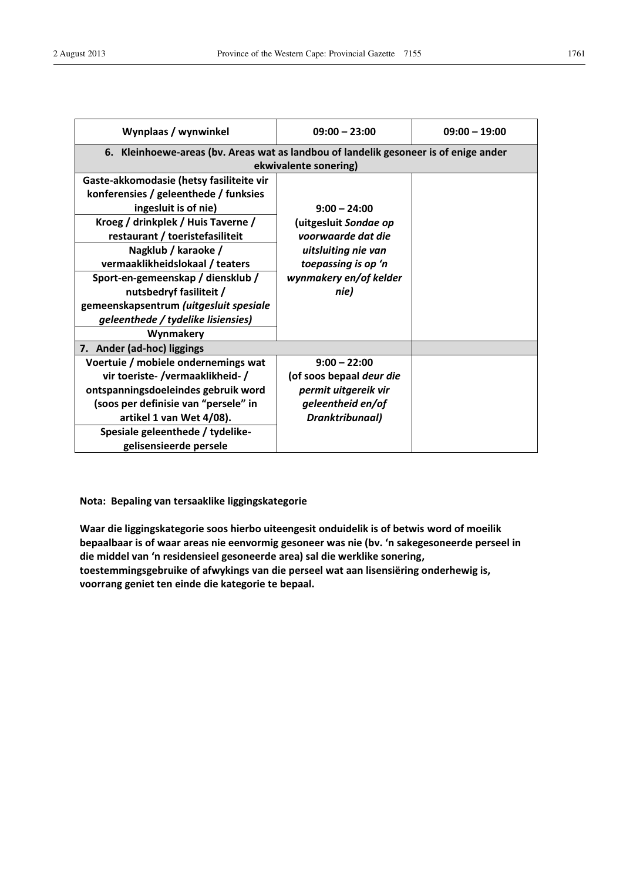| Wynplaas / wynwinkel                                                                 | $09:00 - 23:00$          | $09:00 - 19:00$ |  |
|--------------------------------------------------------------------------------------|--------------------------|-----------------|--|
| 6. Kleinhoewe-areas (bv. Areas wat as landbou of landelik gesoneer is of enige ander |                          |                 |  |
|                                                                                      | ekwivalente sonering)    |                 |  |
| Gaste-akkomodasie (hetsy fasiliteite vir                                             |                          |                 |  |
| konferensies / geleenthede / funksies                                                |                          |                 |  |
| ingesluit is of nie)                                                                 | $9:00 - 24:00$           |                 |  |
| Kroeg / drinkplek / Huis Taverne /                                                   | (uitgesluit Sondae op    |                 |  |
| restaurant / toeristefasiliteit                                                      | voorwaarde dat die       |                 |  |
| Nagklub / karaoke /                                                                  | uitsluiting nie van      |                 |  |
| vermaaklikheidslokaal / teaters                                                      | toepassing is op 'n      |                 |  |
| Sport-en-gemeenskap / diensklub /                                                    | wynmakery en/of kelder   |                 |  |
| nutsbedryf fasiliteit /                                                              | nie)                     |                 |  |
| gemeenskapsentrum (uitgesluit spesiale                                               |                          |                 |  |
| geleenthede / tydelike lisiensies)                                                   |                          |                 |  |
| Wynmakery                                                                            |                          |                 |  |
| 7. Ander (ad-hoc) liggings                                                           |                          |                 |  |
| Voertuie / mobiele ondernemings wat                                                  | $9:00 - 22:00$           |                 |  |
| vir toeriste-/vermaaklikheid-/                                                       | (of soos bepaal deur die |                 |  |
| ontspanningsdoeleindes gebruik word                                                  | permit uitgereik vir     |                 |  |
| (soos per definisie van "persele" in                                                 | geleentheid en/of        |                 |  |
| artikel 1 van Wet 4/08).                                                             | Dranktribunaal)          |                 |  |
| Spesiale geleenthede / tydelike-                                                     |                          |                 |  |
| gelisensieerde persele                                                               |                          |                 |  |

**Nota: Bepaling van tersaaklike liggingskategorie**

**Waar die liggingskategorie soos hierbo uiteengesit onduidelik is of betwis word of moeilik**  bepaalbaar is of waar areas nie eenvormig gesoneer was nie (bv. 'n sakegesoneerde perseel in die middel van 'n residensieel gesoneerde area) sal die werklike sonering, **toestemmingsgebruike of afwykings van die perseel wat aan lisensiëring onderhewig is, voorrang geniet ten einde die kategorie te bepaal.**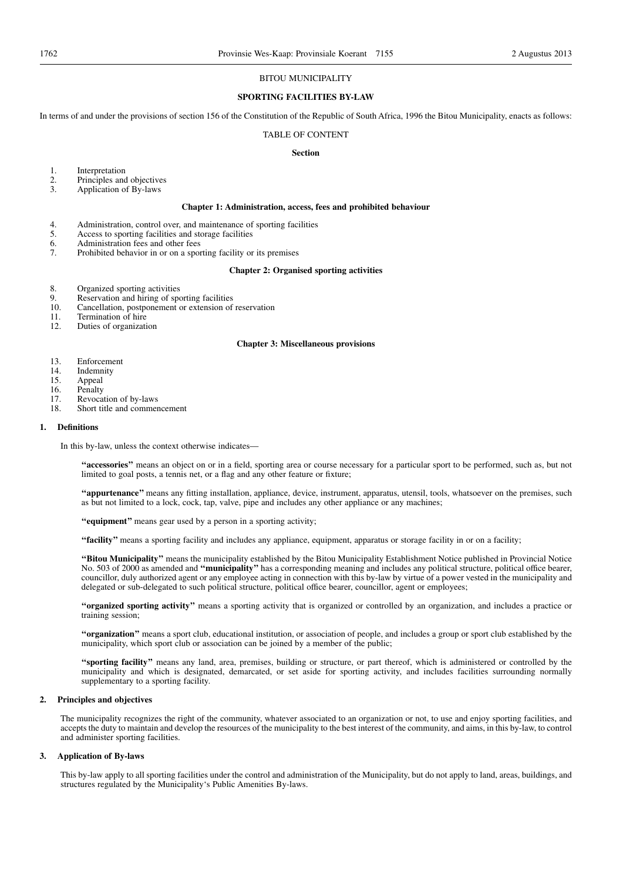#### BITOU MUNICIPALITY

#### **SPORTING FACILITIES BY-LAW**

In terms of and under the provisions of section 156 of the Constitution of the Republic of South Africa, 1996 the Bitou Municipality, enacts as follows:

#### TABLE OF CONTENT

#### **Section**

- 1. Interpretation<br>2. Principles and
- 2. Principles and objectives<br>3. Application of By-laws
- Application of By-laws

#### **Chapter 1: Administration, access, fees and prohibited behaviour**

- 4. Administration, control over, and maintenance of sporting facilities 5. Access to sporting facilities and storage facilities
- Access to sporting facilities and storage facilities
- 6. Administration fees and other fees<br>
7 Prohibited behavior in or on a spot
	- Prohibited behavior in or on a sporting facility or its premises

#### **Chapter 2: Organised sporting activities**

- 8. Organized sporting activities<br>9. Reservation and hiring of spe
- 9. Reservation and hiring of sporting facilities<br>10. Cancellation, postponement or extension of
- 10. Cancellation, postponement or extension of reservation 11. Termination of hire
- 11. Termination of hire<br>12. Duties of organizati
- Duties of organization

#### **Chapter 3: Miscellaneous provisions**

- 13. Enforcement<br>14. Indemnity
- 14. Indemnity<br>15. Appeal
- 15. Appeal<br>16. Penalty
- 16. Penalty<br>17. Revoca
- 17. Revocation of by-laws<br>18. Short title and comment
- Short title and commencement

#### **1. Definitions**

In this by-law, unless the context otherwise indicates-

**''accessories''** means an object on or in a field, sporting area or course necessary for a particular sport to be performed, such as, but not limited to goal posts, a tennis net, or a flag and any other feature or fixture;

**''appurtenance''** means any fitting installation, appliance, device, instrument, apparatus, utensil, tools, whatsoever on the premises, such as but not limited to a lock, cock, tap, valve, pipe and includes any other appliance or any machines;

**''equipment''** means gear used by a person in a sporting activity;

**''facility''** means a sporting facility and includes any appliance, equipment, apparatus or storage facility in or on a facility;

**''Bitou Municipality''** means the municipality established by the Bitou Municipality Establishment Notice published in Provincial Notice No. 503 of 2000 as amended and **''municipality''** has a corresponding meaning and includes any political structure, political office bearer, councillor, duly authorized agent or any employee acting in connection with this by-law by virtue of a power vested in the municipality and delegated or sub-delegated to such political structure, political office bearer, councillor, agent or employees;

**''organized sporting activity''** means a sporting activity that is organized or controlled by an organization, and includes a practice or training session;

**''organization''** means a sport club, educational institution, or association of people, and includes a group or sport club established by the municipality, which sport club or association can be joined by a member of the public;

**''sporting facility''** means any land, area, premises, building or structure, or part thereof, which is administered or controlled by the municipality and which is designated, demarcated, or set aside for sporting activity, and includes facilities surrounding normally supplementary to a sporting facility.

#### **2. Principles and objectives**

The municipality recognizes the right of the community, whatever associated to an organization or not, to use and enjoy sporting facilities, and accepts the duty to maintain and develop the resources of the municipality to the best interest of the community, and aims, in this by-law, to control and administer sporting facilities.

#### **3. Application of By-laws**

This by-law apply to all sporting facilities under the control and administration of the Municipality, but do not apply to land, areas, buildings, and structures regulated by the Municipality's Public Amenities By-laws.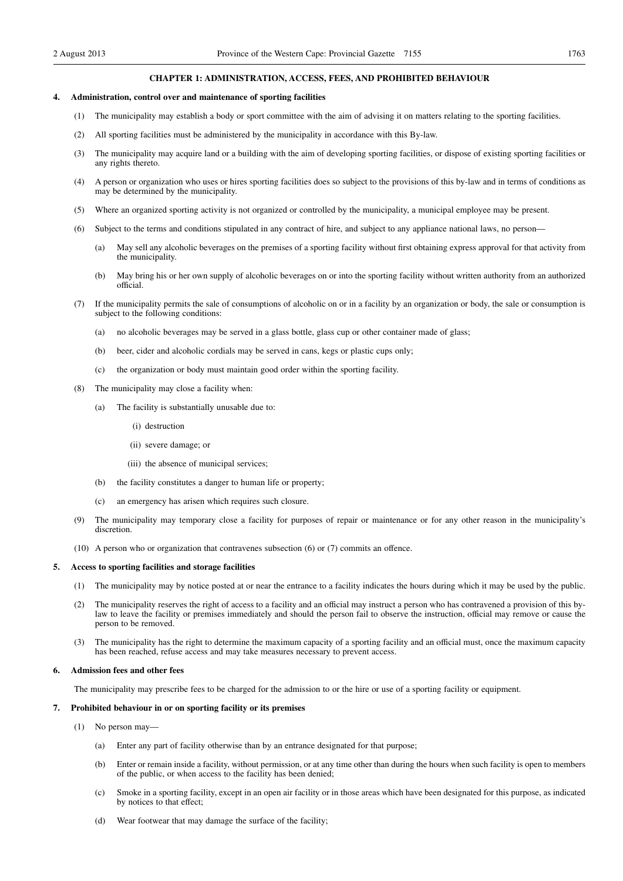#### **CHAPTER 1: ADMINISTRATION, ACCESS, FEES, AND PROHIBITED BEHAVIOUR**

#### **4. Administration, control over and maintenance of sporting facilities**

- (1) The municipality may establish a body or sport committee with the aim of advising it on matters relating to the sporting facilities.
- (2) All sporting facilities must be administered by the municipality in accordance with this By-law.
- (3) The municipality may acquire land or a building with the aim of developing sporting facilities, or dispose of existing sporting facilities or any rights thereto.
- (4) A person or organization who uses or hires sporting facilities does so subject to the provisions of this by-law and in terms of conditions as may be determined by the municipality.
- (5) Where an organized sporting activity is not organized or controlled by the municipality, a municipal employee may be present.
- (6) Subject to the terms and conditions stipulated in any contract of hire, and subject to any appliance national laws, no person—
	- (a) May sell any alcoholic beverages on the premises of a sporting facility without first obtaining express approval for that activity from the municipality.
	- (b) May bring his or her own supply of alcoholic beverages on or into the sporting facility without written authority from an authorized official.
- (7) If the municipality permits the sale of consumptions of alcoholic on or in a facility by an organization or body, the sale or consumption is subject to the following conditions:
	- (a) no alcoholic beverages may be served in a glass bottle, glass cup or other container made of glass;
	- (b) beer, cider and alcoholic cordials may be served in cans, kegs or plastic cups only;
	- (c) the organization or body must maintain good order within the sporting facility.
- (8) The municipality may close a facility when:
	- (a) The facility is substantially unusable due to:
		- (i) destruction
		- (ii) severe damage; or
		- (iii) the absence of municipal services;
	- (b) the facility constitutes a danger to human life or property;
	- (c) an emergency has arisen which requires such closure.
- (9) The municipality may temporary close a facility for purposes of repair or maintenance or for any other reason in the municipality's discretion.
- (10) A person who or organization that contravenes subsection (6) or (7) commits an offence.

#### **5. Access to sporting facilities and storage facilities**

- (1) The municipality may by notice posted at or near the entrance to a facility indicates the hours during which it may be used by the public.
- (2) The municipality reserves the right of access to a facility and an official may instruct a person who has contravened a provision of this bylaw to leave the facility or premises immediately and should the person fail to observe the instruction, official may remove or cause the person to be removed.
- (3) The municipality has the right to determine the maximum capacity of a sporting facility and an official must, once the maximum capacity has been reached, refuse access and may take measures necessary to prevent access.

#### **6. Admission fees and other fees**

The municipality may prescribe fees to be charged for the admission to or the hire or use of a sporting facility or equipment.

#### **7. Prohibited behaviour in or on sporting facility or its premises**

- (1) No person may—
	- (a) Enter any part of facility otherwise than by an entrance designated for that purpose;
	- (b) Enter or remain inside a facility, without permission, or at any time other than during the hours when such facility is open to members of the public, or when access to the facility has been denied;
	- (c) Smoke in a sporting facility, except in an open air facility or in those areas which have been designated for this purpose, as indicated by notices to that effect;
	- (d) Wear footwear that may damage the surface of the facility;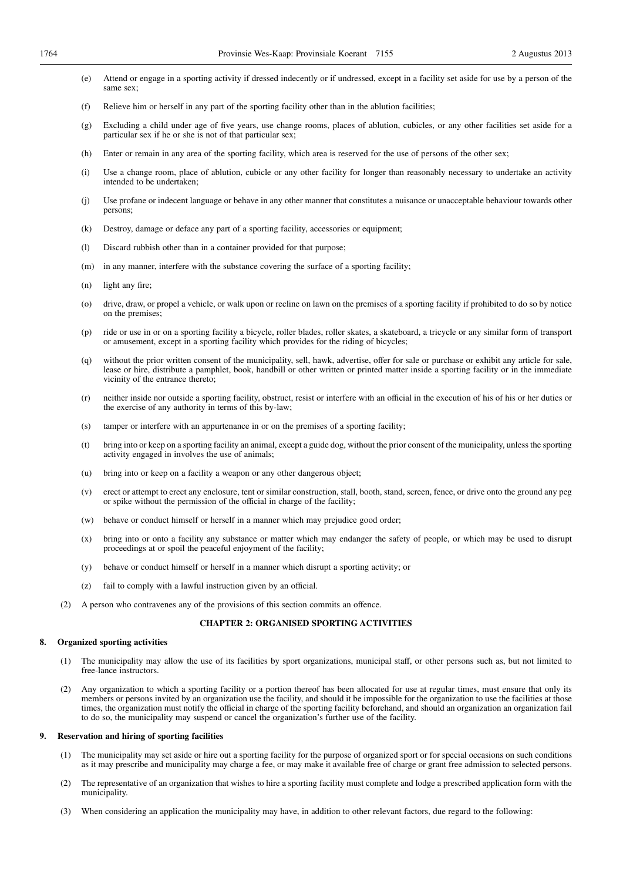- (e) Attend or engage in a sporting activity if dressed indecently or if undressed, except in a facility set aside for use by a person of the same sex;
- (f) Relieve him or herself in any part of the sporting facility other than in the ablution facilities;
- (g) Excluding a child under age of five years, use change rooms, places of ablution, cubicles, or any other facilities set aside for a particular sex if he or she is not of that particular sex;
- (h) Enter or remain in any area of the sporting facility, which area is reserved for the use of persons of the other sex;
- (i) Use a change room, place of ablution, cubicle or any other facility for longer than reasonably necessary to undertake an activity intended to be undertaken;
- (j) Use profane or indecent language or behave in any other manner that constitutes a nuisance or unacceptable behaviour towards other persons;
- (k) Destroy, damage or deface any part of a sporting facility, accessories or equipment;
- (l) Discard rubbish other than in a container provided for that purpose;
- (m) in any manner, interfere with the substance covering the surface of a sporting facility;
- (n) light any fire;
- (o) drive, draw, or propel a vehicle, or walk upon or recline on lawn on the premises of a sporting facility if prohibited to do so by notice on the premises;
- (p) ride or use in or on a sporting facility a bicycle, roller blades, roller skates, a skateboard, a tricycle or any similar form of transport or amusement, except in a sporting facility which provides for the riding of bicycles;
- (q) without the prior written consent of the municipality, sell, hawk, advertise, offer for sale or purchase or exhibit any article for sale, lease or hire, distribute a pamphlet, book, handbill or other written or printed matter inside a sporting facility or in the immediate vicinity of the entrance thereto;
- (r) neither inside nor outside a sporting facility, obstruct, resist or interfere with an official in the execution of his of his or her duties or the exercise of any authority in terms of this by-law;
- (s) tamper or interfere with an appurtenance in or on the premises of a sporting facility;
- (t) bring into or keep on a sporting facility an animal, except a guide dog, without the prior consent of the municipality, unless the sporting activity engaged in involves the use of animals;
- (u) bring into or keep on a facility a weapon or any other dangerous object;
- (v) erect or attempt to erect any enclosure, tent or similar construction, stall, booth, stand, screen, fence, or drive onto the ground any peg or spike without the permission of the official in charge of the facility;
- (w) behave or conduct himself or herself in a manner which may prejudice good order;
- (x) bring into or onto a facility any substance or matter which may endanger the safety of people, or which may be used to disrupt proceedings at or spoil the peaceful enjoyment of the facility;
- (y) behave or conduct himself or herself in a manner which disrupt a sporting activity; or
- (z) fail to comply with a lawful instruction given by an official.
- (2) A person who contravenes any of the provisions of this section commits an offence.

#### **CHAPTER 2: ORGANISED SPORTING ACTIVITIES**

#### **8. Organized sporting activities**

- (1) The municipality may allow the use of its facilities by sport organizations, municipal staff, or other persons such as, but not limited to free-lance instructors.
- (2) Any organization to which a sporting facility or a portion thereof has been allocated for use at regular times, must ensure that only its members or persons invited by an organization use the facility, and should it be impossible for the organization to use the facilities at those times, the organization must notify the official in charge of the sporting facility beforehand, and should an organization an organization fail to do so, the municipality may suspend or cancel the organization's further use of the facility.

#### **9. Reservation and hiring of sporting facilities**

- (1) The municipality may set aside or hire out a sporting facility for the purpose of organized sport or for special occasions on such conditions as it may prescribe and municipality may charge a fee, or may make it available free of charge or grant free admission to selected persons.
- (2) The representative of an organization that wishes to hire a sporting facility must complete and lodge a prescribed application form with the municipality.
- (3) When considering an application the municipality may have, in addition to other relevant factors, due regard to the following: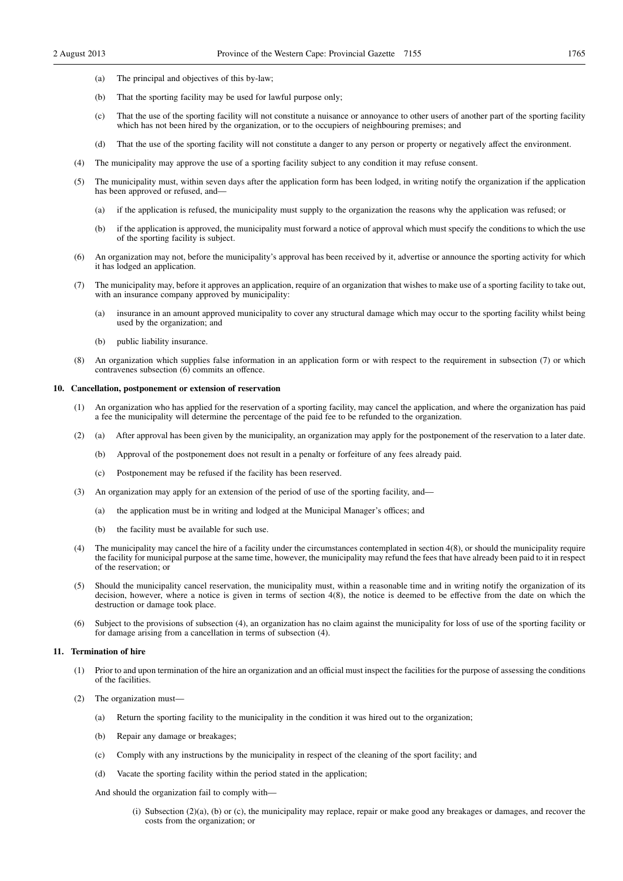- (a) The principal and objectives of this by-law;
- (b) That the sporting facility may be used for lawful purpose only;
- (c) That the use of the sporting facility will not constitute a nuisance or annoyance to other users of another part of the sporting facility which has not been hired by the organization, or to the occupiers of neighbouring premises; and
- (d) That the use of the sporting facility will not constitute a danger to any person or property or negatively affect the environment.
- (4) The municipality may approve the use of a sporting facility subject to any condition it may refuse consent.
- (5) The municipality must, within seven days after the application form has been lodged, in writing notify the organization if the application has been approved or refused, and—
	- (a) if the application is refused, the municipality must supply to the organization the reasons why the application was refused; or
	- (b) if the application is approved, the municipality must forward a notice of approval which must specify the conditions to which the use of the sporting facility is subject.
- (6) An organization may not, before the municipality's approval has been received by it, advertise or announce the sporting activity for which it has lodged an application.
- (7) The municipality may, before it approves an application, require of an organization that wishes to make use of a sporting facility to take out, with an insurance company approved by municipality:
	- insurance in an amount approved municipality to cover any structural damage which may occur to the sporting facility whilst being used by the organization; and
	- (b) public liability insurance.
- (8) An organization which supplies false information in an application form or with respect to the requirement in subsection (7) or which contravenes subsection (6) commits an offence.

#### **10. Cancellation, postponement or extension of reservation**

- (1) An organization who has applied for the reservation of a sporting facility, may cancel the application, and where the organization has paid a fee the municipality will determine the percentage of the paid fee to be refunded to the organization.
- (2) (a) After approval has been given by the municipality, an organization may apply for the postponement of the reservation to a later date.
	- (b) Approval of the postponement does not result in a penalty or forfeiture of any fees already paid.
	- (c) Postponement may be refused if the facility has been reserved.
- (3) An organization may apply for an extension of the period of use of the sporting facility, and—
	- (a) the application must be in writing and lodged at the Municipal Manager's offices; and
	- (b) the facility must be available for such use.
- (4) The municipality may cancel the hire of a facility under the circumstances contemplated in section 4(8), or should the municipality require the facility for municipal purpose at the same time, however, the municipality may refund the fees that have already been paid to it in respect of the reservation; or
- (5) Should the municipality cancel reservation, the municipality must, within a reasonable time and in writing notify the organization of its decision, however, where a notice is given in terms of section 4(8), the notice is deemed to be effective from the date on which the destruction or damage took place.
- (6) Subject to the provisions of subsection (4), an organization has no claim against the municipality for loss of use of the sporting facility or for damage arising from a cancellation in terms of subsection (4).

#### **11. Termination of hire**

- (1) Prior to and upon termination of the hire an organization and an official must inspect the facilities for the purpose of assessing the conditions of the facilities.
- (2) The organization must—
	- (a) Return the sporting facility to the municipality in the condition it was hired out to the organization;
	- (b) Repair any damage or breakages;
	- (c) Comply with any instructions by the municipality in respect of the cleaning of the sport facility; and
	- (d) Vacate the sporting facility within the period stated in the application;

And should the organization fail to comply with—

(i) Subsection (2)(a), (b) or (c), the municipality may replace, repair or make good any breakages or damages, and recover the costs from the organization; or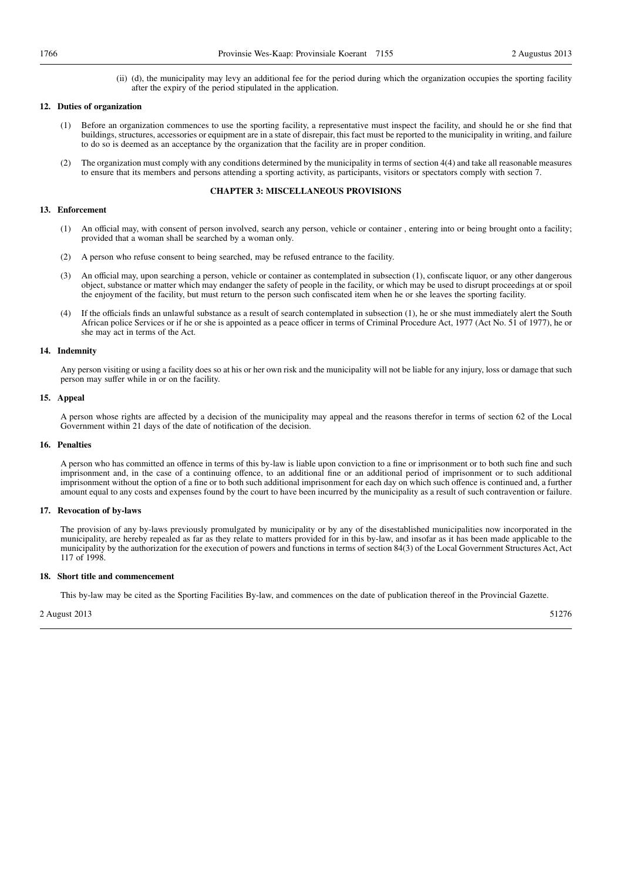(ii) (d), the municipality may levy an additional fee for the period during which the organization occupies the sporting facility after the expiry of the period stipulated in the application.

#### **12. Duties of organization**

- Before an organization commences to use the sporting facility, a representative must inspect the facility, and should he or she find that buildings, structures, accessories or equipment are in a state of disrepair, this fact must be reported to the municipality in writing, and failure to do so is deemed as an acceptance by the organization that the facility are in proper condition.
- (2) The organization must comply with any conditions determined by the municipality in terms of section 4(4) and take all reasonable measures to ensure that its members and persons attending a sporting activity, as participants, visitors or spectators comply with section 7.

#### **CHAPTER 3: MISCELLANEOUS PROVISIONS**

#### **13. Enforcement**

- (1) An official may, with consent of person involved, search any person, vehicle or container , entering into or being brought onto a facility; provided that a woman shall be searched by a woman only.
- (2) A person who refuse consent to being searched, may be refused entrance to the facility.
- (3) An official may, upon searching a person, vehicle or container as contemplated in subsection (1), confiscate liquor, or any other dangerous object, substance or matter which may endanger the safety of people in the facility, or which may be used to disrupt proceedings at or spoil the enjoyment of the facility, but must return to the person such confiscated item when he or she leaves the sporting facility.
- (4) If the officials finds an unlawful substance as a result of search contemplated in subsection (1), he or she must immediately alert the South African police Services or if he or she is appointed as a peace officer in terms of Criminal Procedure Act, 1977 (Act No. 51 of 1977), he or she may act in terms of the Act.

#### **14. Indemnity**

Any person visiting or using a facility does so at his or her own risk and the municipality will not be liable for any injury, loss or damage that such person may suffer while in or on the facility.

#### **15. Appeal**

A person whose rights are affected by a decision of the municipality may appeal and the reasons therefor in terms of section 62 of the Local Government within 21 days of the date of notification of the decision.

#### **16. Penalties**

A person who has committed an offence in terms of this by-law is liable upon conviction to a fine or imprisonment or to both such fine and such imprisonment and, in the case of a continuing offence, to an additional fine or an additional period of imprisonment or to such additional imprisonment without the option of a fine or to both such additional imprisonment for each day on which such offence is continued and, a further amount equal to any costs and expenses found by the court to have been incurred by the municipality as a result of such contravention or failure.

#### **17. Revocation of by-laws**

The provision of any by-laws previously promulgated by municipality or by any of the disestablished municipalities now incorporated in the municipality, are hereby repealed as far as they relate to matters provided for in this by-law, and insofar as it has been made applicable to the municipality by the authorization for the execution of powers and functions in terms of section 84(3) of the Local Government Structures Act, Act 117 of 1998.

#### **18. Short title and commencement**

This by-law may be cited as the Sporting Facilities By-law, and commences on the date of publication thereof in the Provincial Gazette.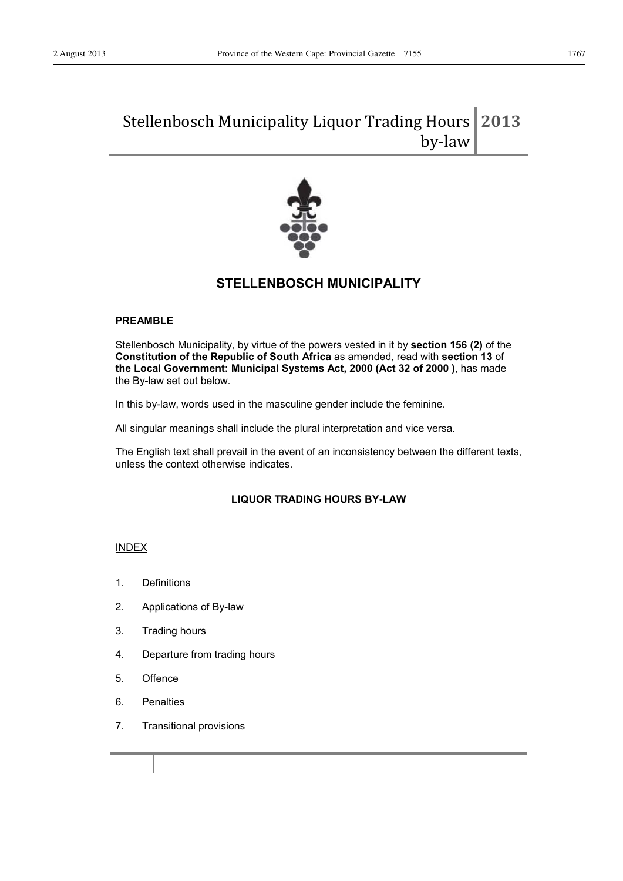### Stellenbosch Municipality Liquor Trading Hours by-law **2013**



## **STELLENBOSCH MUNICIPALITY**

#### **PREAMBLE**

Stellenbosch Municipality, by virtue of the powers vested in it by **section 156 (2)** of the **Constitution of the Republic of South Africa** as amended, read with **section 13** of **the Local Government: Municipal Systems Act, 2000 (Act 32 of 2000 )**, has made the By-law set out below.

In this by-law, words used in the masculine gender include the feminine.

All singular meanings shall include the plural interpretation and vice versa.

The English text shall prevail in the event of an inconsistency between the different texts, unless the context otherwise indicates.

### **LIQUOR TRADING HOURS BY-LAW**

#### INDEX

- 1. Definitions
- 2. Applications of By-law
- 3. Trading hours
- 4. Departure from trading hours
- 5. Offence
- 6. Penalties
- 7. Transitional provisions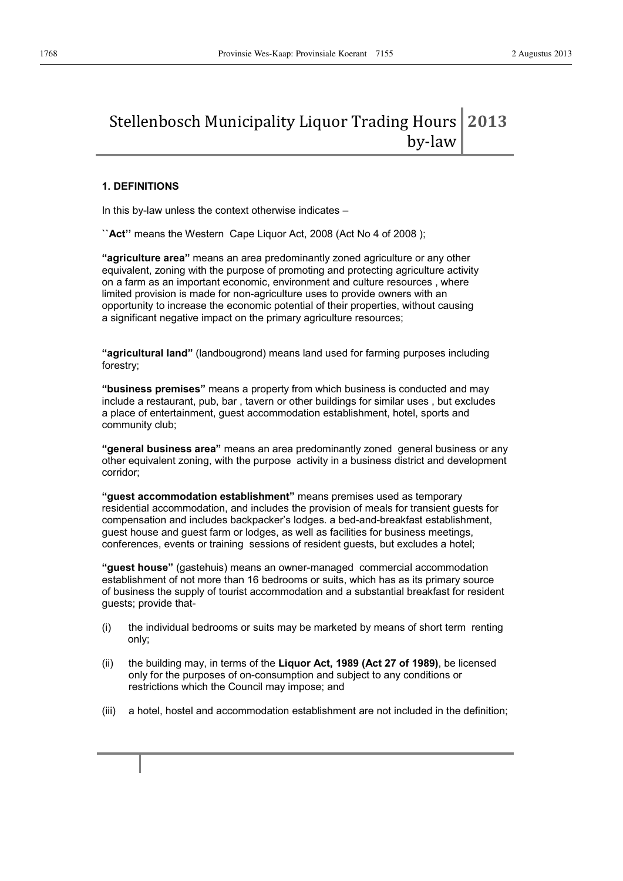## Stellenbosch Municipality Liquor Trading Hours 2013 by-law

#### **1. DEFINITIONS**

In this by-law unless the context otherwise indicates -

**``Act''** means the Western Cape Liquor Act, 2008 (Act No 4 of 2008);

"agriculture area" means an area predominantly zoned agriculture or any other equivalent, zoning with the purpose of promoting and protecting agriculture activity on a farm as an important economic, environment and culture resources , where limited provision is made for non-agriculture uses to provide owners with an opportunity to increase the economic potential of their properties, without causing a significant negative impact on the primary agriculture resources;

**"agricultural land"** (landbougrond) means land used for farming purposes including forestry;

"business premises" means a property from which business is conducted and may include a restaurant, pub, bar , tavern or other buildings for similar uses , but excludes a place of entertainment, guest accommodation establishment, hotel, sports and community club;

**"general business area"** means an area predominantly zoned general business or any other equivalent zoning, with the purpose activity in a business district and development corridor;

"guest accommodation establishment" means premises used as temporary residential accommodation, and includes the provision of meals for transient guests for compensation and includes backpacker's lodges. a bed-and-breakfast establishment, guest house and guest farm or lodges, as well as facilities for business meetings, conferences, events or training sessions of resident guests, but excludes a hotel;

"guest house" (gastehuis) means an owner-managed commercial accommodation establishment of not more than 16 bedrooms or suits, which has as its primary source of business the supply of tourist accommodation and a substantial breakfast for resident guests; provide that-

- (i) the individual bedrooms or suits may be marketed by means of short term renting only;
- (ii) the building may, in terms of the **Liquor Act, 1989 (Act 27 of 1989)**, be licensed only for the purposes of on-consumption and subject to any conditions or restrictions which the Council may impose; and
- (iii) a hotel, hostel and accommodation establishment are not included in the definition;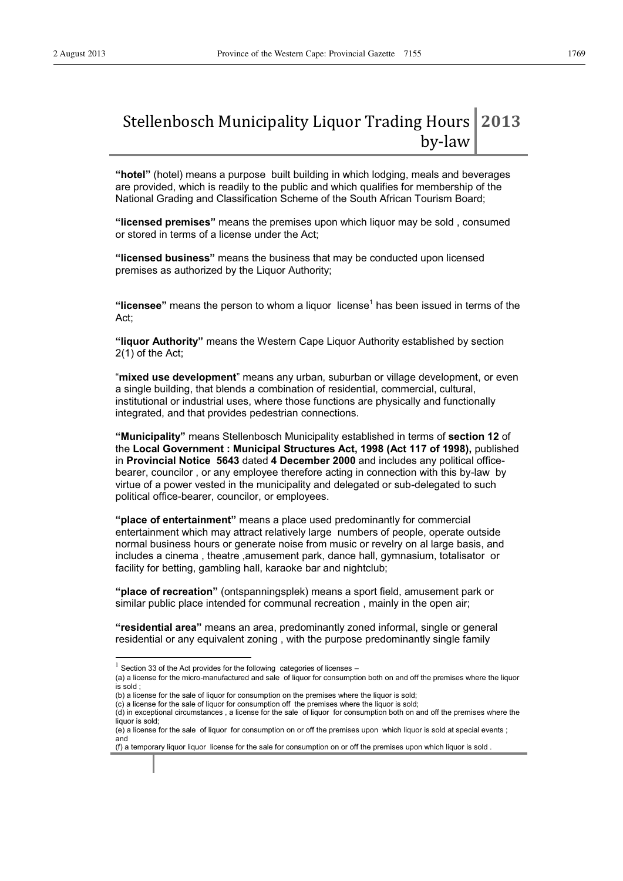### Stellenbosch Municipality Liquor Trading Hours by-law **2013**

"hotel" (hotel) means a purpose built building in which lodging, meals and beverages are provided, which is readily to the public and which qualifies for membership of the National Grading and Classification Scheme of the South African Tourism Board;

"**Iicensed premises**" means the premises upon which liquor may be sold, consumed or stored in terms of a license under the Act;

"licensed business" means the business that may be conducted upon licensed premises as authorized by the Liquor Authority;

"licensee" means the person to whom a liquor license<sup>1</sup> has been issued in terms of the Act;

"**Iiquor Authority**" means the Western Cape Liquor Authority established by section 2(1) of the Act;

"mixed use development" means any urban, suburban or village development, or even a single building, that blends a combination of residential, commercial, cultural, institutional or industrial uses, where those functions are physically and functionally integrated, and that provides pedestrian connections.

"Municipality" means Stellenbosch Municipality established in terms of section 12 of the **Local Government : Municipal Structures Act, 1998 (Act 117 of 1998),** published in **Provincial Notice 5643** dated **4 December 2000** and includes any political officebearer, councilor , or any employee therefore acting in connection with this by-law by virtue of a power vested in the municipality and delegated or sub-delegated to such political office-bearer, councilor, or employees.

"place of entertainment" means a place used predominantly for commercial entertainment which may attract relatively large numbers of people, operate outside normal business hours or generate noise from music or revelry on al large basis, and includes a cinema , theatre ,amusement park, dance hall, gymnasium, totalisator or facility for betting, gambling hall, karaoke bar and nightclub;

"**place of recreation**" (ontspanningsplek) means a sport field, amusement park or similar public place intended for communal recreation , mainly in the open air;

"residential area" means an area, predominantly zoned informal, single or general residential or any equivalent zoning , with the purpose predominantly single family

 $1$  Section 33 of the Act provides for the following categories of licenses  $-$ 

<sup>(</sup>a) a license for the micro-manufactured and sale of liquor for consumption both on and off the premises where the liquor is sold ;

<sup>(</sup>b) a license for the sale of liquor for consumption on the premises where the liquor is sold; (c) a license for the sale of liquor for consumption off the premises where the liquor is sold;

<sup>(</sup>d) in exceptional circumstances , a license for the sale of liquor for consumption both on and off the premises where the liquor is sold;

<sup>(</sup>e) a license for the sale of liquor for consumption on or off the premises upon which liquor is sold at special events ; and

<sup>(</sup>f) a temporary liquor liquor license for the sale for consumption on or off the premises upon which liquor is sold .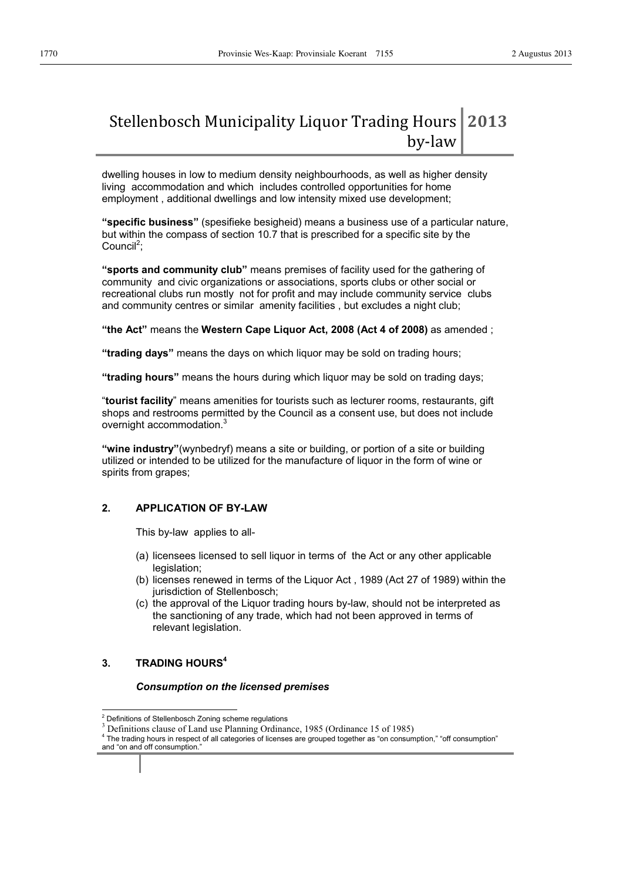## Stellenbosch Municipality Liquor Trading Hours 2013 by-law

dwelling houses in low to medium density neighbourhoods, as well as higher density living accommodation and which includes controlled opportunities for home employment , additional dwellings and low intensity mixed use development;

"specific business" (spesifieke besigheid) means a business use of a particular nature, but within the compass of section 10.7 that is prescribed for a specific site by the Council<sup>2</sup>;

**"sports and community club"** means premises of facility used for the gathering of community and civic organizations or associations, sports clubs or other social or recreational clubs run mostly not for profit and may include community service clubs and community centres or similar amenity facilities , but excludes a night club;

"the Act" means the Western Cape Liquor Act, 2008 (Act 4 of 2008) as amended;

"trading days" means the days on which liquor may be sold on trading hours;

"trading hours" means the hours during which liquor may be sold on trading days;

"tourist facility" means amenities for tourists such as lecturer rooms, restaurants, gift shops and restrooms permitted by the Council as a consent use, but does not include overnight accommodation.<sup>3</sup>

"wine industry" (wynbedryf) means a site or building, or portion of a site or building utilized or intended to be utilized for the manufacture of liquor in the form of wine or spirits from grapes;

#### **2. APPLICATION OF BY-LAW**

This by-law applies to all-

- (a) licensees licensed to sell liquor in terms of the Act or any other applicable legislation;
- (b) licenses renewed in terms of the Liquor Act , 1989 (Act 27 of 1989) within the jurisdiction of Stellenbosch;
- (c) the approval of the Liquor trading hours by-law, should not be interpreted as the sanctioning of any trade, which had not been approved in terms of relevant legislation.

#### **3. TRADING HOURS<sup>4</sup>**

#### *Consumption on the licensed premises*

<sup>&</sup>lt;sup>2</sup> Definitions of Stellenbosch Zoning scheme regulations

<sup>&</sup>lt;sup>3</sup> Definitions clause of Land use Planning Ordinance, 1985 (Ordinance 15 of 1985)

<sup>4</sup> The trading hours in respect of all categories of licenses are grouped together as "on consumption," "off consumption"

and "on and off consumption."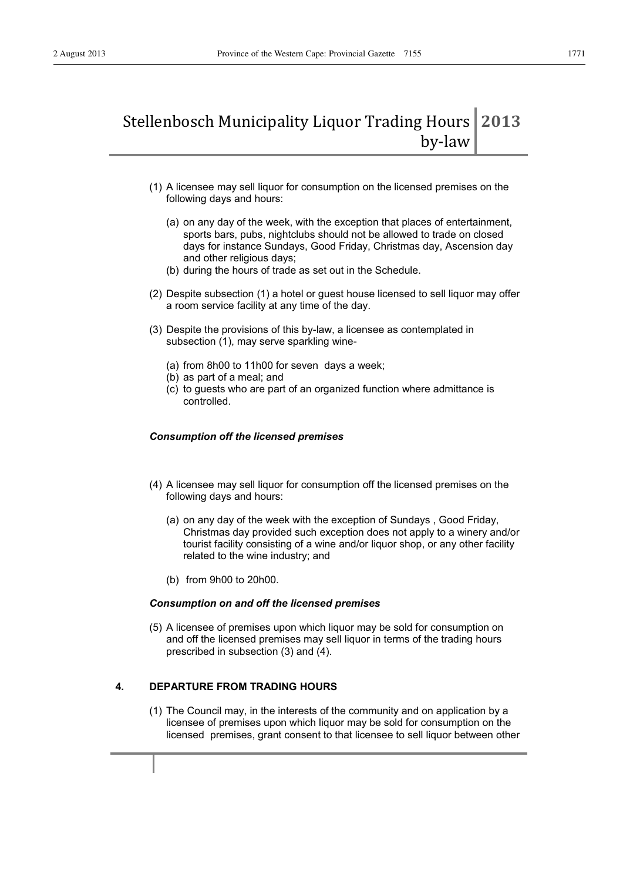### Stellenbosch Municipality Liquor Trading Hours by-law **2013**

- (1) A licensee may sell liquor for consumption on the licensed premises on the following days and hours:
	- (a) on any day of the week, with the exception that places of entertainment, sports bars, pubs, nightclubs should not be allowed to trade on closed days for instance Sundays, Good Friday, Christmas day, Ascension day and other religious days;
	- (b) during the hours of trade as set out in the Schedule.
- (2) Despite subsection (1) a hotel or guest house licensed to sell liquor may offer a room service facility at any time of the day.
- (3) Despite the provisions of this by-law, a licensee as contemplated in subsection (1), may serve sparkling wine-
	- (a) from 8h00 to 11h00 for seven days a week;
	- (b) as part of a meal; and
	- (c) to guests who are part of an organized function where admittance is controlled.

#### *Consumption off the licensed premises*

- (4) A licensee may sell liquor for consumption off the licensed premises on the following days and hours:
	- (a) on any day of the week with the exception of Sundays , Good Friday, Christmas day provided such exception does not apply to a winery and/or tourist facility consisting of a wine and/or liquor shop, or any other facility related to the wine industry; and
	- (b) from 9h00 to 20h00.

#### *Consumption on and off the licensed premises*

(5) A licensee of premises upon which liquor may be sold for consumption on and off the licensed premises may sell liquor in terms of the trading hours prescribed in subsection (3) and (4).

#### **4. DEPARTURE FROM TRADING HOURS**

(1) The Council may, in the interests of the community and on application by a licensee of premises upon which liquor may be sold for consumption on the licensed premises, grant consent to that licensee to sell liquor between other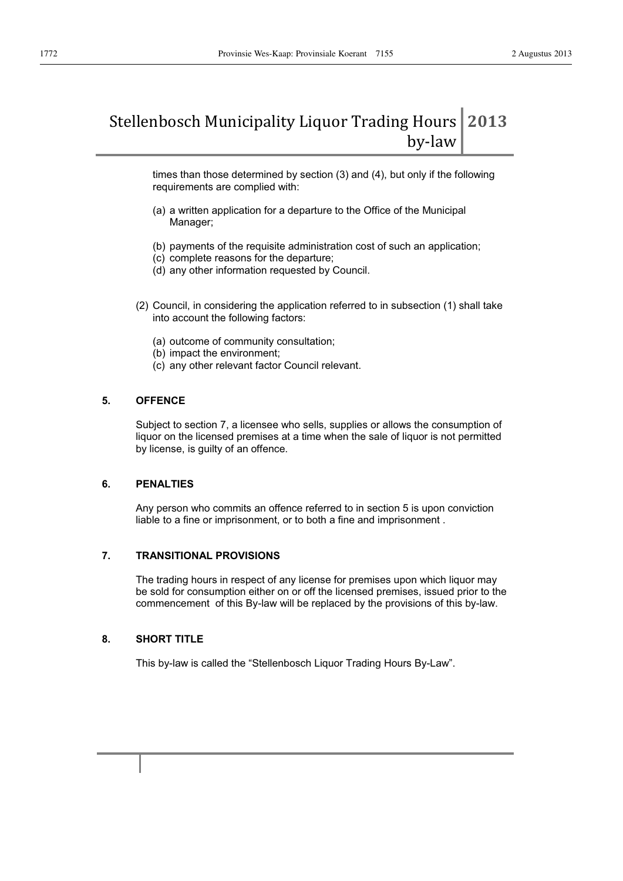## Stellenbosch Municipality Liquor Trading Hours 2013 by-law

times than those determined by section (3) and (4), but only if the following requirements are complied with:

- (a) a written application for a departure to the Office of the Municipal Manager;
- (b) payments of the requisite administration cost of such an application;
- (c) complete reasons for the departure;
- (d) any other information requested by Council.
- (2) Council, in considering the application referred to in subsection (1) shall take into account the following factors:
	- (a) outcome of community consultation;
	- (b) impact the environment;
	- (c) any other relevant factor Council relevant.

#### **5. OFFENCE**

Subject to section 7, a licensee who sells, supplies or allows the consumption of liquor on the licensed premises at a time when the sale of liquor is not permitted by license, is guilty of an offence.

#### **6. PENALTIES**

Any person who commits an offence referred to in section 5 is upon conviction liable to a fine or imprisonment, or to both a fine and imprisonment .

#### **7. TRANSITIONAL PROVISIONS**

The trading hours in respect of any license for premises upon which liquor may be sold for consumption either on or off the licensed premises, issued prior to the commencement of this By-law will be replaced by the provisions of this by-law.

#### **8. SHORT TITLE**

This by-law is called the "Stellenbosch Liquor Trading Hours By-Law".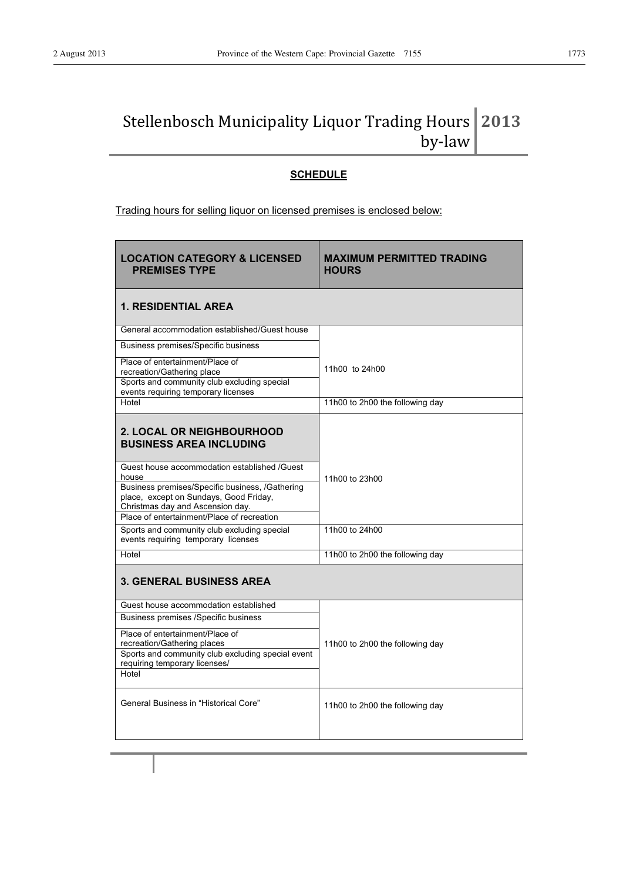by-law

## **SCHEDULE**

Trading hours for selling liquor on licensed premises is enclosed below:

| <b>LOCATION CATEGORY &amp; LICENSED</b><br><b>PREMISES TYPE</b>                                                                                                                                       | <b>MAXIMUM PERMITTED TRADING</b><br><b>HOURS</b> |
|-------------------------------------------------------------------------------------------------------------------------------------------------------------------------------------------------------|--------------------------------------------------|
| <b>1. RESIDENTIAL AREA</b>                                                                                                                                                                            |                                                  |
| General accommodation established/Guest house                                                                                                                                                         |                                                  |
| Business premises/Specific business                                                                                                                                                                   |                                                  |
| Place of entertainment/Place of<br>recreation/Gathering place<br>Sports and community club excluding special<br>events requiring temporary licenses                                                   | 11h00 to 24h00                                   |
| Hotel                                                                                                                                                                                                 | 11h00 to 2h00 the following day                  |
| <b>2. LOCAL OR NEIGHBOURHOOD</b><br><b>BUSINESS AREA INCLUDING</b>                                                                                                                                    |                                                  |
| Guest house accommodation established /Guest<br>house                                                                                                                                                 | 11h00 to 23h00                                   |
| Business premises/Specific business, /Gathering<br>place, except on Sundays, Good Friday,<br>Christmas day and Ascension day.<br>Place of entertainment/Place of recreation                           |                                                  |
| Sports and community club excluding special<br>events requiring temporary licenses                                                                                                                    | 11h00 to 24h00                                   |
| Hotel                                                                                                                                                                                                 | 11h00 to 2h00 the following day                  |
| <b>3. GENERAL BUSINESS AREA</b>                                                                                                                                                                       |                                                  |
| Guest house accommodation established                                                                                                                                                                 |                                                  |
| Business premises /Specific business<br>Place of entertainment/Place of<br>recreation/Gathering places<br>Sports and community club excluding special event<br>requiring temporary licenses/<br>Hotel | 11h00 to 2h00 the following day                  |
| General Business in "Historical Core"                                                                                                                                                                 | 11h00 to 2h00 the following day                  |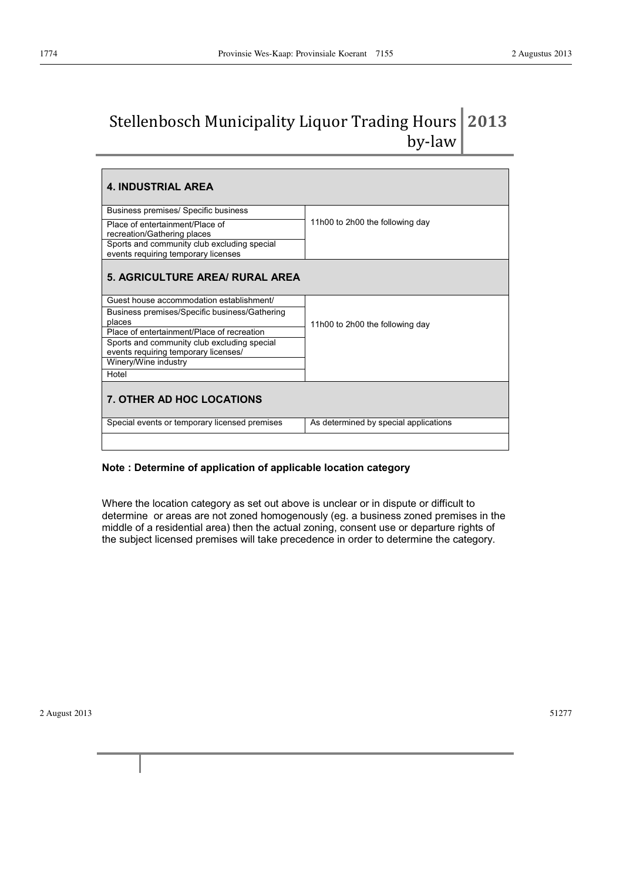## Stellenbosch Municipality Liquor Trading Hours 2013 by-law

| <b>4. INDUSTRIAL AREA</b>                                                           |                                       |
|-------------------------------------------------------------------------------------|---------------------------------------|
| Business premises/ Specific business                                                |                                       |
| Place of entertainment/Place of<br>recreation/Gathering places                      | 11h00 to 2h00 the following day       |
| Sports and community club excluding special<br>events requiring temporary licenses  |                                       |
|                                                                                     |                                       |
| 5. AGRICULTURE AREA/ RURAL AREA                                                     |                                       |
| Guest house accommodation establishment/                                            |                                       |
| Business premises/Specific business/Gathering<br>places                             | 11h00 to 2h00 the following day       |
| Place of entertainment/Place of recreation                                          |                                       |
| Sports and community club excluding special<br>events requiring temporary licenses/ |                                       |
| Winery/Wine industry                                                                |                                       |
| Hotel                                                                               |                                       |
| <b>7. OTHER AD HOC LOCATIONS</b>                                                    |                                       |
|                                                                                     |                                       |
| Special events or temporary licensed premises                                       | As determined by special applications |
|                                                                                     |                                       |

#### **Note : Determine of application of applicable location category**

Where the location category as set out above is unclear or in dispute or difficult to determine or areas are not zoned homogenously (eg. a business zoned premises in the middle of a residential area) then the actual zoning, consent use or departure rights of the subject licensed premises will take precedence in order to determine the category.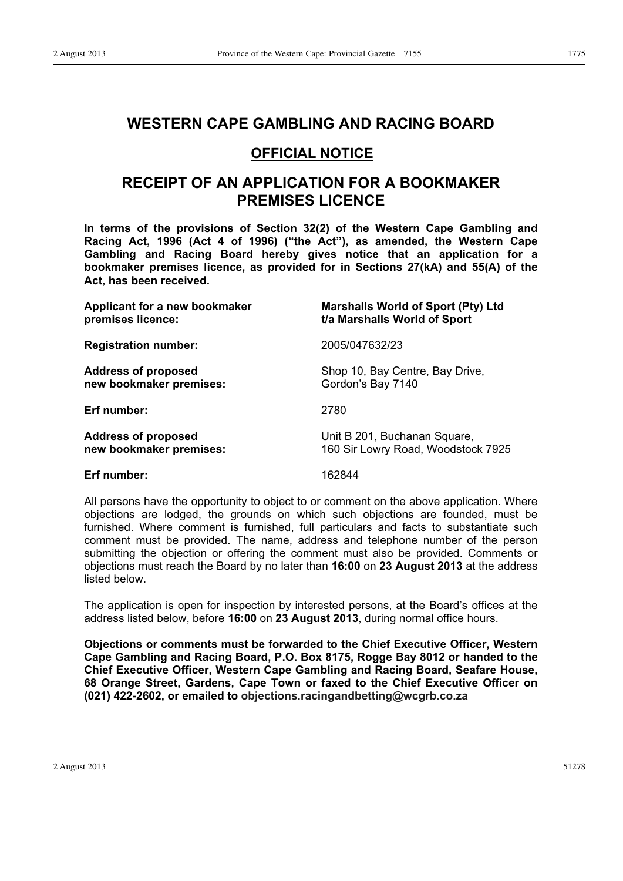## **WESTERN CAPE GAMBLING AND RACING BOARD**

## **OFFICIAL NOTICE**

## **RECEIPT OF AN APPLICATION FOR A BOOKMAKER PREMISES LICENCE**

**In terms of the provisions of Section 32(2) of the Western Cape Gambling and Racing Act, 1996 (Act 4 of 1996) ("the Act"), as amended, the Western Cape Gambling and Racing Board hereby gives notice that an application for a bookmaker premises licence, as provided for in Sections 27(kA) and 55(A) of the Act, has been received.** 

| Applicant for a new bookmaker | <b>Marshalls World of Sport (Pty) Ltd</b> |
|-------------------------------|-------------------------------------------|
| premises licence:             | t/a Marshalls World of Sport              |
| <b>Registration number:</b>   | 2005/047632/23                            |
| <b>Address of proposed</b>    | Shop 10, Bay Centre, Bay Drive,           |
| new bookmaker premises:       | Gordon's Bay 7140                         |
| Erf number:                   | 2780                                      |
| <b>Address of proposed</b>    | Unit B 201, Buchanan Square,              |
| new bookmaker premises:       | 160 Sir Lowry Road, Woodstock 7925        |

#### **Erf number:** 162844

All persons have the opportunity to object to or comment on the above application. Where objections are lodged, the grounds on which such objections are founded, must be furnished. Where comment is furnished, full particulars and facts to substantiate such comment must be provided. The name, address and telephone number of the person submitting the objection or offering the comment must also be provided. Comments or objections must reach the Board by no later than **16:00** on **23 August 2013** at the address listed below.

The application is open for inspection by interested persons, at the Board's offices at the address listed below, before **16:00** on **23 August 2013**, during normal office hours.

**Objections or comments must be forwarded to the Chief Executive Officer, Western Cape Gambling and Racing Board, P.O. Box 8175, Rogge Bay 8012 or handed to the Chief Executive Officer, Western Cape Gambling and Racing Board, Seafare House, 68 Orange Street, Gardens, Cape Town or faxed to the Chief Executive Officer on (021) 422-2602, or emailed to objections.racingandbetting@wcgrb.co.za**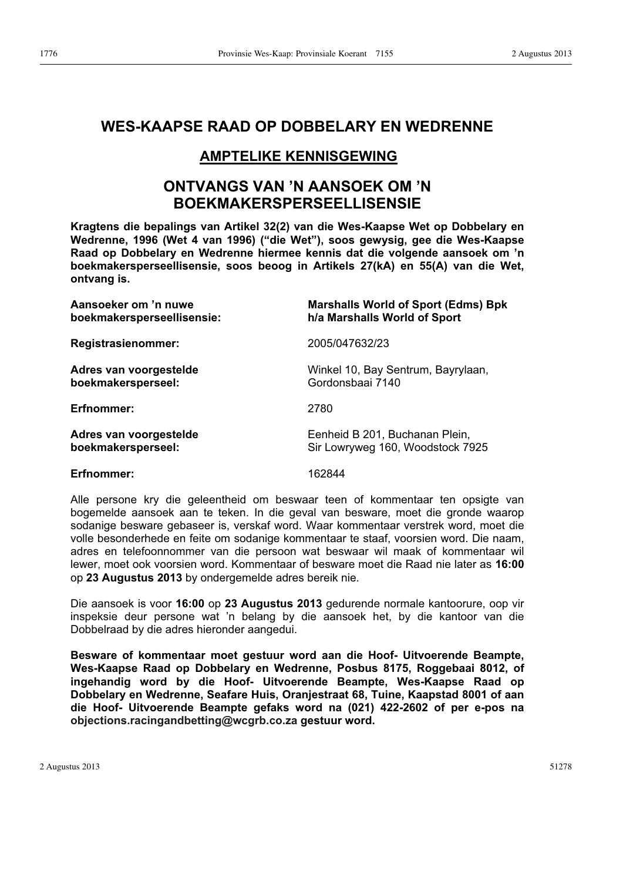## **WES-KAAPSE RAAD OP DOBBELARY EN WEDRENNE**

## **AMPTELIKE KENNISGEWING**

## **ONTVANGS VAN 'N AANSOEK OM 'N BOEKMAKERSPERSEELLISENSIE**

**Kragtens die bepalings van Artikel 32(2) van die Wes-Kaapse Wet op Dobbelary en Wedrenne, 1996 (Wet 4 van 1996) ("die Wet"), soos gewysig, gee die Wes-Kaapse Raad op Dobbelary en Wedrenne hiermee kennis dat die volgende aansoek om 'n boekmakersperseellisensie, soos beoog in Artikels 27(kA) en 55(A) van die Wet, ontvang is.** 

| Aansoeker om 'n nuwe       | <b>Marshalls World of Sport (Edms) Bpk</b> |
|----------------------------|--------------------------------------------|
| boekmakersperseellisensie: | h/a Marshalls World of Sport               |
| <b>Registrasienommer:</b>  | 2005/047632/23                             |
| Adres van voorgestelde     | Winkel 10, Bay Sentrum, Bayrylaan,         |
| boekmakersperseel:         | Gordonsbaai 7140                           |
| Erfnommer:                 | 2780                                       |
| Adres van voorgestelde     | Eenheid B 201, Buchanan Plein,             |
| boekmakersperseel:         | Sir Lowryweg 160, Woodstock 7925           |

#### **Erfnommer:** 162844

Alle persone kry die geleentheid om beswaar teen of kommentaar ten opsigte van bogemelde aansoek aan te teken. In die geval van besware, moet die gronde waarop sodanige besware gebaseer is, verskaf word. Waar kommentaar verstrek word, moet die volle besonderhede en feite om sodanige kommentaar te staaf, voorsien word. Die naam, adres en telefoonnommer van die persoon wat beswaar wil maak of kommentaar wil lewer, moet ook voorsien word. Kommentaar of besware moet die Raad nie later as **16:00**  op **23 Augustus 2013** by ondergemelde adres bereik nie.

Die aansoek is voor **16:00** op **23 Augustus 2013** gedurende normale kantoorure, oop vir inspeksie deur persone wat 'n belang by die aansoek het, by die kantoor van die Dobbelraad by die adres hieronder aangedui.

**Besware of kommentaar moet gestuur word aan die Hoof- Uitvoerende Beampte, Wes-Kaapse Raad op Dobbelary en Wedrenne, Posbus 8175, Roggebaai 8012, of ingehandig word by die Hoof- Uitvoerende Beampte, Wes-Kaapse Raad op Dobbelary en Wedrenne, Seafare Huis, Oranjestraat 68, Tuine, Kaapstad 8001 of aan die Hoof- Uitvoerende Beampte gefaks word na (021) 422-2602 of per e-pos na objections.racingandbetting@wcgrb.co.za gestuur word.**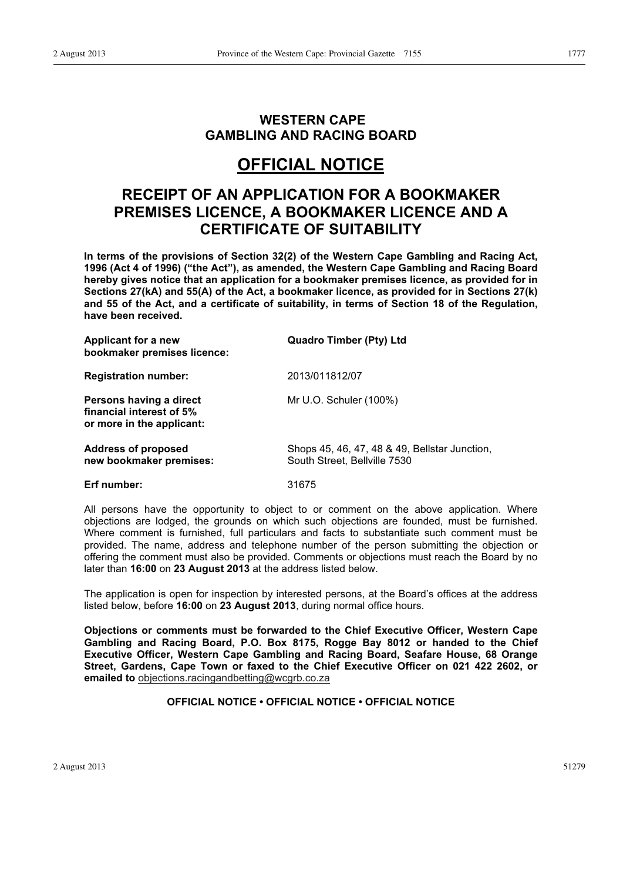## **WESTERN CAPE GAMBLING AND RACING BOARD**

## **OFFICIAL NOTICE**

## **RECEIPT OF AN APPLICATION FOR A BOOKMAKER PREMISES LICENCE, A BOOKMAKER LICENCE AND A CERTIFICATE OF SUITABILITY**

**In terms of the provisions of Section 32(2) of the Western Cape Gambling and Racing Act, 1996 (Act 4 of 1996) ("the Act"), as amended, the Western Cape Gambling and Racing Board hereby gives notice that an application for a bookmaker premises licence, as provided for in Sections 27(kA) and 55(A) of the Act, a bookmaker licence, as provided for in Sections 27(k) and 55 of the Act, and a certificate of suitability, in terms of Section 18 of the Regulation, have been received.** 

| <b>Applicant for a new</b><br>bookmaker premises licence:                        | <b>Quadro Timber (Pty) Ltd</b>                                                |
|----------------------------------------------------------------------------------|-------------------------------------------------------------------------------|
| <b>Registration number:</b>                                                      | 2013/011812/07                                                                |
| Persons having a direct<br>financial interest of 5%<br>or more in the applicant: | Mr U.O. Schuler (100%)                                                        |
| Address of proposed<br>new bookmaker premises:                                   | Shops 45, 46, 47, 48 & 49, Bellstar Junction,<br>South Street, Bellville 7530 |
| Erf number:                                                                      | 31675                                                                         |

All persons have the opportunity to object to or comment on the above application. Where objections are lodged, the grounds on which such objections are founded, must be furnished. Where comment is furnished, full particulars and facts to substantiate such comment must be provided. The name, address and telephone number of the person submitting the objection or offering the comment must also be provided. Comments or objections must reach the Board by no later than **16:00** on **23 August 2013** at the address listed below.

The application is open for inspection by interested persons, at the Board's offices at the address listed below, before **16:00** on **23 August 2013**, during normal office hours.

**Objections or comments must be forwarded to the Chief Executive Officer, Western Cape Gambling and Racing Board, P.O. Box 8175, Rogge Bay 8012 or handed to the Chief Executive Officer, Western Cape Gambling and Racing Board, Seafare House, 68 Orange Street, Gardens, Cape Town or faxed to the Chief Executive Officer on 021 422 2602, or emailed to** objections.racingandbetting@wcgrb.co.za

**OFFICIAL NOTICE • OFFICIAL NOTICE • OFFICIAL NOTICE**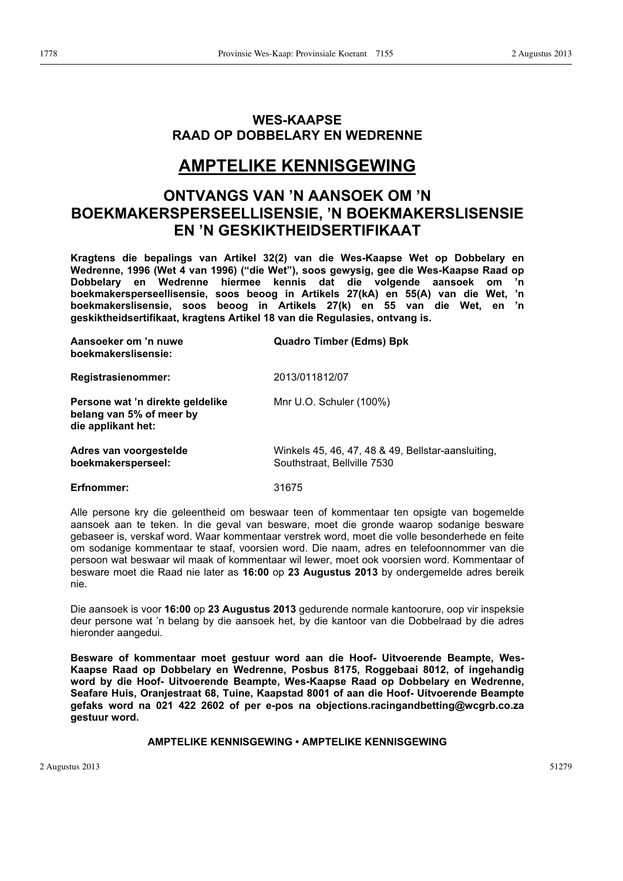### **WES-KAAPSE RAAD OP DOBBELARY EN WEDRENNE**

## **AMPTELIKE KENNISGEWING**

## **ONTVANGS VAN 'N AANSOEK OM 'N BOEKMAKERSPERSEELLISENSIE, 'N BOEKMAKERSLISENSIE EN 'N GESKIKTHEIDSERTIFIKAAT**

**Kragtens die bepalings van Artikel 32(2) van die Wes-Kaapse Wet op Dobbelary en Wedrenne, 1996 (Wet 4 van 1996) ("die Wet"), soos gewysig, gee die Wes-Kaapse Raad op Dobbelary en Wedrenne hiermee kennis dat die volgende aansoek om 'n boekmakersperseellisensie, soos beoog in Artikels 27(kA) en 55(A) van die Wet, 'n boekmakerslisensie, soos beoog in Artikels 27(k) en 55 van die Wet, en 'n geskiktheidsertifikaat, kragtens Artikel 18 van die Regulasies, ontvang is.**

| Aansoeker om 'n nuwe<br>boekmakerslisensie:                                        | <b>Quadro Timber (Edms) Bpk</b>                                                   |
|------------------------------------------------------------------------------------|-----------------------------------------------------------------------------------|
| Registrasienommer:                                                                 | 2013/011812/07                                                                    |
| Persone wat 'n direkte geldelike<br>belang van 5% of meer by<br>die applikant het: | Mnr U.O. Schuler (100%)                                                           |
| Adres van voorgestelde<br>boekmakersperseel:                                       | Winkels 45, 46, 47, 48 & 49, Bellstar-aansluiting,<br>Southstraat, Bellville 7530 |

**Erfnommer:** 31675

Alle persone kry die geleentheid om beswaar teen of kommentaar ten opsigte van bogemelde aansoek aan te teken. In die geval van besware, moet die gronde waarop sodanige besware gebaseer is, verskaf word. Waar kommentaar verstrek word, moet die volle besonderhede en feite om sodanige kommentaar te staaf, voorsien word. Die naam, adres en telefoonnommer van die persoon wat beswaar wil maak of kommentaar wil lewer, moet ook voorsien word. Kommentaar of besware moet die Raad nie later as **16:00** op **23 Augustus 2013** by ondergemelde adres bereik nie.

Die aansoek is voor **16:00** op **23 Augustus 2013** gedurende normale kantoorure, oop vir inspeksie deur persone wat 'n belang by die aansoek het, by die kantoor van die Dobbelraad by die adres hieronder aangedui.

**Besware of kommentaar moet gestuur word aan die Hoof- Uitvoerende Beampte, Wes-Kaapse Raad op Dobbelary en Wedrenne, Posbus 8175, Roggebaai 8012, of ingehandig word by die Hoof- Uitvoerende Beampte, Wes-Kaapse Raad op Dobbelary en Wedrenne, Seafare Huis, Oranjestraat 68, Tuine, Kaapstad 8001 of aan die Hoof- Uitvoerende Beampte gefaks word na 021 422 2602 of per e-pos na objections.racingandbetting@wcgrb.co.za gestuur word.** 

#### **AMPTELIKE KENNISGEWING • AMPTELIKE KENNISGEWING**

2 Augustus 2013 51279 51279 51279 51279 51279 51279 51279 51279 51279 51279 51279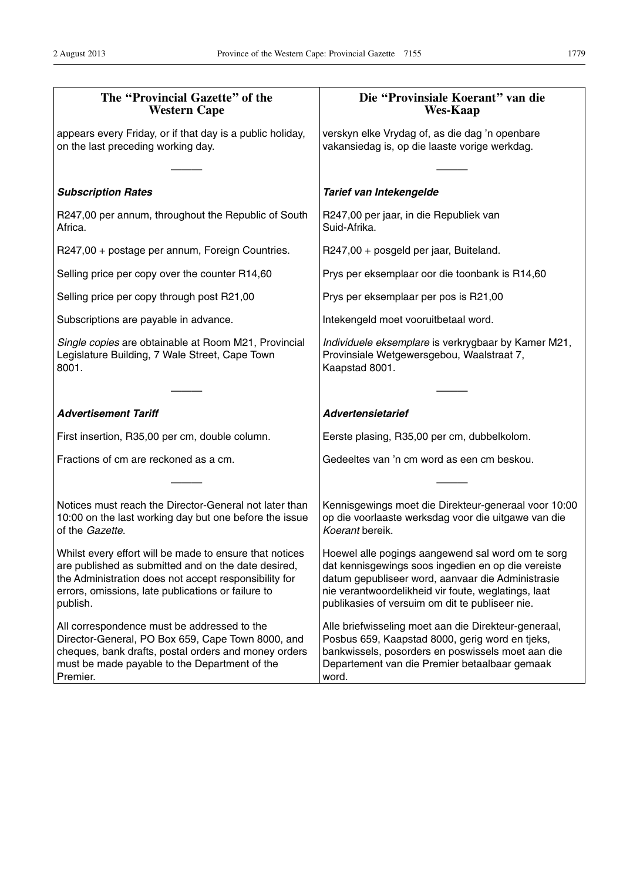| The "Provincial Gazette" of the<br><b>Western Cape</b>                                                                                                                                                                                    | Die "Provinsiale Koerant" van die<br><b>Wes-Kaap</b>                                                                                                                                                                                                                   |
|-------------------------------------------------------------------------------------------------------------------------------------------------------------------------------------------------------------------------------------------|------------------------------------------------------------------------------------------------------------------------------------------------------------------------------------------------------------------------------------------------------------------------|
| appears every Friday, or if that day is a public holiday,<br>on the last preceding working day.                                                                                                                                           | verskyn elke Vrydag of, as die dag 'n openbare<br>vakansiedag is, op die laaste vorige werkdag.                                                                                                                                                                        |
|                                                                                                                                                                                                                                           |                                                                                                                                                                                                                                                                        |
| <b>Subscription Rates</b>                                                                                                                                                                                                                 | Tarief van Intekengelde                                                                                                                                                                                                                                                |
| R247,00 per annum, throughout the Republic of South<br>Africa.                                                                                                                                                                            | R247,00 per jaar, in die Republiek van<br>Suid-Afrika.                                                                                                                                                                                                                 |
| R247,00 + postage per annum, Foreign Countries.                                                                                                                                                                                           | R247,00 + posgeld per jaar, Buiteland.                                                                                                                                                                                                                                 |
| Selling price per copy over the counter R14,60                                                                                                                                                                                            | Prys per eksemplaar oor die toonbank is R14,60                                                                                                                                                                                                                         |
| Selling price per copy through post R21,00                                                                                                                                                                                                | Prys per eksemplaar per pos is R21,00                                                                                                                                                                                                                                  |
| Subscriptions are payable in advance.                                                                                                                                                                                                     | Intekengeld moet vooruitbetaal word.                                                                                                                                                                                                                                   |
| Single copies are obtainable at Room M21, Provincial<br>Legislature Building, 7 Wale Street, Cape Town<br>8001.                                                                                                                           | Individuele eksemplare is verkrygbaar by Kamer M21,<br>Provinsiale Wetgewersgebou, Waalstraat 7,<br>Kaapstad 8001.                                                                                                                                                     |
|                                                                                                                                                                                                                                           |                                                                                                                                                                                                                                                                        |
| <b>Advertisement Tariff</b>                                                                                                                                                                                                               | <b>Advertensietarief</b>                                                                                                                                                                                                                                               |
| First insertion, R35,00 per cm, double column.                                                                                                                                                                                            | Eerste plasing, R35,00 per cm, dubbelkolom.                                                                                                                                                                                                                            |
| Fractions of cm are reckoned as a cm.                                                                                                                                                                                                     | Gedeeltes van 'n cm word as een cm beskou.                                                                                                                                                                                                                             |
|                                                                                                                                                                                                                                           |                                                                                                                                                                                                                                                                        |
| Notices must reach the Director-General not later than<br>10:00 on the last working day but one before the issue<br>of the Gazette.                                                                                                       | Kennisgewings moet die Direkteur-generaal voor 10:00<br>op die voorlaaste werksdag voor die uitgawe van die<br>Koerant bereik.                                                                                                                                         |
| Whilst every effort will be made to ensure that notices<br>are published as submitted and on the date desired,<br>the Administration does not accept responsibility for<br>errors, omissions, late publications or failure to<br>publish. | Hoewel alle pogings aangewend sal word om te sorg<br>dat kennisgewings soos ingedien en op die vereiste<br>datum gepubliseer word, aanvaar die Administrasie<br>nie verantwoordelikheid vir foute, weglatings, laat<br>publikasies of versuim om dit te publiseer nie. |
| All correspondence must be addressed to the<br>Director-General, PO Box 659, Cape Town 8000, and<br>cheques, bank drafts, postal orders and money orders<br>must be made payable to the Department of the<br>Premier.                     | Alle briefwisseling moet aan die Direkteur-generaal,<br>Posbus 659, Kaapstad 8000, gerig word en tjeks,<br>bankwissels, posorders en poswissels moet aan die<br>Departement van die Premier betaalbaar gemaak<br>word.                                                 |